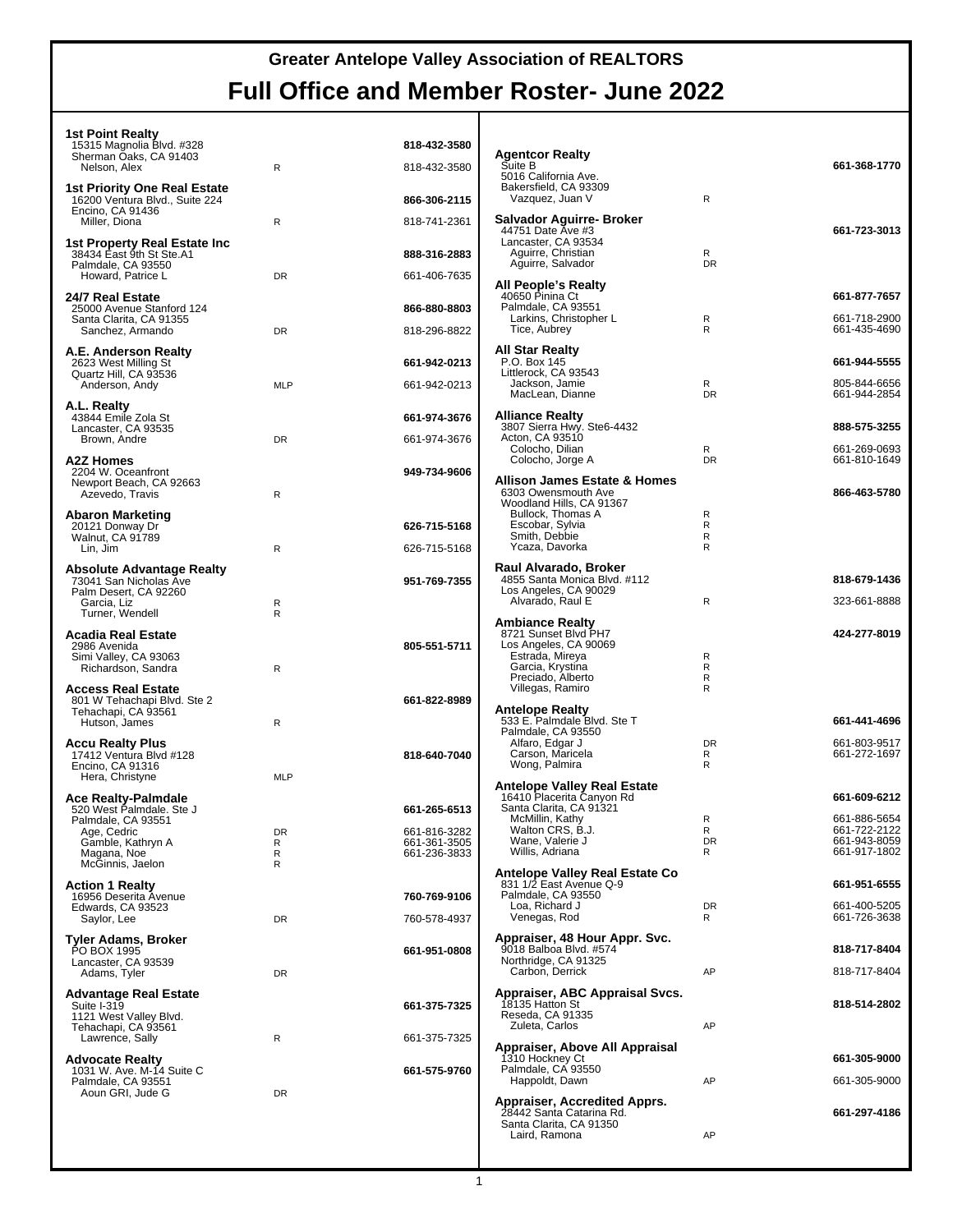| <b>1st Point Realty</b><br>15315 Magnolia Blvd. #328<br>Sherman Oaks, CA 91403 |              | 818-432-3580                 | <b>Agentcor Realty</b>                                                           |                |                                              |
|--------------------------------------------------------------------------------|--------------|------------------------------|----------------------------------------------------------------------------------|----------------|----------------------------------------------|
| Nelson, Alex<br>1st Priority One Real Estate                                   | $\mathsf{R}$ | 818-432-3580                 | Suite B<br>5016 California Ave.<br>Bakersfield, CA 93309                         |                | 661-368-1770                                 |
| 16200 Ventura Blvd., Suite 224<br>Encino, CA 91436                             |              | 866-306-2115                 | Vazquez, Juan V<br>Salvador Aguirre- Broker                                      | R              |                                              |
| Miller, Diona<br>1st Property Real Estate Inc                                  | R            | 818-741-2361                 | 44751 Date Ave #3<br>Lancaster, CA 93534                                         |                | 661-723-3013                                 |
| 38434 East 9th St Ste.A1<br>Palmdale, CA 93550                                 |              | 888-316-2883                 | Aguirre, Christian<br>Aguirre, Salvador                                          | R<br><b>DR</b> |                                              |
| Howard, Patrice L                                                              | DR           | 661-406-7635                 | All People's Realty                                                              |                |                                              |
| 24/7 Real Estate<br>25000 Avenue Stanford 124<br>Santa Clarita, CA 91355       |              | 866-880-8803                 | 40650 Pinina Ct<br>Palmdale, CA 93551<br>Larkins, Christopher L                  | R              | 661-877-7657<br>661-718-2900<br>661-435-4690 |
| Sanchez, Armando                                                               | <b>DR</b>    | 818-296-8822                 | Tice, Aubrey                                                                     | R              |                                              |
| A.E. Anderson Realty<br>2623 West Milling St<br>Quartz Hill, CA 93536          |              | 661-942-0213                 | <b>All Star Realty</b><br>P.O. Box 145<br>Littlerock, CA 93543<br>Jackson, Jamie | R              | 661-944-5555<br>805-844-6656                 |
| Anderson, Andy                                                                 | <b>MLP</b>   | 661-942-0213                 | MacLean, Dianne                                                                  | <b>DR</b>      | 661-944-2854                                 |
| A.L. Realty<br>43844 Emile Zola St                                             |              | 661-974-3676                 | <b>Alliance Realty</b><br>3807 Sierra Hwy. Ste6-4432                             |                | 888-575-3255                                 |
| Lancaster, CA 93535<br>Brown, Andre                                            | DR           | 661-974-3676                 | Acton, CA 93510<br>Colocho, Dilian                                               | R              | 661-269-0693                                 |
| A2Z Homes<br>2204 W. Oceanfront                                                |              | 949-734-9606                 | Colocho, Jorge A                                                                 | <b>DR</b>      | 661-810-1649                                 |
| Newport Beach, CA 92663<br>Azevedo, Travis                                     | $\mathsf{R}$ |                              | <b>Allison James Estate &amp; Homes</b><br>6303 Owensmouth Ave                   |                | 866-463-5780                                 |
| <b>Abaron Marketing</b>                                                        |              |                              | Woodland Hills, CA 91367<br>Bullock. Thomas A                                    | R              |                                              |
| 20121 Donway Dr<br>Walnut, CA 91789                                            |              | 626-715-5168                 | Escobar, Sylvia<br>Smith, Debbie                                                 | R<br>R         |                                              |
| Lin, Jim                                                                       | $\mathsf{R}$ | 626-715-5168                 | Ycaza, Davorka                                                                   | R              |                                              |
| <b>Absolute Advantage Realty</b>                                               |              |                              | Raul Alvarado, Broker                                                            |                |                                              |
| 73041 San Nicholas Ave<br>Palm Desert, CA 92260                                |              | 951-769-7355                 | 4855 Santa Monica Blvd. #112<br>Los Angeles, CA 90029                            |                | 818-679-1436                                 |
| Garcia, Liz<br>Turner, Wendell                                                 | R<br>R       |                              | Alvarado, Raul E                                                                 | $\mathsf{R}$   | 323-661-8888                                 |
| <b>Acadia Real Estate</b>                                                      |              |                              | <b>Ambiance Realty</b><br>8721 Sunset Blvd PH7                                   |                | 424-277-8019                                 |
| 2986 Avenida<br>Simi Valley, CA 93063                                          |              | 805-551-5711                 | Los Angeles, CA 90069<br>Estrada, Mireya                                         | R              |                                              |
| Richardson, Sandra                                                             | $\mathsf{R}$ |                              | Garcia, Krystina<br>Preciado, Alberto                                            | R<br>R         |                                              |
| <b>Access Real Estate</b>                                                      |              |                              | Villegas, Ramiro                                                                 | R              |                                              |
| 801 W Tehachapi Blvd. Ste 2<br>Tehachapi, CA 93561                             |              | 661-822-8989                 | <b>Antelope Realty</b>                                                           |                |                                              |
| Hutson, James                                                                  | $\mathsf{R}$ |                              | 533 E. Palmdale Blvd. Ste T<br>Palmdale, CA 93550                                |                | 661-441-4696                                 |
| <b>Accu Realty Plus</b><br>17412 Ventura Blvd #128                             |              | 818-640-7040                 | Alfaro, Edgar J<br>Carson, Maricela                                              | <b>DR</b><br>R | 661-803-9517<br>661-272-1697                 |
| Encino, CA 91316<br>Hera, Christyne                                            | <b>MLP</b>   |                              | Wong, Palmira                                                                    | R              |                                              |
| <b>Ace Realty-Palmdale</b>                                                     |              |                              | <b>Antelope Valley Real Estate</b><br>16410 Placerita Canyon Rd                  |                | 661-609-6212                                 |
| 520 West Palmdale. Ste J<br>Palmdale, CA 93551                                 |              | 661-265-6513                 | Santa Clarita, CA 91321<br>McMillin, Kathy                                       | R              | 661-886-5654                                 |
| Age, Cedric                                                                    | DR           | 661-816-3282<br>661-361-3505 | Walton CRS, B.J.<br>Wane, Valerie J                                              | R<br>DR        | 661-722-2122<br>661-943-8059                 |
| Gamble, Kathryn A<br>Magana, Noe                                               | R<br>R       | 661-236-3833                 | Willis, Adriana                                                                  | R              | 661-917-1802                                 |
| McGinnis, Jaelon                                                               | R            |                              | Antelope Valley Real Estate Co<br>831 1/2 East Avenue Q-9                        |                | 661-951-6555                                 |
| <b>Action 1 Realty</b><br>16956 Deserita Avenue                                |              | 760-769-9106                 | Palmdale, CA 93550                                                               |                |                                              |
| Edwards, CA 93523<br>Saylor, Lee                                               | DR           | 760-578-4937                 | Loa, Richard J<br>Venegas, Rod                                                   | DR<br>R        | 661-400-5205<br>661-726-3638                 |
| Tyler Adams, Broker                                                            |              |                              | Appraiser, 48 Hour Appr. Svc.                                                    |                |                                              |
| PO BOX 1995<br>Lancaster, CA 93539                                             |              | 661-951-0808                 | 9018 Balboa Blvd. #574<br>Northridge, CA 91325                                   |                | 818-717-8404                                 |
| Adams, Tyler                                                                   | DR           |                              | Carbon, Derrick                                                                  | AP             | 818-717-8404                                 |
| <b>Advantage Real Estate</b><br>Suite I-319                                    |              | 661-375-7325                 | Appraiser, ABC Appraisal Svcs.<br>18135 Hatton St                                |                | 818-514-2802                                 |
| 1121 West Valley Blvd.<br>Tehachapi, CA 93561                                  |              |                              | Reseda, CA 91335<br>Zuleta, Carlos                                               | AP             |                                              |
| Lawrence, Sally                                                                | R            | 661-375-7325                 | Appraiser, Above All Appraisal                                                   |                |                                              |
| <b>Advocate Realty</b>                                                         |              |                              | 1310 Hockney Ct<br>Palmdale, CA 93550                                            |                | 661-305-9000                                 |
| 1031 W. Ave. M-14 Suite C<br>Palmdale, CA 93551                                |              | 661-575-9760                 | Happoldt, Dawn                                                                   | AP             | 661-305-9000                                 |
| Aoun GRI, Jude G                                                               | DR           |                              | Appraiser, Accredited Apprs.                                                     |                |                                              |
|                                                                                |              |                              | 28442 Santa Catarina Rd.<br>Santa Clarita, CA 91350                              |                | 661-297-4186                                 |
|                                                                                |              |                              | Laird, Ramona                                                                    | AP             |                                              |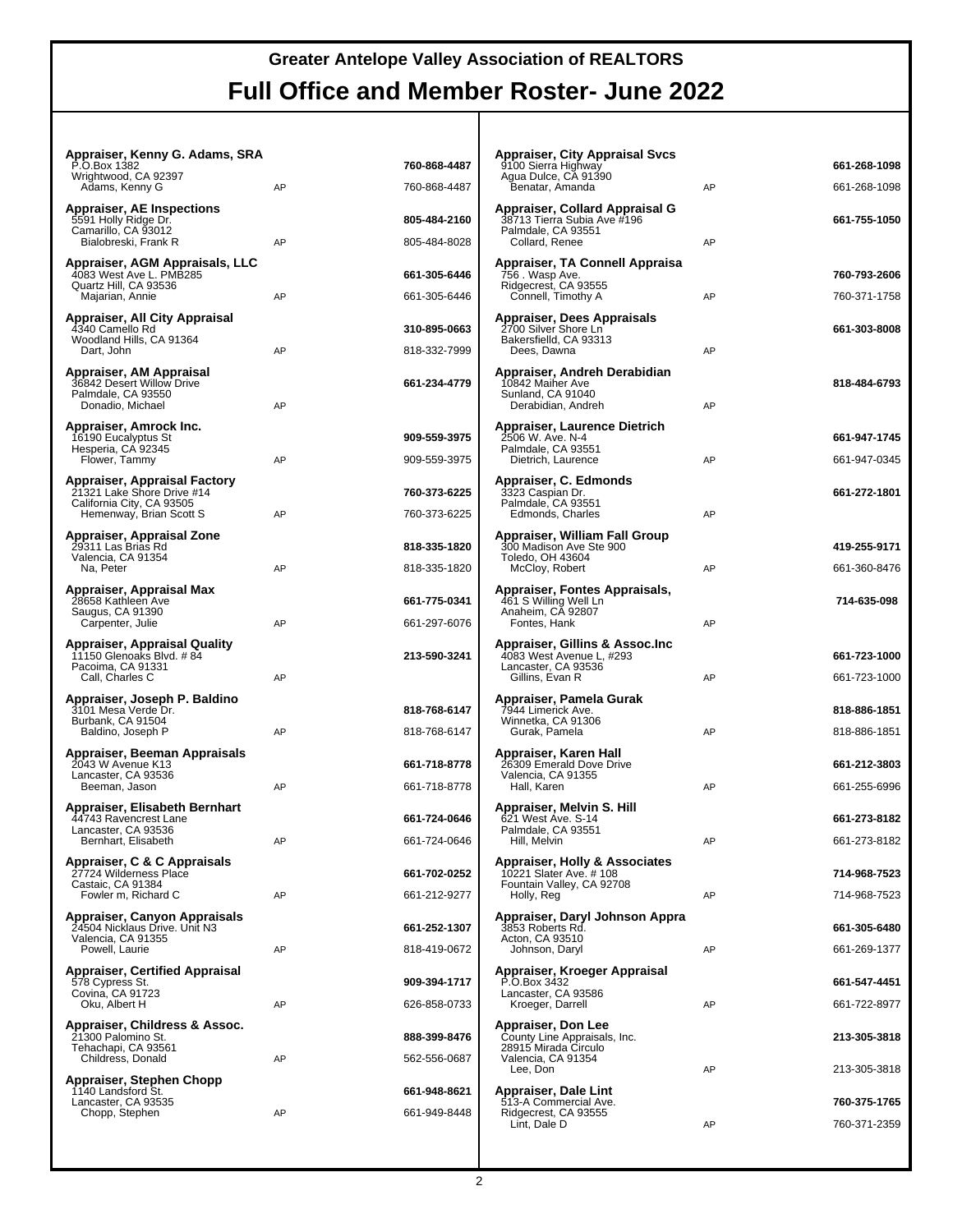#### **Appraiser, Kenny G. Adams, SRA**

| P.O.Box 1382<br>Wrightwood, CA 92397                                               |    | 760-868-4487 |
|------------------------------------------------------------------------------------|----|--------------|
| Adams, Kenny G<br><b>Appraiser, AE Inspections</b>                                 | AP | 760-868-4487 |
| 5591 Holly Ridge Dr.                                                               |    | 805-484-2160 |
| Camarillo, CA 93012<br>Bialobreski, Frank R                                        | AP | 805-484-8028 |
| Appraiser, AGM Appraisals, LLC<br>4083 West Ave L. PMB285<br>Quartz Hill, CA 93536 |    | 661-305-6446 |
| Majarian, Annie<br>Appraiser, All City Appraisal                                   | AP | 661-305-6446 |
| 4340 Camello Rd                                                                    |    | 310-895-0663 |
| Woodland Hills, CA 91364<br>Dart, John                                             | AP | 818-332-7999 |
| Appraiser, AM Appraisal<br>36842 Desert Willow Drive                               |    | 661-234-4779 |
| Palmdale, CA 93550<br>Donadio, Michael                                             | AP |              |
|                                                                                    |    |              |
| Appraiser, Amrock Inc.<br>16190 Eucalyptus St                                      |    | 909-559-3975 |
| Hesperia, CA 92345<br>Flower, Tammy                                                | AP | 909-559-3975 |
| Appraiser, Appraisal Factory                                                       |    |              |
| 21321 Lake Shore Drive #14<br>California City, CA 93505                            |    | 760-373-6225 |
| Hemenway, Brian Scott S                                                            | AP | 760-373-6225 |
| Appraiser, Appraisal Zone<br>29311 Las Brias Rd                                    |    | 818-335-1820 |
| Valencia, CA 91354<br>Na, Peter                                                    | AP | 818-335-1820 |
| Appraiser, Appraisal Max                                                           |    |              |
| 28658 Kathleen Ave<br>Saugus, CA 91390                                             |    | 661-775-0341 |
| Carpenter, Julie                                                                   | AP | 661-297-6076 |
| Appraiser, Appraisal Quality<br>11150 Glenoaks Blvd. #84                           |    | 213-590-3241 |
| Pacoima, CA 91331<br>Call, Charles C                                               | AP |              |
| Appraiser, Joseph P. Baldino                                                       |    |              |
|                                                                                    |    |              |
| 3101 Mesa Verde Dr.                                                                |    | 818-768-6147 |
| Burbank, CA 91504<br>Baldino, Joseph P                                             | AP | 818-768-6147 |
| Appraiser, Beeman Appraisals                                                       |    |              |
| 2043 W Avenue K13                                                                  |    | 661-718-8778 |
| Lancaster, CA 93536<br>Beeman, Jason                                               | AP | 661-718-8778 |
| Appraiser, Elisabeth Bernhart                                                      |    |              |
| 44743 Ravencrest Lane<br>Lancaster, CA 93536                                       |    | 661-724-0646 |
| Bernhart, Elisabeth                                                                | AP | 661-724-0646 |
| Appraiser, C & C Appraisals<br>27724 Wilderness Place                              |    | 661-702-0252 |
| Castaic, CA 91384<br>Fowler m, Richard C                                           | AP | 661-212-9277 |
| Appraiser, Canyon Appraisals                                                       |    |              |
| 24504 Nicklaus Drive. Unit N3<br>Valencia, CA 91355                                |    | 661-252-1307 |
| Powell, Laurie                                                                     | AP | 818-419-0672 |
| <b>Appraiser, Certified Appraisal</b>                                              |    | 909-394-1717 |
| 578 Cypress St.<br>Covina, CA 91723                                                | AP | 626-858-0733 |
| Oku, Albert H                                                                      |    |              |
| Appraiser, Childress & Assoc.<br>21300 Palomino St.                                |    | 888-399-8476 |
| Tehachapi, CA 93561<br>Childress, Donald                                           | AP | 562-556-0687 |
| Appraiser, Stephen Chopp                                                           |    |              |
| 1140 Landsford St.<br>Lancaster, CA 93535                                          |    | 661-948-8621 |
| Chopp, Stephen                                                                     | AP | 661-949-8448 |

| Appraiser, City Appraisal Svcs<br>9100 Sierra Highway<br>Agua Dulce, CA 91390<br>Benatar, Amanda | AP | 661-268-1098<br>661-268-1098 |
|--------------------------------------------------------------------------------------------------|----|------------------------------|
| Appraiser, Collard Appraisal G<br>38713 Tierra Subia Ave #196<br>Palmdale, CA 93551              |    | 661-755-1050                 |
| Collard, Renee<br>Appraiser, TA Connell Appraisa<br>756 . Wasp Ave.                              | AP | 760-793-2606                 |
| Ridgecrest, CA 93555<br>Connell, Timothy A                                                       | AP | 760-371-1758                 |
| Appraiser, Dees Appraisals<br>2700 Silver Shore Ln<br>Bakersfielld, CA 93313<br>Dees, Dawna      | AP | 661-303-8008                 |
| Appraiser, Andreh Derabidian<br>10842 Maiher Ave<br>Sunland, CA 91040<br>Derabidian, Andreh      | AP | 818-484-6793                 |
| Appraiser, Laurence Dietrich<br>2506 W. Ave. N-4                                                 |    | 661-947-1745                 |
| Palmdale, CA 93551<br>Dietrich, Laurence                                                         | AP | 661-947-0345                 |
| Appraiser, C. Edmonds<br>3323 Caspian Dr.<br>Palmdale, CA 93551<br>Edmonds, Charles              | AP | 661-272-1801                 |
| Appraiser, William Fall Group<br>300 Madison Ave Ste 900                                         |    | 419-255-9171                 |
| Toledo, OH 43604<br>McCloy, Robert                                                               | AP | 661-360-8476                 |
| Appraiser, Fontes Appraisals,<br>461 S Willing Well Ln<br>Anaheim, CA 92807<br>Fontes, Hank      | AP | 714-635-098                  |
| Appraiser, Gillins & Assoc.Inc                                                                   |    |                              |
| 4083 West Avenue L, #293<br>Lancaster, CA 93536<br>Gillins, Evan R                               | AP | 661-723-1000<br>661-723-1000 |
| Appraiser, Pamela Gurak<br>7944 Limerick Ave.                                                    |    | 818-886-1851                 |
| Winnetka, CA 91306<br>Gurak, Pamela                                                              | AP | 818-886-1851                 |
| Appraiser, Karen Hall<br>26309 Emerald Dove Drive<br>Valencia, CA 91355                          |    | 661-212-3803                 |
| Hall, Karen<br>Appraiser, Melvin S. Hill                                                         | AP | 661-255-6996                 |
| 621 West Ave. S-14<br>Palmdale, CA 93551                                                         |    | 661-273-8182                 |
| Hill, Melvin                                                                                     | АΡ | 661-273-8182                 |
| <b>Appraiser, Holly &amp; Associates</b><br>10221 Slater Ave. # 108<br>Fountain Valley, CA 92708 |    | 714-968-7523                 |
| Holly, Reg                                                                                       | AP | 714-968-7523                 |
| Appraiser, Daryl Johnson Appra<br>3853 Roberts Rd.<br>Acton, CA 93510                            |    | 661-305-6480                 |
| Johnson, Daryl                                                                                   | AP | 661-269-1377                 |
| Appraiser, Kroeger Appraisal<br>P.O.Box 3432<br>Lancaster, CA 93586<br>Kroeger, Darrell          | AP | 661-547-4451<br>661-722-8977 |
| Appraiser, Don Lee<br>County Line Appraisals, Inc.<br>28915 Mirada Circulo                       |    | 213-305-3818                 |
| Valencia, CA 91354<br>Lee, Don                                                                   | AP | 213-305-3818                 |
| Appraiser, Dale Lint<br>513-A Commercial Ave.<br>Ridgecrest, CA 93555                            |    | 760-375-1765                 |
| Lint, Dale D                                                                                     |    |                              |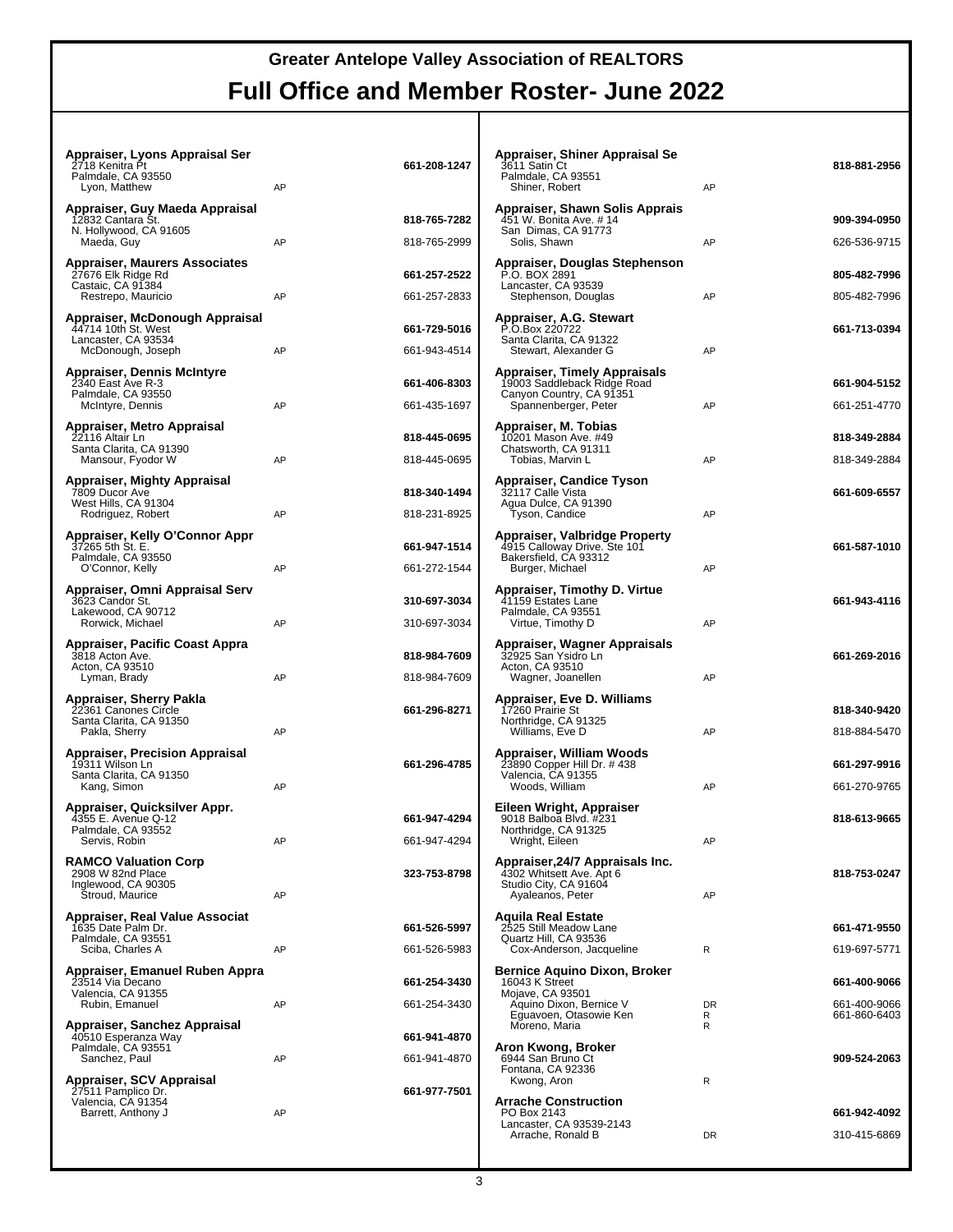| Appraiser, Lyons Appraisal Ser<br>2718 Kenitra Pt<br>Palmdale, CA 93550<br>Lyon, Matthew              | AP | 661-208-1247                 |
|-------------------------------------------------------------------------------------------------------|----|------------------------------|
| Appraiser, Guy Maeda Appraisal<br>12832 Cantara St.<br>N. Hollywood, CA 91605<br>Maeda, Guy           | AP | 818-765-7282<br>818-765-2999 |
| <b>Appraiser, Maurers Associates</b><br>27676 Elk Ridge Rd<br>Castaic, CA 91384<br>Restrepo, Mauricio | AP | 661-257-2522<br>661-257-2833 |
| Appraiser, McDonough Appraisal<br>44714 10th St. West<br>Lancaster, CA 93534<br>McDonough, Joseph     | AP | 661-729-5016<br>661-943-4514 |
| Appraiser, Dennis McIntyre<br>2340 East Ave R-3<br>Palmdale, CA 93550<br>McIntyre, Dennis             | AP | 661-406-8303<br>661-435-1697 |
| Appraiser, Metro Appraisal<br>22116 Altair Ln<br>Santa Clarita, CA 91390<br>Mansour, Fyodor W         | AP | 818-445-0695<br>818-445-0695 |
| Appraiser, Mighty Appraisal<br>7809 Ducor Ave<br>West Hills, CA 91304<br>Rodriguez, Robert            | AP | 818-340-1494<br>818-231-8925 |
| Appraiser, Kelly O'Connor Appr<br>37265 5th St. E.<br>Palmdale, CA 93550<br>O'Connor, Kelly           | AP | 661-947-1514<br>661-272-1544 |
| Appraiser, Omni Appraisal Serv<br>3623 Candor St.<br>Lakewood, CA 90712<br>Rorwick, Michael           | AP | 310-697-3034<br>310-697-3034 |
| Appraiser, Pacific Coast Appra<br>3818 Acton Ave.<br>Acton, CA 93510<br>Lyman, Brady                  | AP | 818-984-7609<br>818-984-7609 |
| Appraiser, Sherry Pakla<br>22361 Canones Circle<br>Santa Clarita, CA 91350<br>Pakla, Sherry           | AP | 661-296-8271                 |
| <b>Appraiser, Precision Appraisal</b><br>19311 Wilson Ln<br>Santa Clarita, CA 91350<br>Kang, Simon    | AP | 661-296-4785                 |
| Appraiser, Quicksilver Appr.<br>4355 E. Avenue Q-12<br>Palmdale, CA 93552<br>Servis, Robin            | AP | 661-947-4294<br>661-947-4294 |
| <b>RAMCO Valuation Corp</b><br>2908 W 82nd Place<br>Inglewood, CA 90305<br>Stroud, Maurice            | AP | 323-753-8798                 |
| Appraiser, Real Value Associat<br>1635 Date Palm Dr.<br>Palmdale, CA 93551<br>Sciba, Charles A        | AP | 661-526-5997<br>661-526-5983 |
| Appraiser, Emanuel Ruben Appra<br>23514 Via Decano<br>Valencia, CA 91355<br>Rubin, Emanuel            | AP | 661-254-3430<br>661-254-3430 |
| Appraiser, Sanchez Appraisal<br>40510 Esperanza Way<br>Palmdale, CA 93551<br>Sanchez, Paul            | AP | 661-941-4870<br>661-941-4870 |
| Appraiser, SCV Appraisal<br>27511 Pamplico Dr.<br>Valencia, CA 91354<br>Barrett, Anthony J            | AP | 661-977-7501                 |

| Appraiser, Shiner Appraisal Se<br>3611 Satin Ct<br>Palmdale, CA 93551<br>Shiner, Robert                                 | AP             | 818-881-2956                                 |
|-------------------------------------------------------------------------------------------------------------------------|----------------|----------------------------------------------|
| Appraiser, Shawn Solis Apprais<br>451 W. Bonita Ave. # 14<br>San Dimas, CA 91773<br>Solis, Shawn                        | AP             | 909-394-0950<br>626-536-9715                 |
| Appraiser, Douglas Stephenson<br>P.O. BOX 2891<br>Lancaster, CA 93539                                                   | AP             | 805-482-7996<br>805-482-7996                 |
| Stephenson, Douglas<br>Appraiser, A.G. Stewart<br>P.O.Box 220722<br>Santa Clarita, CA 91322<br>Stewart, Alexander G     | AP             | 661-713-0394                                 |
| Appraiser, Timely Appraisals<br>19003 Saddleback Ridge Road<br>Canyon Country, CA 91351<br>Spannenberger, Peter         | AP             | 661-904-5152<br>661-251-4770                 |
| Appraiser, M. Tobias<br>10201 Mason Ave. #49<br>Chatsworth, CA 91311<br>Tobias, Marvin L                                | AP             | 818-349-2884<br>818-349-2884                 |
| Appraiser, Candice Tyson<br>32117 Calle Vista<br>Agua Dulce, CA 91390<br>Tyson, Candice                                 | AP             | 661-609-6557                                 |
| Appraiser, Valbridge Property<br>4915 Calloway Drive. Ste 101<br>Bakersfield, CA 93312<br>Burger, Michael               | AP             | 661-587-1010                                 |
| Appraiser, Timothy D. Virtue<br>41159 Estates Lane<br>Palmdale, CA 93551<br>Virtue, Timothy D                           | AP             | 661-943-4116                                 |
| Appraiser, Wagner Appraisals<br>32925 San Ysidro Ln<br>Acton, CA 93510<br>Wagner, Joanellen                             | AP             | 661-269-2016                                 |
| Appraiser, Eve D. Williams<br>17260 Prairie St<br>Northridge, CA 91325<br>Williams, Eve D                               | AP             | 818-340-9420<br>818-884-5470                 |
| Appraiser, William Woods<br>23890 Copper Hill Dr. # 438<br>Valencia, CA 91355<br>Woods, William                         | AP             | 661-297-9916<br>661-270-9765                 |
| Eileen Wright, Appraiser<br>9018 Balboa Blvd. #231<br>Northridge, CA 91325<br>Wright, Eileen                            | AP             | 818-613-9665                                 |
| Appraiser, 24/7 Appraisals Inc.<br>4302 Whitsett Ave. Apt 6<br>Studio City, CA 91604<br>Ayaleanos, Peter                | AP             | 818-753-0247                                 |
| <b>Aguila Real Estate</b><br>2525 Still Meadow Lane<br>Quartz Hill, CA 93536<br>Cox-Anderson, Jacqueline                | R              | 661-471-9550<br>619-697-5771                 |
| Bernice Aquino Dixon, Broker<br>16043 K Street<br>Mojave, CA 93501<br>Aquino Dixon, Bernice V<br>Eguavoen, Otasowie Ken | <b>DR</b><br>R | 661-400-9066<br>661-400-9066<br>661-860-6403 |
| Moreno, Maria<br>Aron Kwong, Broker<br>6944 San Bruno Ct<br>Fontana, CA 92336                                           | R              | 909-524-2063                                 |
| Kwong, Aron<br><b>Arrache Construction</b><br>PO Box 2143<br>Lancaster, CA 93539-2143<br>Arrache, Ronald B              | R<br><b>DR</b> | 661-942-4092<br>310-415-6869                 |
|                                                                                                                         |                |                                              |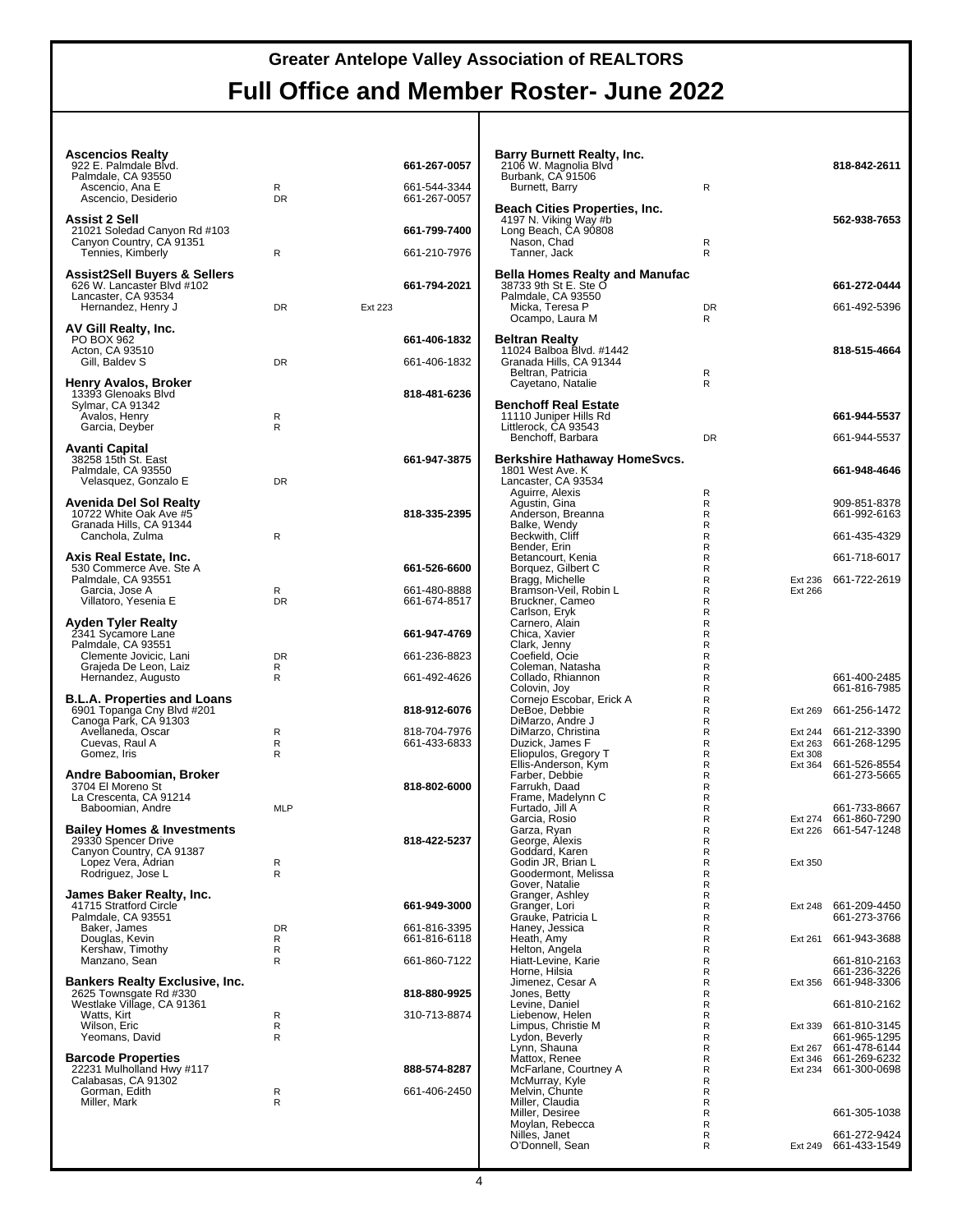| <b>Ascencios Realty</b><br>922 E. Palmdale Blvd.<br>Palmdale, CA 93550 |                |         | 661-267-0057<br>661-544-3344 | Barry Burnett Realty, Inc.<br>2106 W. Magnolia Blvd<br>Burbank, CA 91506     | $\mathsf{R}$                      |                    | 818-842-2611                                 |
|------------------------------------------------------------------------|----------------|---------|------------------------------|------------------------------------------------------------------------------|-----------------------------------|--------------------|----------------------------------------------|
| Ascencio, Ana E<br>Ascencio, Desiderio                                 | R<br><b>DR</b> |         | 661-267-0057                 | Burnett, Barry<br><b>Beach Cities Properties, Inc.</b>                       |                                   |                    |                                              |
| <b>Assist 2 Sell</b><br>21021 Soledad Canyon Rd #103                   |                |         | 661-799-7400                 | 4197 N. Viking Way #b<br>Long Beach, CA 90808                                |                                   |                    | 562-938-7653                                 |
| Canyon Country, CA 91351<br>Tennies, Kimberly                          | R              |         | 661-210-7976                 | Nason, Chad<br>Tanner, Jack                                                  | R<br>R                            |                    |                                              |
| Assist2Sell Buyers & Sellers<br>626 W. Lancaster Blvd #102             |                |         | 661-794-2021                 | <b>Bella Homes Realty and Manufac</b><br>38733 9th St E. Ste O               |                                   |                    | 661-272-0444                                 |
| Lancaster, CA 93534<br>Hernandez, Henry J                              | <b>DR</b>      | Ext 223 |                              | Palmdale, CA 93550<br>Micka, Teresa P                                        | <b>DR</b>                         |                    | 661-492-5396                                 |
| AV Gill Realty, Inc.                                                   |                |         |                              | Ocampo, Laura M                                                              | R                                 |                    |                                              |
| PO BOX 962<br>Acton, CA 93510<br>Gill, Baldev S                        | <b>DR</b>      |         | 661-406-1832<br>661-406-1832 | <b>Beltran Realty</b><br>11024 Balboa Blvd. #1442<br>Granada Hills, CA 91344 |                                   |                    | 818-515-4664                                 |
| Henry Avalos, Broker                                                   |                |         |                              | Beltran, Patricia<br>Cayetano, Natalie                                       | R<br>R                            |                    |                                              |
| 13393 Glenoaks Blvd<br>Sylmar, CA 91342                                |                |         | 818-481-6236                 | <b>Benchoff Real Estate</b>                                                  |                                   |                    |                                              |
| Avalos, Henry<br>Garcia, Deyber                                        | R<br>R         |         |                              | 11110 Juniper Hills Rd<br>Littlerock, CA 93543                               |                                   |                    | 661-944-5537                                 |
| Avanti Capital                                                         |                |         |                              | Benchoff, Barbara                                                            | <b>DR</b>                         |                    | 661-944-5537                                 |
| 38258 15th St. East<br>Palmdale, CA 93550<br>Velasquez, Gonzalo E      | DR             |         | 661-947-3875                 | Berkshire Hathaway HomeSvcs.<br>1801 West Ave. K<br>Lancaster, CA 93534      |                                   |                    | 661-948-4646                                 |
| Avenida Del Sol Realty                                                 |                |         |                              | Aguirre, Alexis<br>Agustin, Gina                                             | $\mathsf{R}$<br>R                 |                    | 909-851-8378                                 |
| 10722 White Oak Ave #5<br>Granada Hills, CA 91344                      |                |         | 818-335-2395                 | Anderson, Breanna<br>Balke, Wendy                                            | $\mathsf{R}$<br>$\mathsf{R}$      |                    | 661-992-6163                                 |
| Canchola, Zulma                                                        | R              |         |                              | Beckwith, Cliff<br>Bender, Erin                                              | $\mathsf{R}$<br>R                 |                    | 661-435-4329                                 |
| Axis Real Estate, Inc.<br>530 Commerce Ave. Ste A                      |                |         | 661-526-6600                 | Betancourt, Kenia<br>Borquez, Gilbert C                                      | R<br>R                            |                    | 661-718-6017                                 |
| Palmdale, CA 93551<br>Garcia, Jose A                                   | R              |         | 661-480-8888                 | Bragg, Michelle<br>Bramson-Veil, Robin L                                     | $\mathsf{R}$<br>$\mathsf{R}$      | Ext 236<br>Ext 266 | 661-722-2619                                 |
| Villatoro, Yesenia E                                                   | <b>DR</b>      |         | 661-674-8517                 | Bruckner, Cameo<br>Carlson, Eryk                                             | $\mathsf{R}$<br>R                 |                    |                                              |
| Ayden Tyler Realty<br>2341 Sycamore Lane                               |                |         | 661-947-4769                 | Carnero, Alain<br>Chica, Xavier                                              | $\mathsf{R}$<br>$\mathsf{R}$      |                    |                                              |
| Palmdale, CA 93551<br>Clemente Jovicic, Lani                           | <b>DR</b>      |         | 661-236-8823                 | Clark, Jenny<br>Coefield, Ocie                                               | $\mathsf{R}$<br>$\mathsf{R}$      |                    |                                              |
| Grajeda De Leon, Laiz<br>Hernandez, Augusto                            | R<br>R         |         | 661-492-4626                 | Coleman, Natasha<br>Collado, Rhiannon                                        | $\mathsf{R}$<br>R<br>R            |                    | 661-400-2485                                 |
| <b>B.L.A. Properties and Loans</b><br>6901 Topanga Cny Blvd #201       |                |         | 818-912-6076                 | Colovin, Joy<br>Cornejo Escobar, Erick A<br>DeBoe, Debbie                    | R<br>$\mathsf{R}$                 | Ext 269            | 661-816-7985<br>661-256-1472                 |
| Canoga Park, CA 91303<br>Avellaneda, Oscar                             | R              |         | 818-704-7976                 | DiMarzo, Andre J<br>DiMarzo, Christina                                       | $\mathsf{R}$<br>R                 | Ext 244            | 661-212-3390                                 |
| Cuevas, Raul A<br>Gomez, Iris                                          | R<br>R         |         | 661-433-6833                 | Duzick, James F<br>Eliopulos, Gregory T                                      | $\mathsf{R}$<br>R                 | Ext 263<br>Ext 308 | 661-268-1295                                 |
| Andre Baboomian, Broker                                                |                |         |                              | Ellis-Anderson, Kym<br>Farber, Debbie                                        | R<br>$\mathsf{R}$                 | Ext 364            | 661-526-8554<br>661-273-5665                 |
| 3704 El Moreno St<br>La Crescenta, CA 91214                            |                |         | 818-802-6000                 | Farrukh, Daad<br>Frame, Madelynn C                                           | $\mathsf{R}$<br>$\mathsf{R}$      |                    |                                              |
| Baboomian, Andre                                                       | <b>MLP</b>     |         |                              | Furtado, Jill A<br>Garcia, Rosio                                             | R<br>R                            |                    | 661-733-8667<br>Ext 274 661-860-7290         |
| <b>Bailey Homes &amp; Investments</b><br>29330 Spencer Drive           |                |         | 818-422-5237                 | Garza, Ryan<br>George, Alexis                                                | R<br>R                            |                    | Ext 226 661-547-1248                         |
| Canyon Country, CA 91387<br>Lopez Vera, Adrian                         | R              |         |                              | Goddard, Karen<br>Godin JR, Brian L                                          | R<br>$\mathsf{R}$                 | Ext 350            |                                              |
| Rodriguez, Jose L                                                      | R              |         |                              | Goodermont, Melissa<br>Gover, Natalie                                        | R<br>R                            |                    |                                              |
| James Baker Realty, Inc.<br>41715 Stratford Circle                     |                |         | 661-949-3000                 | Granger, Ashley<br>Granger, Lori<br>Grauke, Patricia L                       | R<br>$\mathsf{R}$<br>$\mathsf{R}$ |                    | Ext 248 661-209-4450<br>661-273-3766         |
| Palmdale, CA 93551<br>Baker, James<br>Douglas, Kevin                   | <b>DR</b><br>R |         | 661-816-3395<br>661-816-6118 | Haney, Jessica<br>Heath, Amy                                                 | R<br>R                            | Ext 261            | 661-943-3688                                 |
| Kershaw, Timothy<br>Manzano, Sean                                      | R<br>R         |         | 661-860-7122                 | Helton, Angela<br>Hiatt-Levine, Karie                                        | R<br>R                            |                    | 661-810-2163                                 |
| <b>Bankers Realty Exclusive, Inc.</b>                                  |                |         |                              | Horne, Hilsia<br>Jimenez, Cesar A                                            | $\mathsf{R}$<br>R                 | Ext 356            | 661-236-3226<br>661-948-3306                 |
| 2625 Townsgate Rd #330<br>Westlake Village, CA 91361                   |                |         | 818-880-9925                 | Jones, Betty<br>Levine, Daniel                                               | $\mathsf{R}$<br>R                 |                    | 661-810-2162                                 |
| Watts, Kirt<br>Wilson, Eric                                            | R<br>R         |         | 310-713-8874                 | Liebenow, Helen<br>Limpus, Christie M                                        | R<br>R                            |                    | Ext 339 661-810-3145                         |
| Yeomans, David                                                         | R              |         |                              | Lydon, Beverly<br>Lynn, Shauna                                               | R<br>R                            | Ext 267            | 661-965-1295<br>661-478-6144                 |
| <b>Barcode Properties</b><br>22231 Mulholland Hwy #117                 |                |         | 888-574-8287                 | Mattox, Renee<br>McFarlane, Courtney A                                       | R<br>R                            |                    | Ext 346 661-269-6232<br>Ext 234 661-300-0698 |
| Calabasas, CA 91302<br>Gorman, Edith                                   | R              |         | 661-406-2450                 | McMurray, Kyle<br>Melvin, Chunte                                             | R<br>R                            |                    |                                              |
| Miller, Mark                                                           | R              |         |                              | Miller, Claudia<br>Miller, Desiree                                           | R<br>R                            |                    | 661-305-1038                                 |
|                                                                        |                |         |                              | Moylan, Rebecca<br>Nilles, Janet<br>O'Donnell, Sean                          | R<br>R<br>R                       |                    | 661-272-9424<br>Ext 249 661-433-1549         |
|                                                                        |                |         |                              |                                                                              |                                   |                    |                                              |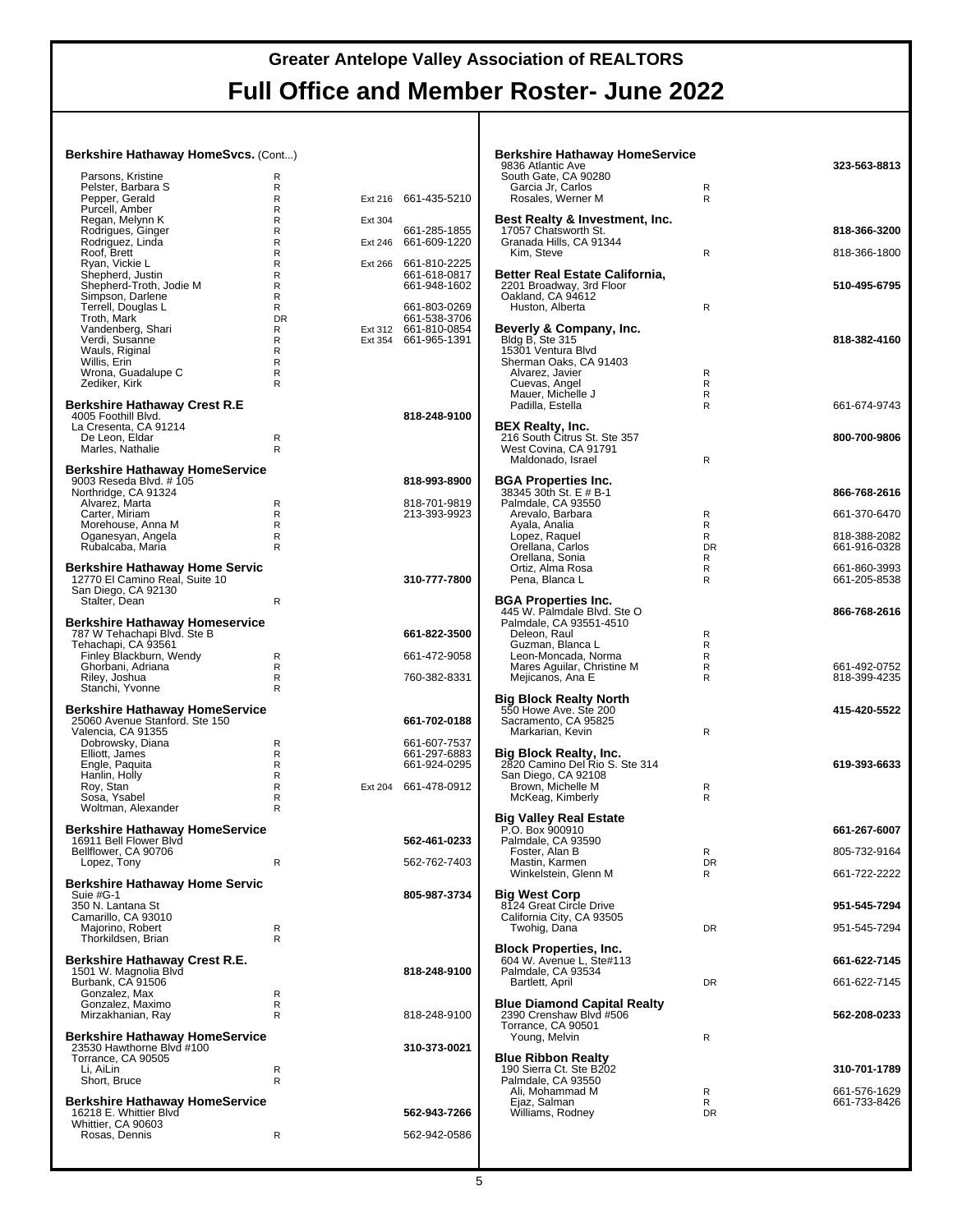#### **Berkshire Hathaway HomeSvcs.** (Cont...)

| Parsons, Kristine                                                       | R                 |                    |                              |
|-------------------------------------------------------------------------|-------------------|--------------------|------------------------------|
| Pelster, Barbara S                                                      | R                 |                    |                              |
| Pepper, Gerald<br>Purcell, Amber                                        | R<br>R            | Ext 216            | 661-435-5210                 |
| Regan, Melynn K                                                         | R                 | Ext 304            |                              |
| Rodrigues, Ginger<br>Rodriguez, Linda                                   | R<br>R            | Ext 246            | 661-285-1855<br>661-609-1220 |
| Roof, Brett                                                             | R                 |                    |                              |
| Ryan, Vickie L<br>Shepherd, Justin                                      | R<br>R            | Ext 266            | 661-810-2225<br>661-618-0817 |
| Shepherd-Troth, Jodie M                                                 | R                 |                    | 661-948-1602                 |
| Simpson, Darlene<br>Terrell, Douglas L                                  | R<br>R            |                    | 661-803-0269                 |
| Troth, Mark                                                             | <b>DR</b><br>R    |                    | 661-538-3706                 |
| Vandenberg, Shari<br>Verdi, Susanne                                     | R                 | Ext 312<br>Ext 354 | 661-810-0854<br>661-965-1391 |
| Wauls, Riginal<br>Willis, Erin                                          | R<br>R            |                    |                              |
| Wrona, Guadalupe C                                                      | R                 |                    |                              |
| Zediker, Kirk                                                           | R                 |                    |                              |
| Berkshire Hathaway Crest R.E<br>4005 Foothill Blvd.                     |                   |                    | 818-248-9100                 |
| La Cresenta, CA 91214                                                   |                   |                    |                              |
| De Leon, Eldar<br>Marles, Nathalie                                      | R<br>R            |                    |                              |
|                                                                         |                   |                    |                              |
| <b>Berkshire Hathaway HomeService</b><br>9003 Reseda Blvd. # 105        |                   |                    | 818-993-8900                 |
| Northridge, CA 91324<br>Alvarez, Marta                                  | R                 |                    | 818-701-9819                 |
| Carter, Miriam                                                          | R                 |                    | 213-393-9923                 |
| Morehouse, Anna M<br>Oganesyan, Angela                                  | R<br>R            |                    |                              |
| Rubalcaba, Maria                                                        | R                 |                    |                              |
| Berkshire Hathaway Home Servic                                          |                   |                    |                              |
| 12770 El Camino Real, Suite 10<br>San Diego, CA 92130                   |                   |                    | 310-777-7800                 |
| Stalter, Dean                                                           | R                 |                    |                              |
| <b>Berkshire Hathaway Homeservice</b>                                   |                   |                    |                              |
| 787 W Tehachapi Blvd. Ste B                                             |                   |                    | 661-822-3500                 |
| Tehachapi, CA 93561<br>Finley Blackburn, Wendy                          | R                 |                    | 661-472-9058                 |
|                                                                         |                   |                    |                              |
| Ghorbani, Adriana                                                       | R                 |                    |                              |
| Riley, Joshua<br>Stanchi, Yvonne                                        | R<br>$\mathsf{R}$ |                    | 760-382-8331                 |
|                                                                         |                   |                    |                              |
| <b>Berkshire Hathaway HomeService</b><br>25060 Avenue Stanford. Ste 150 |                   |                    | 661-702-0188                 |
| Valencia, CA 91355                                                      | R                 |                    | 661-607-7537                 |
| Dobrowsky, Diana<br>Elliott, James                                      | $\mathsf{R}$      |                    | 661-297-6883                 |
| Engle, Paquita<br>Hanlin, Holly                                         | R<br>R            |                    | 661-924-0295                 |
| Roy, Stan                                                               | R                 | Ext 204            | 661-478-0912                 |
| Sosa, Ysabel<br>Woltman, Alexander                                      | R<br>R            |                    |                              |
|                                                                         |                   |                    |                              |
| <b>Berkshire Hathaway HomeService</b><br>16911 Bell Flower Blvd         |                   |                    | 562-461-0233                 |
| Bellflower, CA 90706<br>Lopez, Tony                                     |                   |                    | 562-762-7403                 |
|                                                                         |                   |                    |                              |
| <b>Berkshire Hathaway Home Servic</b><br>Suie #G-1                      |                   |                    | 805-987-3734                 |
| 350 N. Lantana St<br>Camarillo, CA 93010                                |                   |                    |                              |
| Majorino, Robert                                                        | R                 |                    |                              |
| Thorkildsen, Brian                                                      | R                 |                    |                              |
| Berkshire Hathaway Crest R.E.<br>1501 W. Magnolia Blvd                  |                   |                    | 818-248-9100                 |
| Burbank, CA 91506                                                       |                   |                    |                              |
| Gonzalez, Max<br>Gonzalez, Maximo                                       | R<br>R            |                    |                              |
| Mirzakhanian, Ray                                                       | R                 |                    | 818-248-9100                 |
| <b>Berkshire Hathaway HomeService</b>                                   |                   |                    |                              |
| 23530 Hawthorne Blvd #100<br>Torrance, CA 90505                         |                   |                    | 310-373-0021                 |
| Li, AiLin                                                               | R                 |                    |                              |
| Short, Bruce                                                            | R                 |                    |                              |
| <b>Berkshire Hathaway HomeService</b><br>16218 E. Whittier Blvd         |                   |                    | 562-943-7266                 |
| Whittier, CA 90603<br>Rosas, Dennis                                     | R                 |                    | 562-942-0586                 |

| <b>Berkshire Hathaway HomeService</b><br>9836 Atlantic Ave<br>South Gate, CA 90280<br>Garcia Jr, Carlos<br>Rosales, Werner M | R<br>R              | 323-563-8813                 |
|------------------------------------------------------------------------------------------------------------------------------|---------------------|------------------------------|
| Best Realty & Investment, Inc.<br>17057 Chatsworth St.<br>Granada Hills, CA 91344<br>Kim, Steve                              | R                   | 818-366-3200<br>818-366-1800 |
| Better Real Estate California,<br>2201 Broadway, 3rd Floor<br>Oakland, CA 94612<br>Huston, Alberta                           | R                   | 510-495-6795                 |
| Beverly & Company, Inc.<br>Bldg B, Ste 315<br>15301 Ventura Blvd<br>Sherman Oaks, CA 91403<br>Alvarez, Javier                | R                   | 818-382-4160                 |
| Cuevas, Angel<br>Mauer, Michelle J<br>Padilla, Estella                                                                       | R<br>R<br>R         | 661-674-9743                 |
| <b>BEX Realty, Inc.</b><br>216 South Citrus St. Ste 357<br>West Covina, CA 91791<br>Maldonado, Israel                        | R                   | 800-700-9806                 |
| <b>BGA Properties Inc.</b><br>38345 30th St. E # B-1<br>Palmdale, CA 93550<br>Arevalo, Barbara                               | R                   | 866-768-2616<br>661-370-6470 |
| Ayala, Analia<br>Lopez, Raquel<br>Orellana, Carlos                                                                           | R<br>R<br><b>DR</b> | 818-388-2082<br>661-916-0328 |
| Orellana, Sonia<br>Ortiz, Alma Rosa<br>Pena, Blanca L                                                                        | R<br>R<br>R         | 661-860-3993<br>661-205-8538 |
| <b>BGA Properties Inc.</b><br>445 W. Palmdale Blvd. Ste O<br>Palmdale, CA 93551-4510<br>Deleon, Raul                         | R                   | 866-768-2616                 |
| Guzman, Blanca L<br>Leon-Moncada, Norma<br>Mares Aguilar, Christine M<br>Mejicanos, Ana E                                    | R<br>R<br>R<br>R    | 661-492-0752<br>818-399-4235 |
| <b>Big Block Realty North</b><br>550 Howe Ave. Ste 200<br>Sacramento, CA 95825<br>Markarian, Kevin                           | R                   | 415-420-5522                 |
| Big Block Realty, Inc.<br>2820 Camino Del Rio S. Ste 314<br>San Diego, CA 92108<br>Brown, Michelle M<br>McKeag, Kimberly     | R<br>R              | 619-393-6633                 |
| <b>Big Valley Real Estate</b><br>P.O. Box 900910<br>Palmdale, CA 93590                                                       |                     | 661-267-6007                 |
| Foster, Alan B<br>Mastin, Karmen<br>Winkelstein, Glenn M                                                                     | R<br><b>DR</b><br>R | 805-732-9164<br>661-722-2222 |
| <b>Big West Corp</b><br>8124 Great Circle Drive<br>California City, CA 93505                                                 |                     | 951-545-7294                 |
| Twohig, Dana<br><b>Block Properties, Inc.</b><br>604 W. Avenue L, Ste#113                                                    | <b>DR</b>           | 951-545-7294<br>661-622-7145 |
| Palmdale, CA 93534<br>Bartlett, April                                                                                        | DR                  | 661-622-7145                 |
| <b>Blue Diamond Capital Realty</b><br>2390 Crenshaw Blvd #506<br>Torrance, CA 90501<br>Young, Melvin                         | R                   | 562-208-0233                 |
| <b>Blue Ribbon Realty</b><br>190 Sierra Ct. Ste B202                                                                         |                     | 310-701-1789                 |
| Palmdale, CA 93550<br>Ali, Mohammad M<br>Ejaz, Salman<br>Williams, Rodney                                                    | R<br>R<br>DR        | 661-576-1629<br>661-733-8426 |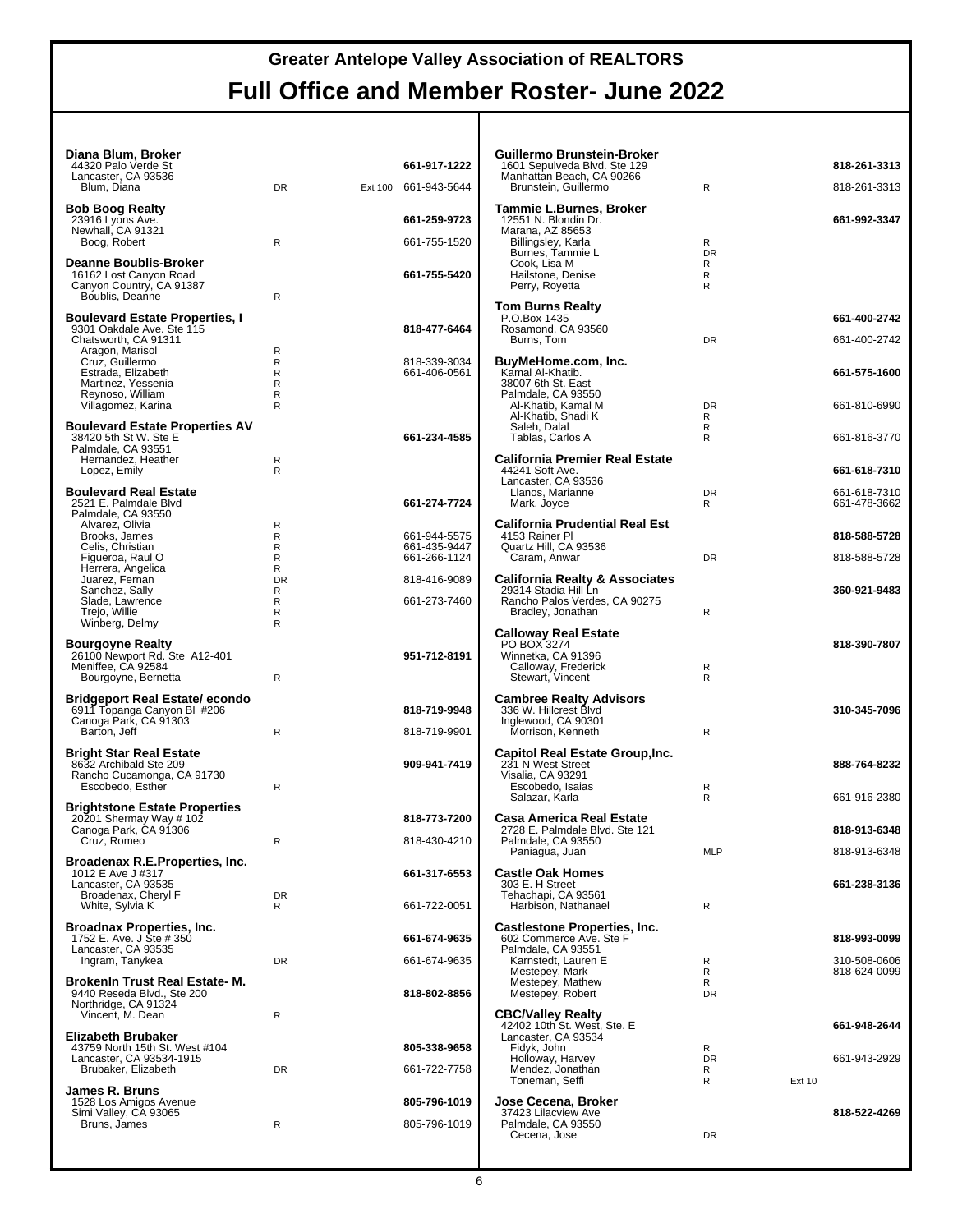| Diana Blum, Broker<br>44320 Palo Verde St<br>Lancaster, CA 93536<br>Blum, Diana                                          | DR.                        | Ext 100 | 661-917-1222<br>661-943-5644                 | Guillerr<br>1601 S<br>Manhat<br>Bruns                                 |
|--------------------------------------------------------------------------------------------------------------------------|----------------------------|---------|----------------------------------------------|-----------------------------------------------------------------------|
| <b>Bob Boog Realty</b><br>23916 Lyons Ave.<br>Newhall, CA 91321                                                          |                            |         | 661-259-9723                                 | Tammi<br>12551<br>Marana                                              |
| Boog, Robert                                                                                                             | R                          |         | 661-755-1520                                 | Billing                                                               |
| <b>Deanne Boublis-Broker</b><br>16162 Lost Canyon Road<br>Canyon Country, CA 91387<br>Boublis, Deanne                    | R                          |         | 661-755-5420                                 | Burne<br>Cook.<br>Hailst<br>Perry                                     |
| <b>Boulevard Estate Properties, I</b><br>9301 Oakdale Ave. Ste 115<br>Chatsworth, CA 91311                               |                            |         | 818-477-6464                                 | Tom Bเ<br>P.O.Bo:<br>Rosamo<br>Burns                                  |
| Aragon, Marisol<br>Cruz, Guillermo<br>Estrada, Elizabeth<br>Martinez, Yessenia<br>Reynoso, William<br>Villagomez, Karina | R<br>R<br>R<br>R<br>R<br>R |         | 818-339-3034<br>661-406-0561                 | <b>BuyMel</b><br>Kamal <i>I</i><br>380076<br>Palmda<br>Al-Kh<br>Al-Kh |
| <b>Boulevard Estate Properties AV</b><br>38420 5th St W. Ste E<br>Palmdale, CA 93551                                     |                            |         | 661-234-4585                                 | Saleh<br>Tabla                                                        |
| Hernandez, Heather<br>Lopez, Emily                                                                                       | R<br>R                     |         |                                              | Califorr<br>44241 \$<br>Lancast                                       |
| <b>Boulevard Real Estate</b><br>2521 E. Palmdale Blvd<br>Palmdale, CA 93550                                              |                            |         | 661-274-7724                                 | Llano<br>Mark,<br>Califorr                                            |
| Alvarez, Olivia<br>Brooks, James<br>Celis, Christian<br>Figueroa, Raul O<br>Herrera, Angelica                            | R<br>R<br>R<br>R<br>R      |         | 661-944-5575<br>661-435-9447<br>661-266-1124 | 4153 R<br>Quartz<br>Carar                                             |
| Juarez, Fernan<br>Sanchez, Sally                                                                                         | <b>DR</b><br>R             |         | 818-416-9089                                 | Califorr<br>29314 S                                                   |
| Slade, Lawrence<br>Trejo, Willie<br>Winberg, Delmy                                                                       | R<br>R<br>R                |         | 661-273-7460                                 | Rancho<br>Bradk                                                       |
| <b>Bourgoyne Realty</b><br>26100 Newport Rd. Ste A12-401<br>Meniffee, CA 92584<br>Bourgoyne, Bernetta                    | R                          |         | 951-712-8191                                 | Callowa<br>PO BO.<br>Winnetl<br>Calloy<br><b>Stewa</b>                |
| <b>Bridgeport Real Estate/ econdo</b><br>6911 Topanga Canyon BI #206<br>Canoga Park, CA 91303                            |                            |         | 818-719-9948                                 | Cambre<br>336 W.<br>Inglewo                                           |
| Barton, Jeff                                                                                                             | R                          |         | 818-719-9901                                 | Morris                                                                |
| <b>Bright Star Real Estate</b><br>8632 Archibald Ste 209<br>Rancho Cucamonga, CA 91730<br>Escobedo, Esther               | R                          |         | 909-941-7419                                 | Capitol<br>231 N V<br>Visalia,<br>Escot<br>Salaz                      |
| <b>Brightstone Estate Properties</b><br>20201 Shermay Way # 102                                                          |                            |         | 818-773-7200                                 | Casa A                                                                |
| Canoga Park, CA 91306<br>Cruz, Romeo                                                                                     | R                          |         | 818-430-4210                                 | 2728 E.<br>Palmda                                                     |
| Broadenax R.E.Properties, Inc.<br>1012 E Ave J #317<br>Lancaster, CA 93535<br>Broadenax, Cheryl F                        | <b>DR</b>                  |         | 661-317-6553                                 | Pania<br>ا Castle<br>303 E.I<br>Tehach                                |
| White, Sylvia K                                                                                                          | R                          |         | 661-722-0051                                 | Harbi:                                                                |
| <b>Broadnax Properties, Inc.</b><br>1752 E. Ave. J Ste # 350<br>Lancaster, CA 93535                                      |                            |         | 661-674-9635                                 | Castles<br>602 Cor<br>Palmda                                          |
| Ingram, Tanykea<br><b>Brokenin Trust Real Estate-M.</b>                                                                  | <b>DR</b>                  |         | 661-674-9635                                 | Karns<br>Meste<br>Meste                                               |
| 9440 Reseda Blvd., Ste 200<br>Northridge, CA 91324<br>Vincent, M. Dean                                                   | R                          |         | 818-802-8856                                 | Meste<br><b>CBC/Va</b>                                                |
| <b>Elizabeth Brubaker</b>                                                                                                |                            |         |                                              | 42402 1<br>Lancast                                                    |
| 43759 North 15th St. West #104<br>Lancaster, CA 93534-1915                                                               |                            |         | 805-338-9658                                 | Fidyk.<br>Holloy                                                      |
| Brubaker, Elizabeth                                                                                                      | <b>DR</b>                  |         | 661-722-7758                                 | Mend<br>Toner                                                         |
| <b>James R. Bruns</b><br>1528 Los Amigos Avenue<br>Simi Valley, CA 93065                                                 |                            |         | 805-796-1019                                 | Jose Cı<br>37423 L                                                    |
| Bruns, James                                                                                                             | R                          |         | 805-796-1019                                 | Palmda<br>Cecer                                                       |

| Guillermo Brunstein-Broker<br>1601 Sepulveda Blvd. Ste 129<br>Manhattan Beach, CA 90266<br>Brunstein, Guillermo                                                      | R                             |        | 818-261-3313<br>818-261-3313 |
|----------------------------------------------------------------------------------------------------------------------------------------------------------------------|-------------------------------|--------|------------------------------|
| Tammie L.Burnes, Broker<br>12551 N. Blondin Dr.<br>Marana, AZ 85653<br>Billingsley, Karla<br>Burnes, Tammie L<br>Cook, Lisa M<br>Hailstone, Denise<br>Perry, Royetta | R<br><b>DR</b><br>R<br>R<br>R |        | 661-992-3347                 |
| <b>Tom Burns Realty</b><br>P.O.Box 1435<br>Rosamond, CA 93560<br>Burns, Tom                                                                                          | <b>DR</b>                     |        | 661-400-2742<br>661-400-2742 |
| BuyMeHome.com, Inc.<br>Kamal Al-Khatib.<br>38007 6th St. East                                                                                                        |                               |        | 661-575-1600                 |
| Palmdale, CA 93550<br>Al-Khatib, Kamal M<br>Al-Khatib, Shadi K<br>Saleh, Dalal                                                                                       | DR.<br>R<br>R                 |        | 661-810-6990                 |
| Tablas, Carlos A                                                                                                                                                     | R                             |        | 661-816-3770                 |
| <b>California Premier Real Estate</b><br>44241 Soft Ave.<br>Lancaster, CA 93536                                                                                      |                               |        | 661-618-7310                 |
| Llanos, Marianne<br>Mark, Joyce                                                                                                                                      | DR<br>R                       |        | 661-618-7310<br>661-478-3662 |
| <b>California Prudential Real Est</b><br>4153 Rainer Pl                                                                                                              |                               |        | 818-588-5728                 |
| Quartz Hill, CA 93536<br>Caram, Anwar                                                                                                                                | <b>DR</b>                     |        | 818-588-5728                 |
| <b>California Realty &amp; Associates</b>                                                                                                                            |                               |        |                              |
| 29314 Stadia Hill Ln<br>Rancho Palos Verdes, CA 90275<br>Bradley, Jonathan                                                                                           | R                             |        | 360-921-9483                 |
| <b>Calloway Real Estate</b>                                                                                                                                          |                               |        |                              |
| PO BOX 3274<br>Winnetka, CA 91396<br>Calloway, Frederick<br>Stewart, Vincent                                                                                         | R<br>R                        |        | 818-390-7807                 |
| <b>Cambree Realty Advisors</b><br>336 W. Hillcrest Blvd<br>Inglewood, CA 90301<br>Morrison, Kenneth                                                                  | R                             |        | 310-345-7096                 |
| Capitol Real Estate Group, Inc.<br>231 N West Street<br>Visalia, CA 93291                                                                                            |                               |        | 888-764-8232                 |
| Escobedo, Isaias<br>Salazar, Karla                                                                                                                                   | R<br>R                        |        | 661-916-2380                 |
| Casa America Real Estate<br>2728 E. Palmdale Blvd. Ste 121                                                                                                           |                               |        | 818-913-6348                 |
| Palmdale, CA 93550<br>Paniagua, Juan                                                                                                                                 | MLP                           |        | 818-913-6348                 |
| <b>Castle Oak Homes</b><br>303 E. H Street<br>Tehachapi, CA 93561                                                                                                    |                               |        | 661-238-3136                 |
| Harbison, Nathanael                                                                                                                                                  | R                             |        |                              |
| <b>Castlestone Properties, Inc.</b><br>602 Commerce Ave. Ste F<br>Palmdale, CA 93551                                                                                 |                               |        | 818-993-0099                 |
| Karnstedt, Lauren E<br>Mestepey, Mark<br>Mestepey, Mathew<br>Mestepey, Robert                                                                                        | R<br>R<br>R<br><b>DR</b>      |        | 310-508-0606<br>818-624-0099 |
| <b>CBC/Valley Realty</b>                                                                                                                                             |                               |        |                              |
| 42402 10th St. West, Ste. E<br>Lancaster, CA 93534<br>Fidyk, John                                                                                                    | R                             |        | 661-948-2644                 |
| Holloway, Harvey<br>Mendez, Jonathan<br>Toneman, Seffi                                                                                                               | <b>DR</b><br>R<br>R           | Ext 10 | 661-943-2929                 |
| Jose Cecena, Broker<br>37423 Lilacview Ave                                                                                                                           |                               |        | 818-522-4269                 |
| Palmdale, CA 93550<br>Cecena, Jose                                                                                                                                   | DR                            |        |                              |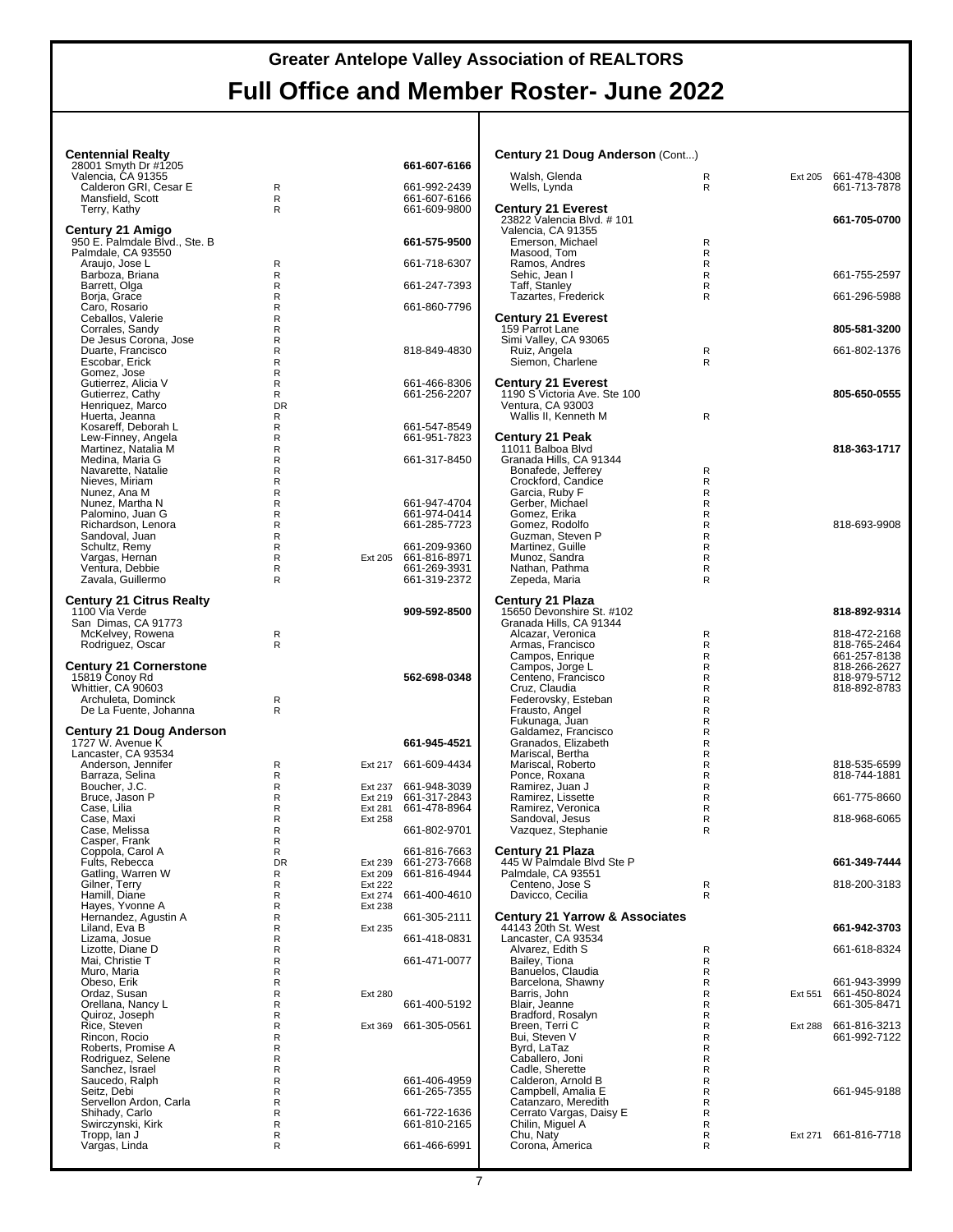| <b>Centennial Realty</b>                            |                   |                           |                                      | Century 21 Doug Anderson (Cont)                           |                             |                |                                      |
|-----------------------------------------------------|-------------------|---------------------------|--------------------------------------|-----------------------------------------------------------|-----------------------------|----------------|--------------------------------------|
| 28001 Smyth Dr #1205<br>Valencia, CA 91355          |                   |                           | 661-607-6166                         | Walsh, Glenda                                             | R                           |                | Ext 205 661-478-4308                 |
| Calderon GRI, Cesar E<br>Mansfield, Scott           | R<br>R            |                           | 661-992-2439<br>661-607-6166         | Wells, Lynda                                              | R                           |                | 661-713-7878                         |
| Terry, Kathy                                        | R                 |                           | 661-609-9800                         | <b>Century 21 Everest</b>                                 |                             |                | 661-705-0700                         |
| Century 21 Amigo                                    |                   |                           |                                      | 23822 Valencia Blvd. #101<br>Valencia, CA 91355           |                             |                |                                      |
| 950 E. Palmdale Blvd., Ste. B<br>Palmdale, CA 93550 |                   |                           | 661-575-9500                         | Emerson, Michael<br>Masood, Tom                           | R<br>R                      |                |                                      |
| Araujo, Jose L                                      | R                 |                           | 661-718-6307                         | Ramos, Andres                                             | $\mathsf{R}$                |                |                                      |
| Barboza, Briana<br>Barrett, Olga                    | R<br>R            |                           | 661-247-7393                         | Sehic, Jean I<br>Taff, Stanley                            | R<br>R                      |                | 661-755-2597                         |
| Borja, Grace<br>Caro, Rosario                       | R<br>R            |                           | 661-860-7796                         | Tazartes, Frederick                                       | R                           |                | 661-296-5988                         |
| Ceballos, Valerie                                   | R                 |                           |                                      | <b>Century 21 Everest</b>                                 |                             |                |                                      |
| Corrales, Sandy<br>De Jesus Corona, Jose            | R<br>R            |                           |                                      | 159 Parrot Lane<br>Simi Valley, CA 93065                  |                             |                | 805-581-3200                         |
| Duarte, Francisco                                   | R                 |                           | 818-849-4830                         | Ruiz, Angela                                              | R                           |                | 661-802-1376                         |
| Escobar, Erick<br>Gomez, Jose                       | R<br>R            |                           |                                      | Siemon, Charlene                                          | $\mathsf{R}$                |                |                                      |
| Gutierrez, Alicia V<br>Gutierrez, Cathy             | R<br>R            |                           | 661-466-8306<br>661-256-2207         | <b>Century 21 Everest</b><br>1190 S Victoria Ave. Ste 100 |                             |                | 805-650-0555                         |
| Henriquez, Marco                                    | <b>DR</b>         |                           |                                      | Ventura, CA 93003                                         |                             |                |                                      |
| Huerta, Jeanna<br>Kosareff, Deborah L               | R<br>R            |                           | 661-547-8549                         | Wallis II, Kenneth M                                      | R                           |                |                                      |
| Lew-Finney, Angela                                  | R                 |                           | 661-951-7823                         | <b>Century 21 Peak</b>                                    |                             |                |                                      |
| Martinez, Natalia M<br>Medina, Maria G              | R<br>$\mathsf{R}$ |                           | 661-317-8450                         | 11011 Balboa Blvd<br>Granada Hills, CA 91344              |                             |                | 818-363-1717                         |
| Navarette, Natalie<br>Nieves, Miriam                | R<br>R            |                           |                                      | Bonafede, Jefferey                                        | R<br>R                      |                |                                      |
| Nunez, Ana M                                        | $\mathsf{R}$      |                           |                                      | Crockford, Candice<br>Garcia, Ruby F                      | $\mathsf{R}$                |                |                                      |
| Nunez, Martha N<br>Palomino, Juan G                 | R<br>R            |                           | 661-947-4704<br>661-974-0414         | Gerber, Michael<br>Gomez, Erika                           | R<br>R                      |                |                                      |
| Richardson, Lenora                                  | $\mathsf{R}$      |                           | 661-285-7723                         | Gomez. Rodolfo                                            | $\mathsf{R}$                |                | 818-693-9908                         |
| Sandoval, Juan<br>Schultz, Remy                     | R<br>R            |                           | 661-209-9360                         | Guzman, Steven P<br>Martinez, Guille                      | R<br>R                      |                |                                      |
| Vargas, Hernan                                      | R                 |                           | Ext 205 661-816-8971                 | Munoz, Sandra                                             | $\mathsf{R}$                |                |                                      |
| Ventura, Debbie<br>Zavala, Guillermo                | R<br>R            |                           | 661-269-3931<br>661-319-2372         | Nathan, Pathma<br>Zepeda, Maria                           | R<br>R                      |                |                                      |
| <b>Century 21 Citrus Realty</b>                     |                   |                           |                                      | Century 21 Plaza                                          |                             |                |                                      |
| 1100 Via Verde                                      |                   |                           | 909-592-8500                         | 15650 Devonshire St. #102                                 |                             |                | 818-892-9314                         |
| San Dimas, CA 91773<br>McKelvey, Rowena             | R                 |                           |                                      | Granada Hills, CA 91344<br>Alcazar, Veronica              | R                           |                | 818-472-2168                         |
| Rodriguez, Oscar                                    | R                 |                           |                                      | Armas, Francisco                                          | R<br>$\mathsf{R}$           |                | 818-765-2464<br>661-257-8138         |
| <b>Century 21 Cornerstone</b>                       |                   |                           |                                      | Campos, Enrique<br>Campos, Jorge L                        | R                           |                | 818-266-2627                         |
| 15819 Conoy Rd<br>Whittier, CA 90603                |                   |                           | 562-698-0348                         | Centeno, Francisco<br>Cruz, Claudia                       | R<br>$\mathsf{R}$           |                | 818-979-5712<br>818-892-8783         |
| Archuleta, Dominck                                  | R                 |                           |                                      | Federovsky, Esteban                                       | R                           |                |                                      |
| De La Fuente, Johanna                               | R                 |                           |                                      | Frausto, Angel<br>Fukunaga, Juan                          | $\mathsf R$<br>$\mathsf{R}$ |                |                                      |
| <b>Century 21 Doug Anderson</b><br>1727 W. Avenue K |                   |                           | 661-945-4521                         | Galdamez, Francisco<br>Granados, Elizabeth                | R<br>R                      |                |                                      |
| Lancaster, CA 93534                                 |                   |                           |                                      | Mariscal, Bertha                                          | R                           |                |                                      |
| Anderson, Jennifer<br>Barraza, Selina               | R<br>R            |                           | Ext 217 661-609-4434                 | Mariscal, Roberto<br>Ponce, Roxana                        | R<br>R                      |                | 818-535-6599<br>818-744-1881         |
| Boucher, J.C.                                       | R                 |                           | Ext 237 661-948-3039                 | Ramirez, Juan J                                           | R                           |                |                                      |
| Bruce, Jason P<br>Case, Lilia                       | R<br>R            | Ext 281                   | Ext 219 661-317-2843<br>661-478-8964 | Ramirez, Lissette<br>Ramirez, Veronica                    | R<br>R                      |                | 661-775-8660                         |
| Case, Maxi<br>Case, Melissa                         | R<br>R            | Ext 258                   | 661-802-9701                         | Sandoval, Jesus<br>Vazquez, Stephanie                     | R<br>R                      |                | 818-968-6065                         |
| Casper, Frank                                       | R                 |                           |                                      |                                                           |                             |                |                                      |
| Coppola, Carol A<br>Fults, Rebecca                  | R<br><b>DR</b>    | Ext 239                   | 661-816-7663<br>661-273-7668         | Century 21 Plaza<br>445 W Palmdale Blvd Ste P             |                             |                | 661-349-7444                         |
| Gatling, Warren W                                   | R                 | Ext 209                   | 661-816-4944                         | Palmdale, CA 93551<br>Centeno. Jose S                     |                             |                |                                      |
| Gilner, Terry<br>Hamill, Diane                      | R<br>R            | <b>Ext 222</b><br>Ext 274 | 661-400-4610                         | Davicco, Cecilia                                          | R<br>R                      |                | 818-200-3183                         |
| Hayes, Yvonne A<br>Hernandez, Agustin A             | R<br>R            | Ext 238                   | 661-305-2111                         | <b>Century 21 Yarrow &amp; Associates</b>                 |                             |                |                                      |
| Liland, Eva B                                       | R                 | Ext 235                   |                                      | 44143 20th St. West                                       |                             |                | 661-942-3703                         |
| Lizama, Josue<br>Lizotte, Diane D                   | R<br>R            |                           | 661-418-0831                         | Lancaster, CA 93534<br>Alvarez, Edith S                   | $\mathsf{R}$                |                | 661-618-8324                         |
| Mai, Christie T                                     | R                 |                           | 661-471-0077                         | Bailey, Tiona<br>Banuelos, Claudia                        | R                           |                |                                      |
| Muro, Maria<br>Obeso, Erik                          | R<br>R            |                           |                                      | Barcelona, Shawny                                         | R<br>$\mathsf{R}$           |                | 661-943-3999                         |
| Ordaz, Susan<br>Orellana, Nancy L                   | R<br>R            | Ext 280                   | 661-400-5192                         | Barris, John<br>Blair, Jeanne                             | R<br>R                      |                | Ext 551 661-450-8024<br>661-305-8471 |
| Quiroz, Joseph<br>Rice, Steven                      | R                 |                           |                                      | Bradford, Rosalyn                                         | R                           |                |                                      |
| Rincon, Rocio                                       | R<br>R            | Ext 369                   | 661-305-0561                         | Breen, Terri C<br>Bui, Steven V                           | R<br>R                      | <b>Ext 288</b> | 661-816-3213<br>661-992-7122         |
| Roberts, Promise A                                  | R                 |                           |                                      | Byrd, LaTaz                                               | $\mathsf{R}$                |                |                                      |
| Rodriguez, Selene<br>Sanchez, Israel                | R<br>R            |                           |                                      | Caballero, Joni<br>Cadle, Sherette                        | R<br>R                      |                |                                      |
| Saucedo, Ralph<br>Seitz, Debi                       | R<br>R            |                           | 661-406-4959<br>661-265-7355         | Calderon, Arnold B<br>Campbell, Amalia E                  | $\mathsf{R}$<br>R           |                | 661-945-9188                         |
| Servellon Ardon, Carla                              | R                 |                           |                                      | Catanzaro, Meredith                                       | R                           |                |                                      |
| Shihady, Carlo<br>Swirczynski, Kirk                 | R<br>R            |                           | 661-722-1636<br>661-810-2165         | Cerrato Vargas, Daisy E<br>Chilin, Miguel A               | R<br>R                      |                |                                      |
| Tropp, Ian J                                        | R                 |                           |                                      | Chu, Naty                                                 | R                           |                | Ext 271 661-816-7718                 |
| Vargas, Linda                                       | R                 |                           | 661-466-6991                         | Corona, America                                           | R                           |                |                                      |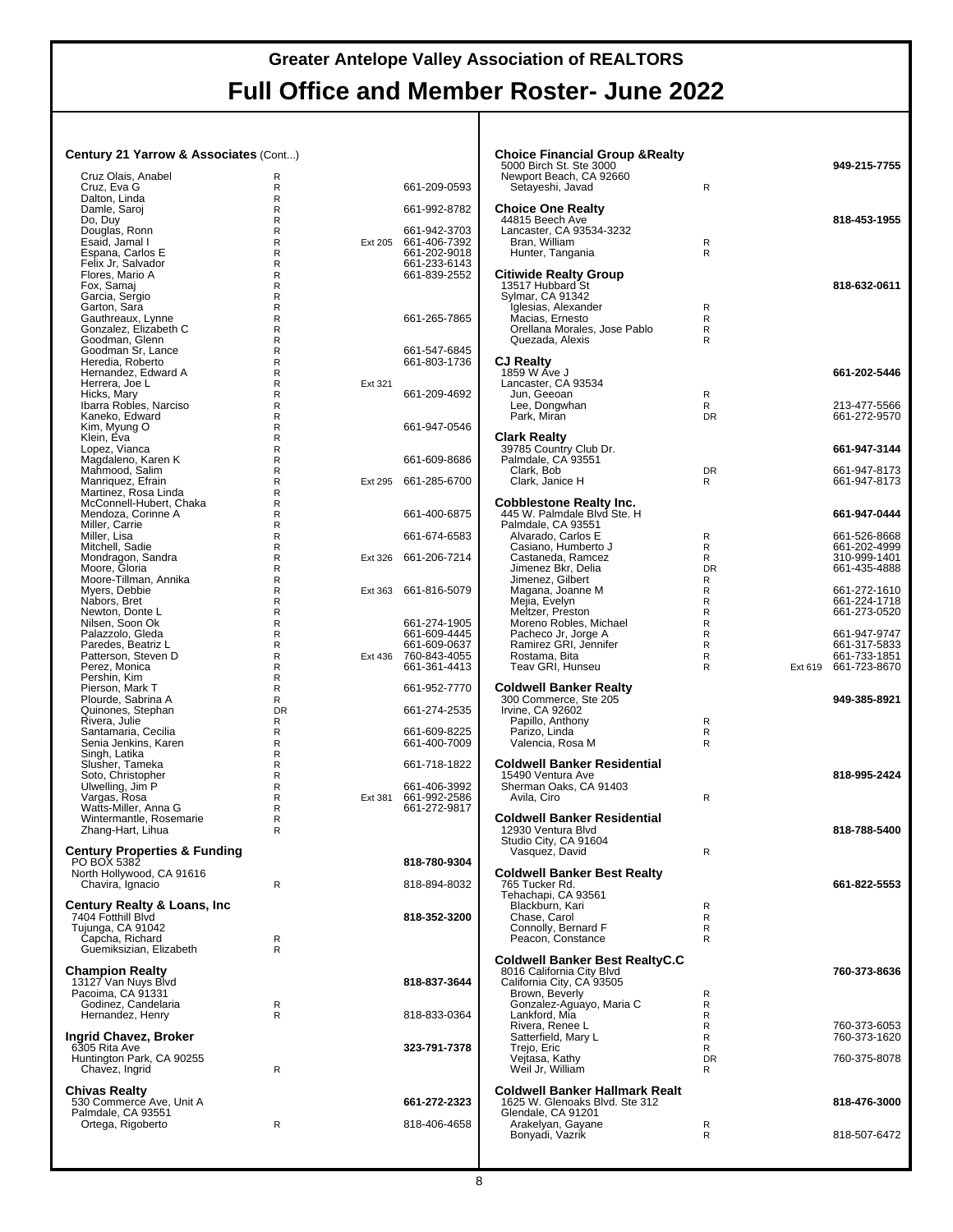#### **Century 21 Yarrow & Associates** (Cont...)

| Cruz Olais, Anabel                              | R            |         |                              |
|-------------------------------------------------|--------------|---------|------------------------------|
| Cruz, Eva G                                     | R            |         | 661-209-0593                 |
| Dalton, Linda<br>Damle, Saroj                   | R<br>R       |         | 661-992-8782                 |
| Do, Duy                                         | R            |         |                              |
| Douglas, Ronn                                   | R            |         | 661-942-3703                 |
| Esaid, Jamal I                                  | R            | Ext 205 | 661-406-7392                 |
| Espana, Carlos E<br>Felix Jr, Salvador          | R<br>R       |         | 661-202-9018<br>661-233-6143 |
| Flores, Mario A                                 | R            |         | 661-839-2552                 |
| Fox, Samaj                                      | R            |         |                              |
| Garcia, Sergio                                  | R            |         |                              |
| Garton, Sara<br>Gauthreaux, Lynne               | R<br>R       |         | 661-265-7865                 |
| Gonzalez, Elizabeth C                           | R            |         |                              |
| Goodman, Glenn                                  | R            |         |                              |
| Goodman Sr, Lance                               | R            |         | 661-547-6845                 |
| Heredia, Roberto<br>Hernandez, Edward A         | R<br>R       |         | 661-803-1736                 |
| Herrera, Joe L                                  | R            | Ext 321 |                              |
| Hicks, Mary                                     | R            |         | 661-209-4692                 |
| Ibarra Robles, Narciso                          | R            |         |                              |
| Kaneko, Edward                                  | R<br>R       |         |                              |
| Kim, Myung O<br>Klein, Eva                      | R            |         | 661-947-0546                 |
| Lopez, Vianca                                   | R            |         |                              |
| Magdaleno, Karen K                              | R            |         | 661-609-8686                 |
| Mahmood, Salim                                  | R            |         |                              |
| Manriquez, Efrain<br>Martinez, Rosa Linda       | R<br>R       | Ext 295 | 661-285-6700                 |
| McConnell-Hubert, Chaka                         | R            |         |                              |
| Mendoza, Corinne A                              | R            |         | 661-400-6875                 |
| Miller, Carrie                                  | R            |         |                              |
| Miller, Lisa<br>Mitchell, Sadie                 | R<br>R       |         | 661-674-6583                 |
| Mondragon, Sandra                               | R            | Ext 326 | 661-206-7214                 |
| Moore, Gloria                                   | R            |         |                              |
| Moore-Tillman, Annika                           | R            |         |                              |
| Myers, Debbie<br>Nabors, Bret                   | R<br>R       | Ext 363 | 661-816-5079                 |
| Newton, Donte L                                 | R            |         |                              |
| Nilsen, Soon Ok                                 | R            |         | 661-274-1905                 |
| Palazzolo, Gleda                                | R            |         | 661-609-4445                 |
| Paredes, Beatriz L<br>Patterson, Steven D       | R<br>R       | Ext 436 | 661-609-0637                 |
| Perez, Monica                                   | R            |         | 760-843-4055<br>661-361-4413 |
| Pershin, Kim                                    | R            |         |                              |
| Pierson, Mark T                                 | R            |         | 661-952-7770                 |
| Plourde, Sabrina A<br>Quinones, Stephan         | R<br>DR.     |         | 661-274-2535                 |
| Rivera, Julie                                   | R            |         |                              |
| Santamaria, Cecilia                             | R            |         | 661-609-8225                 |
| Senia Jenkins, Karen                            | R            |         | 661-400-7009                 |
| Singh, Latika<br>Slusher, Tameka                | R<br>R       |         | 661-718-1822                 |
| Soto, Christopher                               | R            |         |                              |
| Ulwelling, Jim P                                | R            |         | 661-406-3992                 |
| Vargas, Rosa                                    | R            | Ext 381 | 661-992-2586                 |
| Watts-Miller, Anna G<br>Wintermantle, Rosemarie | R<br>R       |         | 661-272-9817                 |
| Zhang-Hart, Lihua                               | R            |         |                              |
|                                                 |              |         |                              |
| Century Properties & Funding                    |              |         |                              |
| PO BOX 5382<br>North Hollywood, CA 91616        |              |         | 818-780-9304                 |
| Chavira, Ignacio                                | R            |         | 818-894-8032                 |
|                                                 |              |         |                              |
| Century Realty & Loans, Inc                     |              |         |                              |
| 7404 Fotthill Blvd<br>Tujunga, CA 91042         |              |         | 818-352-3200                 |
| Capcha, Richard                                 | R            |         |                              |
| Guemiksizian, Elizabeth                         | R            |         |                              |
|                                                 |              |         |                              |
| Champion Realty<br>13127 Van Nuys Blvd          |              |         | 818-837-3644                 |
| Pacoima, CA 91331                               |              |         |                              |
| Godinez, Candelaria                             | R            |         |                              |
| Hernandez, Henry                                | $\mathsf{R}$ |         | 818-833-0364                 |
| Ingrid Chavez, Broker                           |              |         |                              |
| 6305 Rita Ave                                   |              |         | 323-791-7378                 |
| Huntington Park, CA 90255                       |              |         |                              |
| Chavez, Ingrid                                  | R            |         |                              |
| Chivas Realty                                   |              |         |                              |
| 530 Commerce Ave, Unit A                        |              |         |                              |
|                                                 |              |         | 661-272-2323                 |
| Palmdale, CA 93551                              |              |         |                              |
| Ortega, Rigoberto                               | R            |         | 818-406-4658                 |

| <b>Choice Financial Group &amp; Realty</b><br>5000 Birch St. Ste 3000<br>Newport Beach, CA 92660<br>Setayeshi, Javad                                              | R                        |         | 949-215-7755                                                 |
|-------------------------------------------------------------------------------------------------------------------------------------------------------------------|--------------------------|---------|--------------------------------------------------------------|
| <b>Choice One Realty</b><br>44815 Beech Ave<br>Lancaster, CA 93534-3232<br>Bran, William<br>Hunter, Tangania                                                      | R<br>R                   |         | 818-453-1955                                                 |
| <b>Citiwide Realty Group</b><br>13517 Hubbard St<br>Sylmar, CA 91342<br>Iglesias, Alexander<br>Macias, Ernesto<br>Orellana Morales, Jose Pablo<br>Quezada, Alexis | R<br>R<br>R<br>R         |         | 818-632-0611                                                 |
| <b>CJ Realty</b><br>1859 W Ave J<br>Lancaster, CA 93534<br>Jun, Geeoan<br>Lee, Dongwhan                                                                           | R<br>R                   |         | 661-202-5446<br>213-477-5566                                 |
| Park, Miran                                                                                                                                                       | <b>DR</b>                |         | 661-272-9570                                                 |
| <b>Clark Realty</b><br>39785 Country Club Dr.<br>Palmdale, CA 93551<br>Clark, Bob<br>Clark, Janice H                                                              | <b>DR</b><br>R           |         | 661-947-3144<br>661-947-8173<br>661-947-8173                 |
| <b>Cobblestone Realty Inc.</b><br>445 W. Palmdale Blvd Ste. H                                                                                                     |                          |         | 661-947-0444                                                 |
| Palmdale, CA 93551<br>Alvarado, Carlos E<br>Casiano, Humberto J<br>Castaneda, Ramcez<br>Jimenez Bkr, Delia                                                        | R<br>R<br>R<br><b>DR</b> |         | 661-526-8668<br>661-202-4999<br>310-999-1401<br>661-435-4888 |
| Jimenez, Gilbert<br>Magana, Joanne M<br>Mejia, Evelyn<br>Meltzer, Preston                                                                                         | R<br>R<br>R<br>R<br>R    |         | 661-272-1610<br>661-224-1718<br>661-273-0520                 |
| Moreno Robles, Michael<br>Pacheco Jr, Jorge A<br>Ramirez GRI, Jennifer<br>Rostama, Bita<br>Teav GRI, Hunseu                                                       | R<br>R<br>R<br>R         | Ext 619 | 661-947-9747<br>661-317-5833<br>661-733-1851<br>661-723-8670 |
| <b>Coldwell Banker Realty</b><br>300 Commerce, Ste 205<br>Irvine, CA 92602<br>Papillo, Anthony<br>Parizo, Linda<br>Valencia, Rosa M                               | R<br>R<br>R              |         | 949-385-8921                                                 |
| <b>Coldwell Banker Residential</b><br>15490 Ventura Ave<br>Sherman Oaks, CA 91403<br>Avila, Ciro                                                                  | R                        |         | 818-995-2424                                                 |
| <b>Coldwell Banker Residential</b><br>12930 Ventura Blvd<br>Studio City, CA 91604<br>Vasquez, David                                                               | R                        |         | 818-788-5400                                                 |
| <b>Coldwell Banker Best Realty</b><br>765 Tucker Rd.<br>Tehachapi, CA 93561<br>Blackburn, Kari<br>Chase, Carol<br>Connolly, Bernard F<br>Peacon, Constance        | R<br>R<br>R<br>R         |         | 661-822-5553                                                 |
| Coldwell Banker Best RealtyC.C<br>8016 California City Blvd<br>California City, CA 93505<br>Brown, Beverly                                                        | R                        |         | 760-373-8636                                                 |
| Gonzalez-Aguayo, Maria C<br>Lankford, Mia<br>Rivera, Renee L<br>Satterfield, Mary L                                                                               | R<br>R<br>R<br>R         |         | 760-373-6053<br>760-373-1620                                 |
| Trejo, Eric<br>Vejtasa, Kathy<br>Weil Jr, William                                                                                                                 | R<br><b>DR</b><br>R      |         | 760-375-8078                                                 |
| Coldwell Banker Hallmark Realt<br>1625 W. Glenoaks Blvd. Ste 312                                                                                                  |                          |         | 818-476-3000                                                 |
| Glendale, CA 91201<br>Arakelyan, Gayane<br>Bonyadi, Vazrik                                                                                                        | R<br>R                   |         | 818-507-6472                                                 |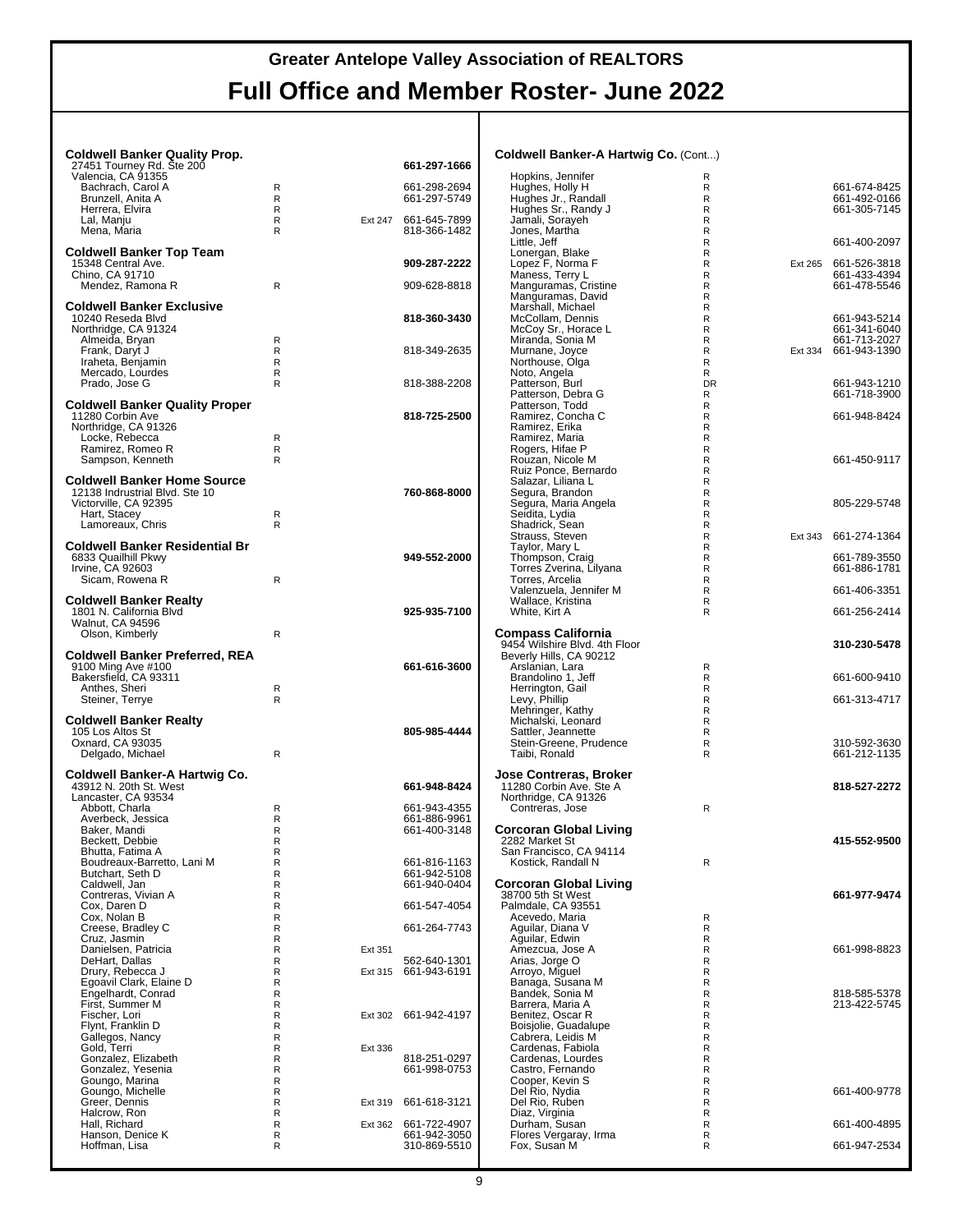| <b>Coldwell Banker Quality Prop.</b>                     |                          |         |                              | Coldwell Banker-A Hartwig Co. (Cont)                    |                              |         |                                      |
|----------------------------------------------------------|--------------------------|---------|------------------------------|---------------------------------------------------------|------------------------------|---------|--------------------------------------|
| 27451 Tourney Rd. Ste 200<br>Valencia, CA 91355          |                          |         | 661-297-1666                 | Hopkins, Jennifer                                       | R                            |         |                                      |
| Bachrach, Carol A                                        | $\mathsf{R}$             |         | 661-298-2694                 | Hughes, Holly H                                         | $\mathsf{R}$                 |         | 661-674-8425                         |
| Brunzell, Anita A                                        | R                        |         | 661-297-5749                 | Hughes Jr., Randall                                     | $\mathsf{R}$                 |         | 661-492-0166                         |
| Herrera, Elvira<br>Lal, Manju                            | R<br>R                   | Ext 247 | 661-645-7899                 | Hughes Sr., Randy J<br>Jamali, Sorayeh                  | $\mathsf{R}$<br>$\mathsf{R}$ |         | 661-305-7145                         |
| Mena, Maria                                              | R                        |         | 818-366-1482                 | Jones, Martha                                           | $\mathsf{R}$                 |         |                                      |
|                                                          |                          |         |                              | Little, Jeff                                            | $\mathsf{R}$                 |         | 661-400-2097                         |
| <b>Coldwell Banker Top Team</b><br>15348 Central Ave.    |                          |         | 909-287-2222                 | Lonergan, Blake<br>Lopez F, Norma F                     | $\mathsf{R}$<br>$\mathsf{R}$ |         | Ext 265 661-526-3818                 |
| Chino, CA 91710                                          |                          |         |                              | Maness, Terry L                                         | $\mathsf{R}$                 |         | 661-433-4394                         |
| Mendez, Ramona R                                         | $\mathsf{R}$             |         | 909-628-8818                 | Manguramas, Cristine                                    | $\mathsf{R}$                 |         | 661-478-5546                         |
| <b>Coldwell Banker Exclusive</b>                         |                          |         |                              | Manguramas, David<br>Marshall, Michael                  | $\mathsf{R}$<br>$\mathsf{R}$ |         |                                      |
| 10240 Reseda Blvd                                        |                          |         | 818-360-3430                 | McCollam, Dennis                                        | $\mathsf{R}$                 |         | 661-943-5214                         |
| Northridge, CA 91324                                     |                          |         |                              | McCoy Sr., Horace L                                     | $\mathsf{R}$                 |         | 661-341-6040                         |
| Almeida, Bryan<br>Frank, Daryt J                         | R<br>R                   |         | 818-349-2635                 | Miranda, Sonia M<br>Murnane, Joyce                      | $\mathsf{R}$<br>$\mathsf{R}$ |         | 661-713-2027<br>Ext 334 661-943-1390 |
| Iraheta, Benjamin                                        | R                        |         |                              | Northouse, Olga                                         | $\mathsf{R}$                 |         |                                      |
| Mercado, Lourdes                                         | R                        |         |                              | Noto, Angela                                            | R                            |         |                                      |
| Prado, Jose G                                            | R                        |         | 818-388-2208                 | Patterson, Burl<br>Patterson, Debra G                   | <b>DR</b><br>R               |         | 661-943-1210<br>661-718-3900         |
| <b>Coldwell Banker Quality Proper</b>                    |                          |         |                              | Patterson, Todd                                         | $\mathsf{R}$                 |         |                                      |
| 11280 Corbin Ave                                         |                          |         | 818-725-2500                 | Ramirez, Concha C                                       | $\mathsf{R}$                 |         | 661-948-8424                         |
| Northridge, CA 91326<br>Locke, Rebecca                   | R                        |         |                              | Ramirez, Erika<br>Ramirez, Maria                        | $\mathsf{R}$<br>$\mathsf{R}$ |         |                                      |
| Ramirez, Romeo R                                         | $\mathsf{R}$             |         |                              | Rogers, Hifae P                                         | $\mathsf R$                  |         |                                      |
| Sampson, Kenneth                                         | R                        |         |                              | Rouzan, Nicole M                                        | $\mathsf{R}$                 |         | 661-450-9117                         |
| <b>Coldwell Banker Home Source</b>                       |                          |         |                              | Ruiz Ponce, Bernardo<br>Salazar, Liliana L              | $\mathsf{R}$<br>$\mathsf{R}$ |         |                                      |
| 12138 Indrustrial Blvd. Ste 10                           |                          |         | 760-868-8000                 | Segura, Brandon                                         | $\mathsf{R}$                 |         |                                      |
| Victorville, CA 92395                                    |                          |         |                              | Segura, Maria Angela                                    | $\mathsf{R}$                 |         | 805-229-5748                         |
| Hart, Stacey                                             | R<br>R                   |         |                              | Seidita, Lydia                                          | $\mathsf{R}$<br>$\mathsf{R}$ |         |                                      |
| Lamoreaux, Chris                                         |                          |         |                              | Shadrick, Sean<br>Strauss, Steven                       | $\mathsf{R}$                 | Ext 343 | 661-274-1364                         |
| <b>Coldwell Banker Residential Br</b>                    |                          |         |                              | Taylor, Mary L                                          | $\mathsf{R}$                 |         |                                      |
| 6833 Quailhill Pkwy<br>Irvine, CA 92603                  |                          |         | 949-552-2000                 | Thompson, Craig<br>Torres Zverina, Lilyana              | $\mathsf{R}$<br>$\mathsf{R}$ |         | 661-789-3550<br>661-886-1781         |
| Sicam, Rowena R                                          | $\mathsf{R}$             |         |                              | Torres, Arcelia                                         | $\mathsf R$                  |         |                                      |
|                                                          |                          |         |                              | Valenzuela, Jennifer M                                  | $\mathsf{R}$                 |         | 661-406-3351                         |
| <b>Coldwell Banker Realty</b><br>1801 N. California Blvd |                          |         | 925-935-7100                 | Wallace, Kristina<br>White, Kirt A                      | $\mathsf{R}$<br>R            |         | 661-256-2414                         |
| Walnut, CA 94596                                         |                          |         |                              |                                                         |                              |         |                                      |
| Olson, Kimberly                                          | R                        |         |                              | <b>Compass California</b>                               |                              |         |                                      |
|                                                          |                          |         |                              | 9454 Wilshire Blvd. 4th Floor                           |                              |         | 310-230-5478                         |
|                                                          |                          |         |                              |                                                         |                              |         |                                      |
| <b>Coldwell Banker Preferred, REA</b>                    |                          |         | 661-616-3600                 | Beverly Hills, CA 90212                                 | $\mathsf{R}$                 |         |                                      |
| 9100 Ming Ave #100<br>Bakersfield, CA 93311              |                          |         |                              | Arslanian, Lara<br>Brandolino 1, Jeff                   | $\mathsf{R}$                 |         | 661-600-9410                         |
| Anthes, Sheri                                            | R                        |         |                              | Herrington, Gail                                        | $\mathsf{R}$                 |         |                                      |
| Steiner, Terrye                                          | R                        |         |                              | Levy, Phillip                                           | $\mathsf{R}$<br>$\mathsf{R}$ |         | 661-313-4717                         |
| <b>Coldwell Banker Realty</b>                            |                          |         |                              | Mehringer, Kathy<br>Michalski, Leonard                  | $\mathsf{R}$                 |         |                                      |
| 105 Los Altos St                                         |                          |         | 805-985-4444                 | Sattler, Jeannette                                      | R                            |         |                                      |
| Oxnard, CA 93035<br>Delgado, Michael                     | R                        |         |                              | Stein-Greene, Prudence<br>Taibi, Ronald                 | $\mathsf{R}$<br>R            |         | 310-592-3630<br>661-212-1135         |
|                                                          |                          |         |                              |                                                         |                              |         |                                      |
| Coldwell Banker-A Hartwig Co.                            |                          |         |                              | <b>Jose Contreras, Broker</b>                           |                              |         |                                      |
| 43912 N. 20th St. West<br>Lancaster, CA 93534            |                          |         | 661-948-8424                 | 11280 Corbin Ave. Ste A<br>Northridge, CA 91326         |                              |         | 818-527-2272                         |
| Abbott, Charla                                           | R                        |         | 661-943-4355                 | Contreras, Jose                                         | $\mathsf{R}$                 |         |                                      |
| Averbeck, Jessica                                        | R<br>R                   |         | 661-886-9961                 |                                                         |                              |         |                                      |
| Baker, Mandi<br>Beckett, Debbie                          | R                        |         | 661-400-3148                 | <b>Corcoran Global Living</b><br>2282 Market St         |                              |         | 415-552-9500                         |
| Bhutta, Fatima A                                         | R                        |         |                              | San Francisco, CA 94114                                 |                              |         |                                      |
| Boudreaux-Barretto, Lani M<br>Butchart. Seth D           | ${\sf R}$<br>$\mathsf R$ |         | 661-816-1163<br>661-942-5108 | Kostick, Randall N                                      | $\mathsf{R}$                 |         |                                      |
| Caldwell, Jan                                            | R                        |         | 661-940-0404                 | <b>Corcoran Global Living</b>                           |                              |         |                                      |
| Contreras. Vivian A                                      | R                        |         |                              | 38700 5th St West                                       |                              |         | 661-977-9474                         |
| Cox, Daren D<br>Cox, Nolan B                             | $\mathsf R$<br>R         |         | 661-547-4054                 | Palmdale, CA 93551<br>Acevedo, Maria                    | R                            |         |                                      |
| Creese, Bradley C                                        | R                        |         | 661-264-7743                 | Aquilar, Diana V                                        | R                            |         |                                      |
| Cruz, Jasmin                                             | $\mathsf R$              |         |                              | Aguilar, Edwin                                          | R                            |         |                                      |
| Danielsen, Patricia<br>DeHart, Dallas                    | R<br>R                   | Ext 351 | 562-640-1301                 | Amezcua, Jose A<br>Arias, Jorge O                       | $\mathsf R$<br>$\mathsf R$   |         | 661-998-8823                         |
| Drury, Rebecca J                                         | R                        |         | Ext 315 661-943-6191         | Arroyo, Miquel                                          | $\mathsf R$                  |         |                                      |
| Egoavil Clark, Elaine D                                  | R                        |         |                              |                                                         | $\mathsf R$                  |         |                                      |
| Engelhardt, Conrad<br>First, Summer M                    | R<br>$\mathsf R$         |         |                              | Banaga, Susana M<br>Bandek, Sonia M<br>Barrera, Maria A | $\mathsf{R}$<br>$\mathsf R$  |         | 818-585-5378<br>213-422-5745         |
| Fischer, Lori                                            | R                        |         | Ext 302 661-942-4197         | Benitez, Oscar R                                        | $\mathsf R$                  |         |                                      |
| Flynt, Franklin D                                        | R                        |         |                              | Boisjolie, Guadalupe                                    | $\mathsf R$                  |         |                                      |
| Gallegos, Nancy<br>Gold, Terri                           | R<br>R                   | Ext 336 |                              | Cabrera, Leidis M<br>Cardenas, Fabiola                  | $\mathsf R$<br>$\mathsf R$   |         |                                      |
| Gonzalez, Elizabeth                                      | R                        |         | 818-251-0297                 | Cardenas, Lourdes                                       | $\mathsf{R}$                 |         |                                      |
| Gonzalez, Yesenia                                        | R                        |         | 661-998-0753                 | Castro, Fernando                                        | $\mathsf R$                  |         |                                      |
| Goungo, Marina<br>Goungo, Michelle                       | R<br>R                   |         |                              | Cooper, Kevin S<br>Del Rio, Nydia                       | $\mathsf R$<br>$\mathsf R$   |         | 661-400-9778                         |
| Greer, Dennis                                            | R                        | Ext 319 | 661-618-3121                 | Del Rio, Ruben                                          | $\mathsf R$                  |         |                                      |
| Halcrow, Ron<br>Hall, Richard                            | R                        |         | Ext 362 661-722-4907         | Diaz, Virginia                                          | R<br>R                       |         | 661-400-4895                         |
| Hanson, Denice K<br>Hoffman, Lisa                        | R<br>R<br>R              |         | 661-942-3050<br>310-869-5510 | Durham, Susan<br>Flores Vergaray, Irma<br>Fox, Susan M  | R<br>R                       |         | 661-947-2534                         |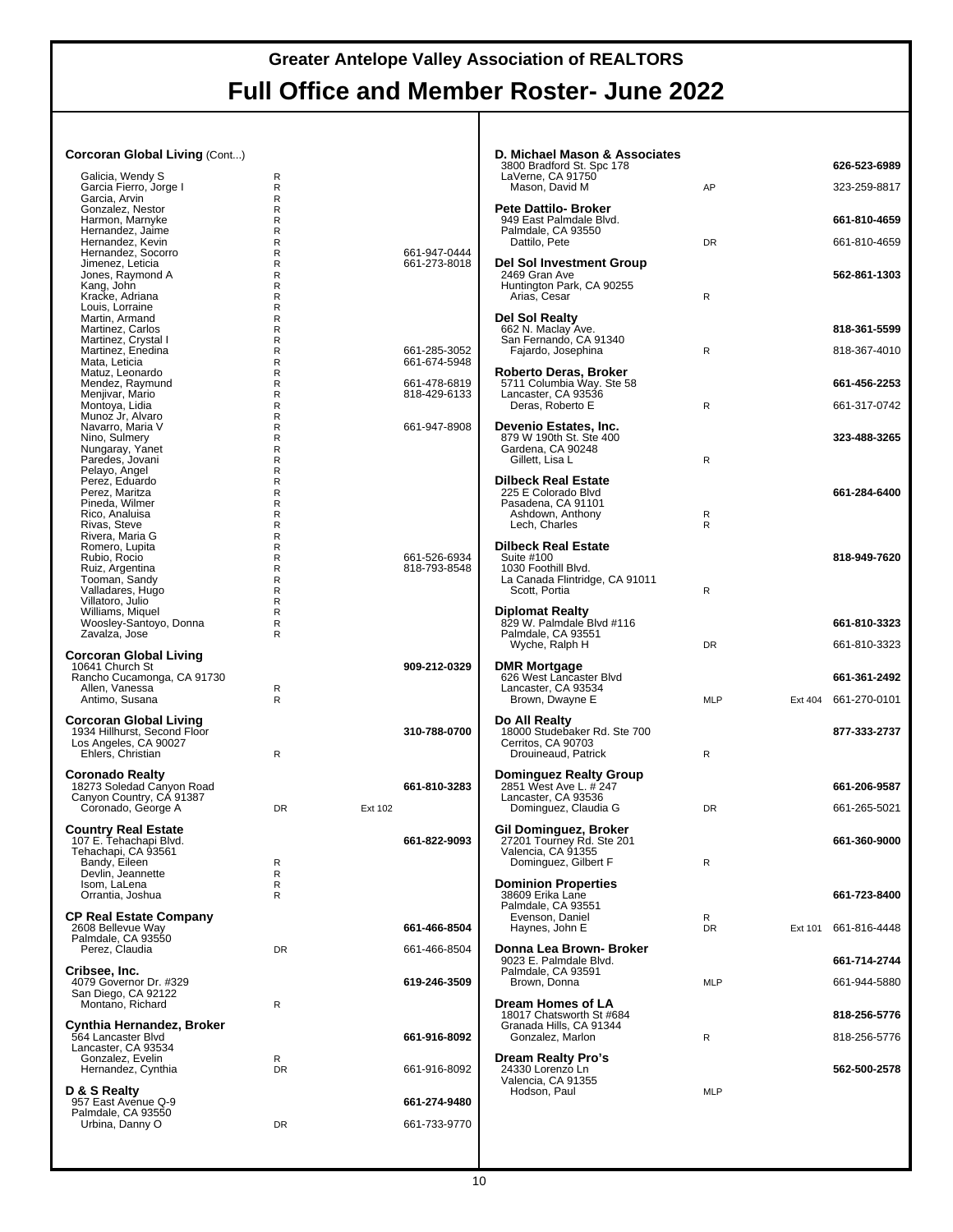| <b>Corcoran Global Living (Cont)</b>                          |                  |         |              | D. Michael Mason & Associates<br>3800 Bradford St. Spc 178 |              |         | 626-523-6989         |
|---------------------------------------------------------------|------------------|---------|--------------|------------------------------------------------------------|--------------|---------|----------------------|
| Galicia, Wendy S                                              | R                |         |              | LaVerne, CA 91750                                          |              |         |                      |
| Garcia Fierro, Jorge I<br>Garcia, Arvin                       | R<br>R           |         |              | Mason, David M                                             | AP           |         | 323-259-8817         |
| Gonzalez, Nestor<br>Harmon, Marnyke                           | R<br>R           |         |              | <b>Pete Dattilo- Broker</b><br>949 East Palmdale Blvd.     |              |         | 661-810-4659         |
| Hernandez, Jaime                                              | R                |         |              | Palmdale, CA 93550                                         |              |         |                      |
| Hernandez. Kevin<br>Hernandez, Socorro                        | R<br>R           |         | 661-947-0444 | Dattilo, Pete                                              | <b>DR</b>    |         | 661-810-4659         |
| Jimenez, Leticia                                              | R                |         | 661-273-8018 | Del Sol Investment Group                                   |              |         |                      |
| Jones, Raymond A<br>Kang, John                                | R<br>R           |         |              | 2469 Gran Ave<br>Huntington Park, CA 90255                 |              |         | 562-861-1303         |
| Kracke, Adriana                                               | R                |         |              | Arias, Cesar                                               | R            |         |                      |
| Louis, Lorraine<br>Martin, Armand                             | R<br>R           |         |              | Del Sol Realty                                             |              |         |                      |
| Martinez, Carlos<br>Martinez, Crystal I                       | R<br>R           |         |              | 662 N. Maclay Ave.<br>San Fernando, CA 91340               |              |         | 818-361-5599         |
| Martinez, Enedina                                             | R                |         | 661-285-3052 | Fajardo, Josephina                                         | $\mathsf{R}$ |         | 818-367-4010         |
| Mata, Leticia<br>Matuz, Leonardo                              | R<br>R           |         | 661-674-5948 | Roberto Deras, Broker                                      |              |         |                      |
| Mendez, Raymund                                               | R                |         | 661-478-6819 | 5711 Columbia Way. Ste 58                                  |              |         | 661-456-2253         |
| Menjivar, Mario<br>Montoya, Lidia                             | R<br>R           |         | 818-429-6133 | Lancaster, CA 93536<br>Deras, Roberto E                    | $\mathsf{R}$ |         | 661-317-0742         |
| Munoz Jr, Alvaro                                              | R                |         |              |                                                            |              |         |                      |
| Navarro, Maria V<br>Nino, Sulmery                             | $\mathsf R$<br>R |         | 661-947-8908 | Devenio Estates, Inc.<br>879 W 190th St. Ste 400           |              |         | 323-488-3265         |
| Nungaray, Yanet                                               | R<br>R           |         |              | Gardena, CA 90248                                          | $\mathsf{R}$ |         |                      |
| Paredes, Jovani<br>Pelayo, Angel                              | R                |         |              | Gillett, Lisa L                                            |              |         |                      |
| Perez. Eduardo<br>Perez, Maritza                              | R<br>R           |         |              | <b>Dilbeck Real Estate</b><br>225 E Colorado Blvd          |              |         | 661-284-6400         |
| Pineda, Wilmer                                                | R                |         |              | Pasadena, CA 91101                                         |              |         |                      |
| Rico, Analuisa<br>Rivas, Steve                                | R<br>R           |         |              | Ashdown, Anthony<br>Lech, Charles                          | R<br>R       |         |                      |
| Rivera, Maria G                                               | R                |         |              |                                                            |              |         |                      |
| Romero, Lupita<br>Rubio, Rocio                                | R<br>R           |         | 661-526-6934 | <b>Dilbeck Real Estate</b><br>Suite #100                   |              |         | 818-949-7620         |
| Ruiz, Argentina                                               | R                |         | 818-793-8548 | 1030 Foothill Blvd.                                        |              |         |                      |
| Tooman, Sandy<br>Valladares, Hugo                             | R<br>R           |         |              | La Canada Flintridge, CA 91011<br>Scott, Portia            | $\mathsf{R}$ |         |                      |
| Villatoro, Julio<br>Williams, Miquel                          | R<br>R           |         |              | Diplomat Realty                                            |              |         |                      |
| Woosley-Santoyo, Donna                                        | R                |         |              | 829 W. Palmdale Blvd #116                                  |              |         | 661-810-3323         |
| Zavalza, Jose                                                 | $\mathsf{R}$     |         |              | Palmdale, CA 93551<br>Wyche, Ralph H                       | <b>DR</b>    |         | 661-810-3323         |
| <b>Corcoran Global Living</b>                                 |                  |         |              |                                                            |              |         |                      |
| 10641 Church St<br>Rancho Cucamonga, CA 91730                 |                  |         | 909-212-0329 | <b>DMR Mortgage</b><br>626 West Lancaster Blvd             |              |         | 661-361-2492         |
| Allen, Vanessa                                                | R                |         |              | Lancaster, CA 93534                                        |              |         |                      |
| Antimo, Susana                                                | $\mathsf{R}$     |         |              | Brown, Dwayne E                                            | <b>MLP</b>   |         | Ext 404 661-270-0101 |
| <b>Corcoran Global Living</b><br>1934 Hillhurst, Second Floor |                  |         | 310-788-0700 | Do All Realty<br>18000 Studebaker Rd. Ste 700              |              |         | 877-333-2737         |
| Los Angeles, CA 90027                                         |                  |         |              | Cerritos, CA 90703                                         |              |         |                      |
| Ehlers, Christian                                             | R                |         |              | Drouineaud, Patrick                                        | R            |         |                      |
| <b>Coronado Realty</b>                                        |                  |         |              | <b>Dominguez Realty Group</b>                              |              |         |                      |
| 18273 Soledad Canyon Road<br>Canyon Country, CA 91387         |                  |         | 661-810-3283 | 2851 West Ave L. # 247<br>Lancaster, CA 93536              |              |         | 661-206-9587         |
| Coronado, George A                                            | DR               | Ext 102 |              | Dominguez, Claudia G                                       | <b>DR</b>    |         | 661-265-5021         |
| <b>Country Real Estate</b>                                    |                  |         |              | Gil Dominguez, Broker                                      |              |         |                      |
| 107 E. Tehachapi Blvd.<br>Tehachapi, CA 93561                 |                  |         | 661-822-9093 | 27201 Tourney Rd. Ste 201<br>Valencia, CA 91355            |              |         | 661-360-9000         |
| Bandy, Eileen                                                 | R                |         |              | Dominguez, Gilbert F                                       | ${\sf R}$    |         |                      |
| Devlin, Jeannette<br>Isom, LaLena                             | R<br>R           |         |              | <b>Dominion Properties</b>                                 |              |         |                      |
| Orrantia, Joshua                                              | R                |         |              | 38609 Erika Lane<br>Palmdale, CA 93551                     |              |         | 661-723-8400         |
| <b>CP Real Estate Company</b>                                 |                  |         |              | Evenson, Daniel                                            | R            |         |                      |
| 2608 Bellevue Way<br>Palmdale, CA 93550                       |                  |         | 661-466-8504 | Haynes, John E                                             | <b>DR</b>    | Ext 101 | 661-816-4448         |
| Perez, Claudia                                                | DR               |         | 661-466-8504 | Donna Lea Brown- Broker                                    |              |         |                      |
| Cribsee, Inc.                                                 |                  |         |              | 9023 E. Palmdale Blvd.<br>Palmdale, CA 93591               |              |         | 661-714-2744         |
| 4079 Governor Dr. #329                                        |                  |         | 619-246-3509 | Brown, Donna                                               | <b>MLP</b>   |         | 661-944-5880         |
| San Diego, CA 92122<br>Montano, Richard                       | R                |         |              | Dream Homes of LA                                          |              |         |                      |
|                                                               |                  |         |              | 18017 Chatsworth St #684                                   |              |         | 818-256-5776         |
| Cynthia Hernandez, Broker<br>564 Lancaster Blvd               |                  |         | 661-916-8092 | Granada Hills, CA 91344<br>Gonzalez, Marlon                | $\mathsf{R}$ |         | 818-256-5776         |
| Lancaster, CA 93534<br>Gonzalez, Evelin                       | R                |         |              | <b>Dream Realty Pro's</b>                                  |              |         |                      |
| Hernandez, Cynthia                                            | DR               |         | 661-916-8092 | 24330 Lorenzo Ln                                           |              |         | 562-500-2578         |
| D & S Realty                                                  |                  |         |              | Valencia, CA 91355<br>Hodson, Paul                         | MLP          |         |                      |
| 957 East Avenue Q-9                                           |                  |         | 661-274-9480 |                                                            |              |         |                      |
| Palmdale, CA 93550<br>Urbina, Danny O                         | DR               |         | 661-733-9770 |                                                            |              |         |                      |
|                                                               |                  |         |              |                                                            |              |         |                      |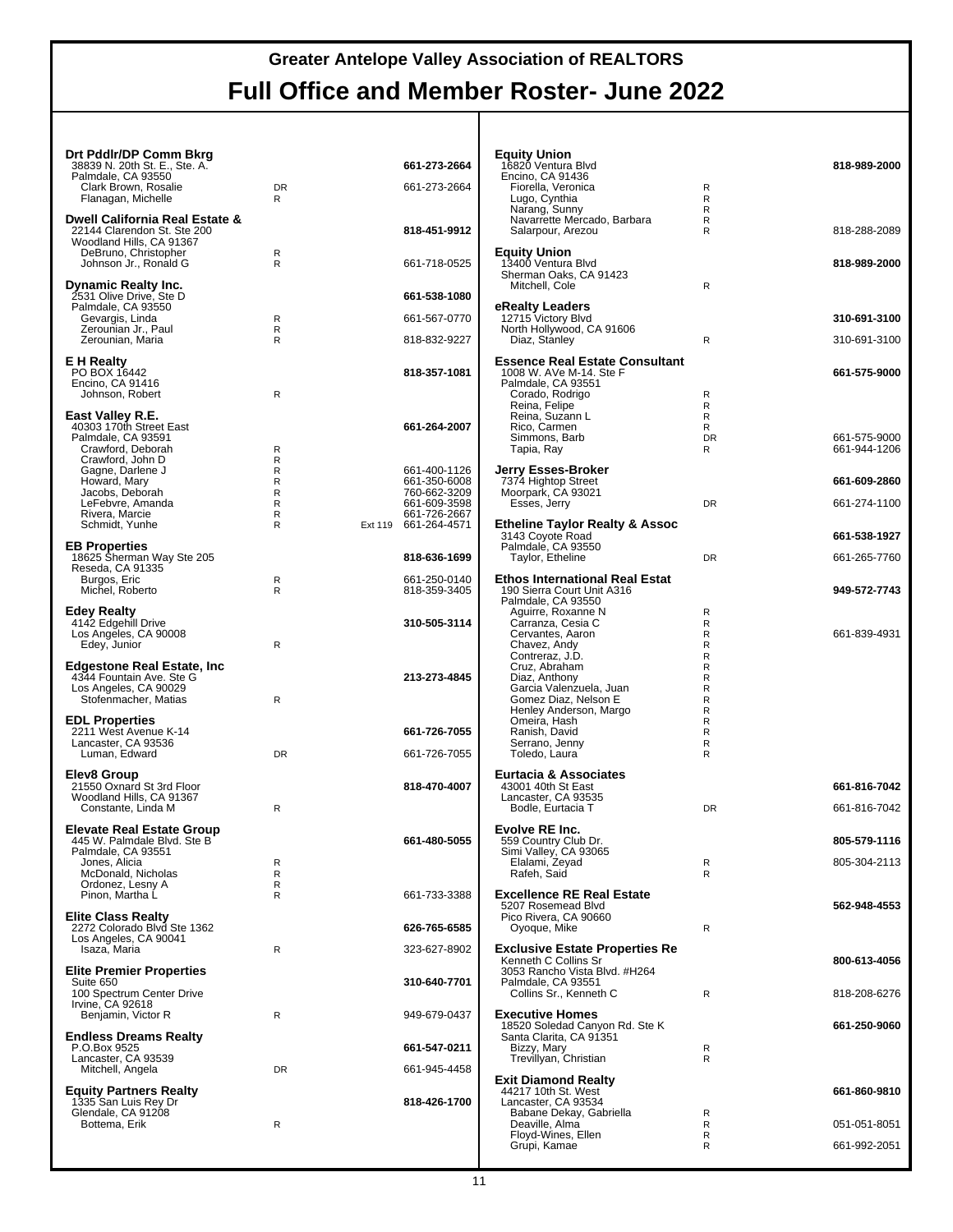| Drt Pddlr/DP Comm Bkrg<br>38839 N. 20th St. E., Ste. A.<br>Palmdale, CA 93550<br>Clark Brown, Rosalie                           | <b>DR</b>                       | 661-273-2664<br>661-273-2664                                                                         | Equity Ur<br>16820 Ver<br>Encino, C<br>Fiorella,                     |
|---------------------------------------------------------------------------------------------------------------------------------|---------------------------------|------------------------------------------------------------------------------------------------------|----------------------------------------------------------------------|
| Flanagan, Michelle<br>Dwell California Real Estate &<br>22144 Clarendon St. Ste 200                                             | R                               | 818-451-9912                                                                                         | Lugo, Cy<br>Narang,<br>Navarret<br>Salarpou                          |
| Woodland Hills, CA 91367<br>DeBruno, Christopher<br>Johnson Jr., Ronald G                                                       | R<br>R                          | 661-718-0525                                                                                         | Equity Ur<br>13400 Ver<br>Sherman (                                  |
| <b>Dynamic Realty Inc.</b><br>2531 Olive Drive, Ste D<br>Palmdale, CA 93550                                                     |                                 | 661-538-1080                                                                                         | Mitchell,<br>eRealty L                                               |
| Gevargis, Linda<br>Zerounian Jr., Paul<br>Zerounian, Maria                                                                      | R<br>R<br>R                     | 661-567-0770<br>818-832-9227                                                                         | 12715 Vic<br>North Holl                                              |
| <b>E</b> H Realty<br>PO BOX 16442<br>Encino, CA 91416                                                                           |                                 | 818-357-1081                                                                                         | Diaz, Sta<br>Essence  <br>1008 W.A<br>Palmdale,                      |
| Johnson, Robert<br>East Valley R.E.<br>40303 170th Street East<br>Palmdale, CA 93591<br>Crawford, Deborah                       | R<br>R                          | 661-264-2007                                                                                         | Corado,<br>Reina, F<br>Reina, S<br>Rico, Ca<br>Simmon<br>Tapia, R    |
| Crawford, John D<br>Gagne, Darlene J<br>Howard, Mary<br>Jacobs, Deborah<br>LeFebvre, Amanda<br>Rivera, Marcie<br>Schmidt, Yunhe | R<br>R<br>R<br>R<br>R<br>R<br>R | 661-400-1126<br>661-350-6008<br>760-662-3209<br>661-609-3598<br>661-726-2667<br>Ext 119 661-264-4571 | <b>Jerry Ess</b><br>7374 High<br>Moorpark,<br>Esses, J<br>Etheline 1 |
| <b>EB Properties</b><br>18625 Sherman Way Ste 205<br>Reseda, CA 91335                                                           |                                 | 818-636-1699                                                                                         | 3143 Coyo<br>Palmdale,<br>Taylor, E                                  |
| Burgos, Eric<br>Michel, Roberto                                                                                                 | R<br>R                          | 661-250-0140<br>818-359-3405                                                                         | Ethos Inte<br>190 Sierra<br>Palmdale,                                |
| <b>Edey Realty</b><br>4142 Edgehill Drive<br>Los Angeles, CA 90008<br>Edey, Junior                                              | R                               | 310-505-3114                                                                                         | Aguirre,<br>Carranza<br>Cervant<br>Chavez,                           |
| <b>Edgestone Real Estate, Inc.</b><br>4344 Fountain Ave. Ste G<br>Los Angeles, CA 90029<br>Stofenmacher, Matias                 | R                               | 213-273-4845                                                                                         | Contrera<br>Cruz, Ab<br>Diaz, An<br>Garcia V<br>Gomez I<br>Henley A  |
| <b>EDL Properties</b><br>2211 West Avenue K-14                                                                                  |                                 | 661-726-7055                                                                                         | Omeira,<br>Ranish,                                                   |
| Lancaster, CA 93536<br>Luman, Edward                                                                                            | <b>DR</b>                       | 661-726-7055                                                                                         | Serrano.<br>Toledo,                                                  |
| Elev8 Group<br>21550 Oxnard St 3rd Floor<br>Woodland Hills, CA 91367<br>Constante, Linda M                                      | R                               | 818-470-4007                                                                                         | <b>Eurtacia &amp;</b><br>43001 40t<br>Lancaster.<br>Bodle, E         |
| <b>Elevate Real Estate Group</b><br>445 W. Palmdale Blvd. Ste B<br>Palmdale, CA 93551<br>Jones, Alicia<br>McDonald, Nicholas    | R<br>R                          | 661-480-5055                                                                                         | <b>Evolve RI</b><br>559 Count<br>Simi Valle<br>Elalami,<br>Rafeh, S  |
| Ordonez, Lesny A<br>Pinon, Martha L                                                                                             | R<br>R                          | 661-733-3388                                                                                         | <b>Excellend</b><br>5207 Rose                                        |
| <b>Elite Class Realty</b><br>2272 Colorado Blvd Ste 1362<br>Los Angeles, CA 90041                                               |                                 | 626-765-6585                                                                                         | Pico River<br>Oyoque,                                                |
| Isaza, Maria<br><b>Elite Premier Properties</b>                                                                                 | R                               | 323-627-8902                                                                                         | <b>Exclusive</b><br>Kenneth C<br>3053 Rano                           |
| Suite 650<br>100 Spectrum Center Drive<br>Irvine, CA 92618                                                                      |                                 | 310-640-7701                                                                                         | Palmdale,<br>Collins S                                               |
| Benjamin, Victor R<br><b>Endless Dreams Realty</b>                                                                              | R                               | 949-679-0437                                                                                         | Executive<br>18520 Sol<br>Santa Clar                                 |
| P.O.Box 9525<br>Lancaster, CA 93539<br>Mitchell, Angela                                                                         | <b>DR</b>                       | 661-547-0211<br>661-945-4458                                                                         | Bizzy, M<br>Trevillya                                                |
| <b>Equity Partners Realty</b><br>1335 San Luis Rey Dr<br>Glendale, CA 91208                                                     |                                 | 818-426-1700                                                                                         | <b>Exit Diam</b><br>44217 10t<br>Lancaster.<br>Babane                |
| Bottema, Erik                                                                                                                   | R                               |                                                                                                      | Deaville.<br>Flovd-W                                                 |

| <b>Equity Union</b>                                                                       |                   |                              |
|-------------------------------------------------------------------------------------------|-------------------|------------------------------|
| 16820 Ventura Blvd<br>Encino, CA 91436<br>Fiorella, Veronica                              | R                 | 818-989-2000                 |
| Lugo, Cynthia<br>Narang, Sunny                                                            | $\mathsf{R}$<br>R |                              |
| Navarrette Mercado, Barbara<br>Salarpour, Arezou                                          | R<br>R            | 818-288-2089                 |
| <b>Equity Union</b><br>13400 Ventura Blvd                                                 |                   | 818-989-2000                 |
| Sherman Oaks, CA 91423<br>Mitchell, Cole                                                  | R                 |                              |
| eRealty Leaders<br>12715 Victory Blvd                                                     |                   | 310-691-3100                 |
| North Hollywood, CA 91606<br>Diaz, Stanley                                                | $\mathsf{R}$      | 310-691-3100                 |
| Essence Real Estate Consultant                                                            |                   |                              |
| 1008 W. AVe M-14. Ste F<br>Palmdale, CA 93551                                             |                   | 661-575-9000                 |
| Corado, Rodrigo<br>Reina, Felipe                                                          | R<br>R            |                              |
| Reina, Suzann L<br>Rico, Carmen                                                           | R<br>R            |                              |
| Simmons, Barb<br>Tapia, Ray                                                               | <b>DR</b><br>R    | 661-575-9000<br>661-944-1206 |
| Jerry Esses-Broker<br>7374 Hightop Street                                                 |                   | 661-609-2860                 |
| Moorpark, CA 93021<br>Esses, Jerry                                                        | DR                | 661-274-1100                 |
| Etheline Taylor Realty & Assoc                                                            |                   |                              |
| 3143 Coyote Road<br>Palmdale, CA 93550                                                    |                   | 661-538-1927                 |
| Taylor, Etheline                                                                          | DR                | 661-265-7760                 |
| <b>Ethos International Real Estat</b><br>190 Sierra Court Unit A316<br>Palmdale, CA 93550 |                   | 949-572-7743                 |
| Aguirre, Roxanne N<br>Carranza, Cesia C                                                   | R<br>R            |                              |
| Cervantes, Aaron<br>Chavez, Andy                                                          | R<br>R            | 661-839-4931                 |
| Contreraz, J.D.                                                                           | R                 |                              |
| Cruz, Abraham<br>Diaz, Anthony                                                            | R<br>R            |                              |
| Garcia Valenzuela, Juan<br>Gomez Diaz, Nelson E                                           | R<br>R            |                              |
| Henley Anderson, Margo                                                                    | R                 |                              |
| Omeira, Hash<br>Ranish, David                                                             | R<br>R            |                              |
| Serrano, Jenny<br>Toledo, Laura                                                           | R<br>R            |                              |
| <b>Eurtacia &amp; Associates</b>                                                          |                   |                              |
| 43001 40th St East<br>Lancaster, CA 93535                                                 |                   | 661-816-7042                 |
| Bodle, Eurtacia T<br>Evolve RE Inc.                                                       | DR                | 661-816-7042                 |
| 559 Country Club Dr.                                                                      |                   | 805-579-1116                 |
| Simi Valley, CA 93065<br>Elalami, Zeyad                                                   | R                 | 805-304-2113                 |
| Rafeh, Said                                                                               | R                 |                              |
| <b>Excellence RE Real Estate</b><br>5207 Rosemead Blvd                                    |                   | 562-948-4553                 |
| Pico Rivera, CA 90660<br>Ovoque, Mike                                                     | R                 |                              |
| Exclusive Estate Properties Re                                                            |                   |                              |
| Kenneth C Collins Sr<br>3053 Rancho Vista Blvd. #H264                                     |                   | 800-613-4056                 |
| Palmdale, CA 93551<br>Collins Sr., Kenneth C                                              | R                 | 818-208-6276                 |
| <b>Executive Homes</b>                                                                    |                   |                              |
| 18520 Soledad Canyon Rd. Ste K<br>Santa Clarita, CA 91351                                 |                   | 661-250-9060                 |
| Bizzy, Mary<br>Trevillyan, Christian                                                      | R<br>R            |                              |
|                                                                                           |                   |                              |
| <b>Exit Diamond Realty</b><br>44217 10th St. West                                         |                   | 661-860-9810                 |
| Lancaster, CA 93534<br>Babane Dekay, Gabriella                                            | R                 |                              |
| Deaville, Alma<br>Floyd-Wines, Ellen                                                      | R<br>R            | 051-051-8051                 |
| Grupi, Kamae                                                                              | R                 | 661-992-2051                 |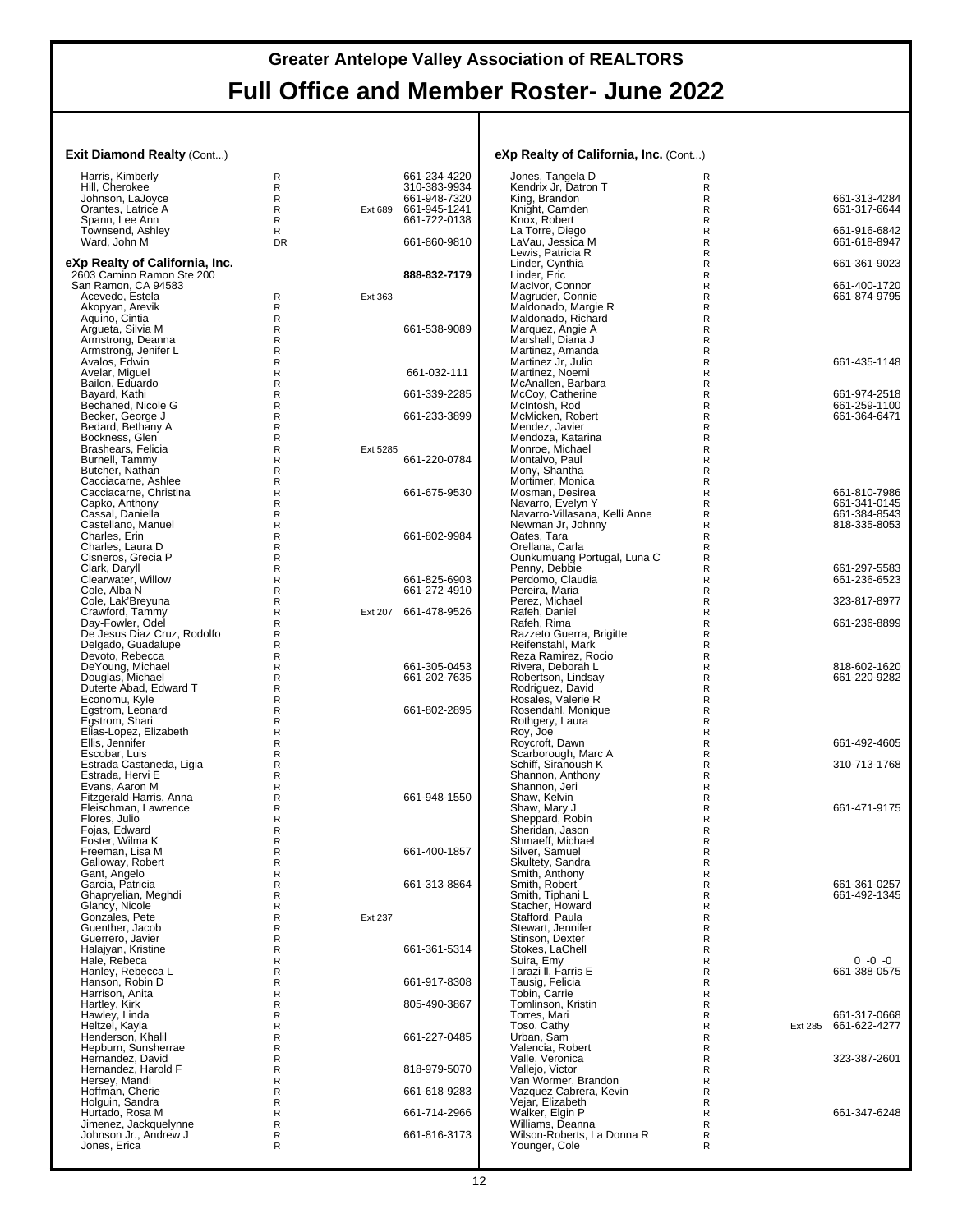#### **Exit Diamond Realty (Cont...)**

| Exit Diamond Realty (Cont)                      |                              |          |                              | eXp Realty of California, Inc. (Cont)                 |  |
|-------------------------------------------------|------------------------------|----------|------------------------------|-------------------------------------------------------|--|
| Harris, Kimberly                                | R                            |          | 661-234-4220                 | Jones, Tangela D                                      |  |
| Hill, Cherokee                                  | R<br>$\mathsf{R}$            |          | 310-383-9934<br>661-948-7320 | Kendrix Jr. Datron T<br>King. Brandon                 |  |
| Johnson, LaJoyce<br>Orantes, Latrice A          | R                            |          | Ext 689 661-945-1241         | Knight, Camden                                        |  |
| Spann, Lee Ann                                  | $\mathsf{R}$                 |          | 661-722-0138                 | Knox, Robert                                          |  |
| Townsend, Ashley                                | R                            |          |                              | La Torre, Diego                                       |  |
| Ward, John M                                    | DR.                          |          | 661-860-9810                 | LaVau, Jessica M                                      |  |
| eXp Realty of California, Inc.                  |                              |          |                              | Lewis, Patricia R<br>Linder, Cynthia                  |  |
| 2603 Camino Ramon Ste 200                       |                              |          | 888-832-7179                 | Linder, Eric                                          |  |
| San Ramon, CA 94583                             |                              |          |                              | MacIvor, Connor                                       |  |
| Acevedo, Estela                                 | R                            | Ext 363  |                              | Magruder, Connie                                      |  |
| Akopyan, Arevik<br>Aquino, Cintia               | R<br>R                       |          |                              | Maldonado, Margie R<br>Maldonado, Richard<br>Б        |  |
| Arqueta, Silvia M                               | R                            |          | 661-538-9089                 | Marquez, Angie A                                      |  |
| Armstrong, Deanna                               | R                            |          |                              | Marshall, Diana J                                     |  |
| Armstrong, Jenifer L                            | R                            |          |                              | Martinez, Amanda                                      |  |
| Avalos, Edwin<br>Avelar, Miquel                 | R<br>R                       |          | 661-032-111                  | Martinez Jr, Julio<br>Martinez, Noemi                 |  |
| Bailon, Eduardo                                 | $\mathsf{R}$                 |          |                              | McAnallen, Barbara<br>Б                               |  |
| Bayard, Kathi                                   | $\mathsf R$                  |          | 661-339-2285                 | McCoy, Catherine                                      |  |
| Bechahed, Nicole G                              | R                            |          |                              | McIntosh, Rod                                         |  |
| Becker, George J<br>Bedard, Bethany A           | $\mathsf{R}$<br>$\mathsf{R}$ |          | 661-233-3899                 | McMicken, Robert<br>Mendez, Javier                    |  |
| Bockness, Glen                                  | R                            |          |                              | Mendoza, Katarina                                     |  |
| Brashears, Felicia                              | $\mathsf{R}$                 | Ext 5285 |                              | Monroe, Michael<br>Б                                  |  |
| Burnell, Tammy                                  | $\mathsf R$                  |          | 661-220-0784                 | Montalvo, Paul<br>Mony, Shantha                       |  |
| Butcher, Nathan<br>Cacciacarne, Ashlee          | R<br>R                       |          |                              | Mortimer. Monica                                      |  |
| Cacciacarne, Christina                          | $\mathsf{R}$                 |          | 661-675-9530                 | Mosman, Desirea                                       |  |
| Capko, Anthony                                  | R                            |          |                              | Navarro, Evelyn Y                                     |  |
| Cassal, Daniella                                | $\mathsf{R}$<br>$\mathsf{R}$ |          |                              | Navarro-Villasana, Kelli Anne<br>Newman Jr. Johnny    |  |
| Castellano, Manuel<br>Charles, Erin             | R                            |          | 661-802-9984                 | Oates, Tara                                           |  |
| Charles, Laura D                                | $\mathsf{R}$                 |          |                              | Orellana, Carla                                       |  |
| Cisneros, Grecia P                              | R                            |          |                              | Ounkumuang Portugal, Luna C                           |  |
| Clark, Daryll<br>Clearwater, Willow             | R<br>$\mathsf{R}$            |          | 661-825-6903                 | Penny, Debbie<br>Perdomo, Claudia<br>F                |  |
| Cole, Alba N                                    | R                            |          | 661-272-4910                 | Pereira, Maria                                        |  |
| Cole, Lak'Breyuna                               | R                            |          |                              | Perez, Michael                                        |  |
| Crawford, Tammy                                 | R                            |          | Ext 207 661-478-9526         | Rafeh, Daniel                                         |  |
| Day-Fowler, Odel<br>De Jesus Diaz Cruz, Rodolfo | R<br>R                       |          |                              | Rafeh, Rima<br>Razzeto Guerra, Brigitte               |  |
| Delgado, Guadalupe                              | R                            |          |                              | Reifenstahl, Mark<br>Б                                |  |
| Devoto, Rebecca                                 | R                            |          |                              | Reza Ramirez, Rocio                                   |  |
| DeYoung, Michael                                | R                            |          | 661-305-0453                 | Rivera, Deborah L<br>F                                |  |
| Douglas, Michael<br>Duterte Abad, Edward T      | R<br>R                       |          | 661-202-7635                 | Robertson, Lindsay<br>F<br>Rodriguez, David           |  |
| Economu, Kyle                                   | R                            |          |                              | Rosales, Valerie R<br>F                               |  |
| Egstrom, Leonard                                | $\mathsf{R}$                 |          | 661-802-2895                 | Rosendahl, Monique<br>F                               |  |
| Egstrom, Shari                                  | $\mathsf{R}$<br>R            |          |                              | Rothgery, Laura<br>Б<br>Roy, Joe                      |  |
| Elias-Lopez, Elizabeth<br>Ellis, Jennifer       | R                            |          |                              | Б<br>Roycroft, Dawn                                   |  |
|                                                 | R                            |          |                              | Scarborough, Marc A                                   |  |
| Escobar, Luis<br>Estrada Castaneda, Ligia       | R                            |          |                              | Schiff, Siranoush K<br>Б                              |  |
| Estrada, Hervi E<br>Evans. Aaron M              | R<br>R                       |          |                              | Shannon, Anthony<br>Б<br>Shannon, Jeri                |  |
| Fitzgerald-Harris, Anna                         | R                            |          | 661-948-1550                 | Shaw, Kelvin                                          |  |
| Fleischman, Lawrence                            | R                            |          |                              | Shaw, Mary J                                          |  |
| Flores, Julio                                   | R                            |          |                              | Sheppard, Robin                                       |  |
| Fojas, Edward<br>Foster, Wilma K                | R<br>R                       |          |                              | Sheridan, Jason<br>F<br>Shmaeff, Michael<br>Б         |  |
| Freeman, Lisa M                                 | R                            |          | 661-400-1857                 | Silver, Samuel                                        |  |
| Galloway, Robert                                | R                            |          |                              | Skultety, Sandra                                      |  |
| Gant, Angelo<br>Garcia, Patricia                | R                            |          | 661-313-8864                 | Smith, Anthony<br>Smith, Robert                       |  |
| Ghapryelian, Meghdi                             | R<br>R                       |          |                              | Smith, Tiphani L                                      |  |
| Glancy, Nicole                                  | R                            |          |                              | Stacher, Howard                                       |  |
| Gonzales, Pete                                  | $\mathsf R$                  | Ext 237  |                              | Stafford, Paula                                       |  |
| Guenther, Jacob<br>Guerrero, Javier             | R<br>R                       |          |                              | Stewart, Jennifer<br>Stinson, Dexter                  |  |
| Halajyan, Kristine                              | R                            |          | 661-361-5314                 | Stokes, LaChell                                       |  |
| Hale, Rebeca                                    | R                            |          |                              | Suira, Emy                                            |  |
| Hanley, Rebecca L                               | $\mathsf{R}$                 |          |                              | Tarazi II, Farris E                                   |  |
| Hanson, Robin D<br>Harrison, Anita              | $\mathsf R$<br>R             |          | 661-917-8308                 | Tausig, Felicia<br>Tobin, Carrie                      |  |
| Hartley, Kirk                                   | R                            |          | 805-490-3867                 | Tomlinson, Kristin                                    |  |
| Hawley, Linda<br>Heltzel, Kayla                 | R                            |          |                              | Torres, Mari                                          |  |
| Henderson. Khalil                               | R<br>$\mathsf{R}$            |          |                              | Toso, Cathy<br>Urban, Sam                             |  |
| Hepburn, Sunsherrae                             | $\mathsf R$                  |          | 661-227-0485                 | Valencia, Robert                                      |  |
| Hernandez, David                                | R                            |          |                              | Valle, Veronica                                       |  |
| Hernandez, Harold F                             | R                            |          | 818-979-5070                 | Vallejo, Victor                                       |  |
| Hersey, Mandi                                   | R<br>R                       |          | 661-618-9283                 | Van Wormer, Brandon<br>Vazquez Cabrera, Kevin         |  |
| Hoffman, Cherie<br>Holguin, Sandra              | R                            |          |                              | Vejar, Elizabeth                                      |  |
| Hurtado, Rosa M                                 | R                            |          | 661-714-2966                 | Walker, Elgin P                                       |  |
| Jimenez, Jackquelynne                           | R                            |          |                              | Williams, Deanna                                      |  |
| Johnson Jr., Andrew J<br>Jones, Erica           | R<br>R                       |          | 661-816-3173                 | Wilson-Roberts, La Donna R<br>Б<br>Younger, Cole<br>Б |  |
|                                                 |                              |          |                              |                                                       |  |

| Jones, Tangela D                           | R            |         |                              |
|--------------------------------------------|--------------|---------|------------------------------|
| Kendrix Jr, Datron T                       | R            |         |                              |
| King, Brandon<br>Knight, Camden            | R<br>R       |         | 661-313-4284<br>661-317-6644 |
| Knox, Robert                               | R            |         |                              |
| La Torre, Diego                            | R            |         | 661-916-6842                 |
| LaVau, Jessiča M                           | R            |         | 661-618-8947                 |
| Lewis, Patricia R                          | $\mathsf{R}$ |         |                              |
| Linder, Cynthia<br>Linder, Eric            | R<br>R       |         | 661-361-9023                 |
| MacIvor, Connor                            | $\mathsf{R}$ |         | 661-400-1720                 |
| Magruder, Connie                           | R            |         | 661-874-9795                 |
| Maldonado, Margie R                        | R            |         |                              |
| Maldonado, Richard                         | R            |         |                              |
| Marquez, Angie A<br>Marshall, Diana J      | R<br>R       |         |                              |
| Martinez, Amanda                           | R            |         |                              |
| Martinez Jr, Julio                         | R            |         | 661-435-1148                 |
| Martinez. Noemi                            | R            |         |                              |
| McAnallen, Barbara                         | R<br>R       |         |                              |
| McCoy, Catherine<br>McIntosh, Rod          | R            |         | 661-974-2518<br>661-259-1100 |
| McMicken, Robert                           | R            |         | 661-364-6471                 |
| Mendez, Javier                             | R            |         |                              |
| Mendoza, Katarina                          | R            |         |                              |
| Monroe, Michael                            | R            |         |                              |
| Montalvo, Paul<br>Mony, Shantha            | R<br>R       |         |                              |
| Mortimer, Monica                           | R            |         |                              |
| Mosman, Desirea                            | R            |         | 661-810-7986                 |
| Navarro, Evelyn Y                          | R            |         | 661-341-0145                 |
| Navarro-Villasana, Kelli Anne              | $\mathsf{R}$ |         | 661-384-8543                 |
| Newman Jr, Johnny<br>Oates, Tara           | R<br>R       |         | 818-335-8053                 |
| Orellana, Carla                            | $\mathsf{R}$ |         |                              |
| Ounkumuang Portugal, Luna C                | R            |         |                              |
| Penny, Debbie                              | R            |         | 661-297-5583                 |
| Perdomo, Claudia                           | $\mathsf{R}$ |         | 661-236-6523                 |
| Pereira, Maria<br>Perez, Michael           | R<br>R       |         | 323-817-8977                 |
| Rafeh, Daniel                              | R            |         |                              |
| Rafeh, Rima                                | R            |         | 661-236-8899                 |
| Razzeto Guerra, Brigitte                   | R            |         |                              |
| Reifenstahl, Mark                          | R            |         |                              |
| Reza Ramirez, Rocio                        | R            |         |                              |
| Rivera, Deborah L<br>Robertson, Lindsay    | R<br>R       |         | 818-602-1620<br>661-220-9282 |
| Rodriguez, David                           | R            |         |                              |
| Rosales, Valerie R                         | R            |         |                              |
| Rosendahl, Monique                         | R            |         |                              |
| Rothgery, Laura                            | R            |         |                              |
| Roy, Joe                                   | R<br>R       |         | 661-492-4605                 |
| Roycroft, Dawn<br>Scarborough, Marc A      | R            |         |                              |
| Schiff, Siranoush K                        | R            |         | 310-713-1768                 |
| Shannon, Anthony                           | R            |         |                              |
| Shannon, Jeri                              | R            |         |                              |
| Shaw, Kelvin                               | R            |         |                              |
| Shaw, Mary J<br>Sheppard, Robin            | R<br>R       |         | 661-471-9175                 |
| Sheridan, Jason                            | R            |         |                              |
| Shmaeff, Michael                           | R            |         |                              |
| Silver, Samuel                             | $\mathsf{R}$ |         |                              |
| Skultety, Sandra                           | к            |         |                              |
| Smith, Anthony                             | R            |         |                              |
| Smith, Robert<br>Smith, Tiphani L          | R<br>R       |         | 661-361-0257<br>661-492-1345 |
| Stacher, Howard                            | R            |         |                              |
| Stafford, Paula                            | R            |         |                              |
| Stewart, Jennifer                          | R            |         |                              |
| Stinson, Dexter                            | R            |         |                              |
| Stokes, LaChell<br>Suira, Emy              | R<br>R       |         | 0 -0 -0                      |
| Tarazi II, Farris E                        | R            |         | 661-388-0575                 |
| Tausig, Felicia                            | R            |         |                              |
| Tobin, Carrie                              | R            |         |                              |
| Tomlinson, Kristin                         | R            |         |                              |
| Torres, Mari                               | R            |         | 661-317-0668                 |
| Toso, Cathy<br>Urban, Sam                  | R<br>R       | Ext 285 | 661-622-4277                 |
| Valencia, Robert                           | R            |         |                              |
| Valle, Veronica                            | R            |         | 323-387-2601                 |
| Vallejo, Victor                            | R            |         |                              |
| Van Wormer, Brandon                        | R            |         |                              |
| Vazquez Cabrera, Kevin<br>Vejar, Elizabeth | R<br>R       |         |                              |
| Walker, Elgin P                            | R            |         | 661-347-6248                 |
| Williams, Deanna                           | R            |         |                              |
| Wilson-Roberts, La Donna R                 | R            |         |                              |
| Younger, Cole                              | R            |         |                              |
|                                            |              |         |                              |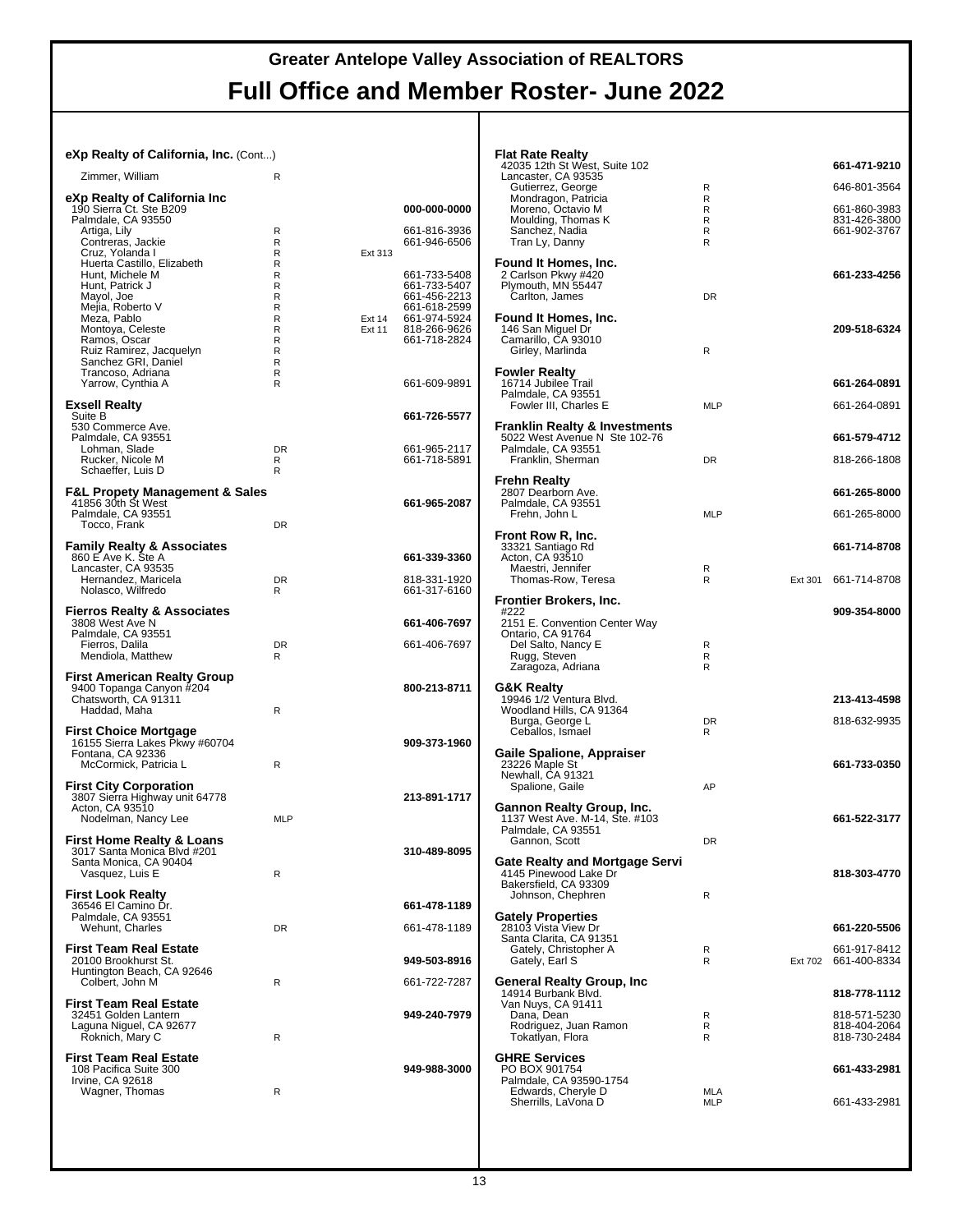#### **eXp Realty of California, Inc.** (Cont...)

| Zimmer, William                                                                                                  | R                     |                         |                                                              |  |
|------------------------------------------------------------------------------------------------------------------|-----------------------|-------------------------|--------------------------------------------------------------|--|
| eXp Realty of California Inc<br>190 Sierra Ct. Ste B209<br>Palmdale, CA 93550                                    |                       |                         | 000-000-0000                                                 |  |
| Artiga, Lily<br>Contreras, Jackie<br>Cruz, Yolanda I<br>Huerta Castillo, Elizabeth                               | R<br>R<br>R<br>R      | Ext 313                 | 661-816-3936<br>661-946-6506                                 |  |
| Hunt, Michele M<br>Hunt, Patrick J<br>Mayol, Joe<br>Mejia, Roberto V                                             | R<br>R<br>R<br>R      |                         | 661-733-5408<br>661-733-5407<br>661-456-2213<br>661-618-2599 |  |
| Meza, Pablo<br>Montoya, Celeste<br>Ramos, Oscar<br>Ruiz Ramirez, Jacquelyn<br>Sanchez GRI, Daniel                | R<br>R<br>R<br>R<br>R | Ext 14<br><b>Ext 11</b> | 661-974-5924<br>818-266-9626<br>661-718-2824                 |  |
| Trancoso, Adriana<br>Yarrow, Cynthia A                                                                           | R<br>R                |                         | 661-609-9891                                                 |  |
| <b>Exsell Realty</b><br>Suite B<br>530 Commerce Ave.                                                             |                       |                         | 661-726-5577                                                 |  |
| Palmdale, CA 93551<br>Lohman, Slade<br>Rucker, Nicole M<br>Schaeffer, Luis D                                     | <b>DR</b><br>R<br>R   |                         | 661-965-2117<br>661-718-5891                                 |  |
| <b>F&amp;L Propety Management &amp; Sales</b><br>41856 30th St West<br>Palmdale, CA 93551<br>Tocco, Frank        | <b>DR</b>             |                         | 661-965-2087                                                 |  |
| <b>Family Realty &amp; Associates</b><br>860 E Ave K. Ste A<br>Lancaster, CA 93535                               |                       |                         | 661-339-3360                                                 |  |
| Hernandez, Maricela<br>Nolasco, Wilfredo                                                                         | <b>DR</b><br>R        |                         | 818-331-1920<br>661-317-6160                                 |  |
| <b>Fierros Realty &amp; Associates</b><br>3808 West Ave N                                                        |                       |                         | 661-406-7697                                                 |  |
| Palmdale, CA 93551<br>Fierros, Dalila<br>Mendiola, Matthew                                                       | DR.<br>R              |                         | 661-406-7697                                                 |  |
| First American Realty Group<br>9400 Topanga Canyon #204<br>Chatsworth, CA 91311<br>Haddad, Maha                  | R                     |                         | 800-213-8711                                                 |  |
| <b>First Choice Mortgage</b><br>16155 Sierra Lakes Pkwy #60704<br>Fontana, CA 92336<br>McCormick, Patricia L     | R                     |                         | 909-373-1960                                                 |  |
| <b>First City Corporation</b><br>3807 Sierra Highway unit 64778<br>Acton, CA 93510<br>Nodelman, Nancy Lee        | <b>MLP</b>            |                         | 213-891-1717                                                 |  |
| <b>First Home Realty &amp; Loans</b><br>3017 Santa Monica Blvd #201<br>Santa Monica, CA 90404<br>Vasquez, Luis E | R                     |                         | 310-489-8095                                                 |  |
| <b>First Look Realty</b><br>36546 El Camino Dr.                                                                  |                       |                         | 661-478-1189                                                 |  |
| Palmdale, CA 93551<br>Wehunt, Charles                                                                            | <b>DR</b>             |                         | 661-478-1189                                                 |  |
| <b>First Team Real Estate</b><br>20100 Brookhurst St.<br>Huntington Beach, CA 92646<br>Colbert. John M           | R                     |                         | 949-503-8916<br>661-722-7287                                 |  |
| First Team Real Estate<br>32451 Golden Lantern<br>Laguna Niguel, CA 92677<br>Roknich, Mary C                     | R                     |                         | 949-240-7979                                                 |  |
| <b>First Team Real Estate</b><br>108 Pacifica Suite 300<br>Irvine, CA 92618<br>Wagner, Thomas                    | R                     |                         | 949-988-3000                                                 |  |
|                                                                                                                  |                       |                         |                                                              |  |

| 42035 12th St West, Suite 102<br>Lancaster, CA 93535                      |                |         | 661-471-9210                 |
|---------------------------------------------------------------------------|----------------|---------|------------------------------|
| Gutierrez, George<br>Mondragon, Patricia                                  | R<br>R         |         | 646-801-3564                 |
| Moreno, Octavio M<br>Moulding, Thomas K                                   | R<br>R         |         | 661-860-3983<br>831-426-3800 |
| Sanchez, Nadia<br>Tran Ly, Danny                                          | R<br>R         |         | 661-902-3767                 |
| Found It Homes, Inc.                                                      |                |         |                              |
| 2 Carlson Pkwy #420<br>Plymouth, MN 55447                                 |                |         | 661-233-4256                 |
| Carlton, James                                                            | DR             |         |                              |
| Found It Homes, Inc.<br>146 San Miguel Dr                                 |                |         | 209-518-6324                 |
| Camarillo, CA 93010<br>Girley, Marlinda                                   | R              |         |                              |
| <b>Fowler Realty</b>                                                      |                |         |                              |
| 16714 Jubilee Trail<br>Palmdale, CA 93551                                 |                |         | 661-264-0891                 |
| Fowler III, Charles E                                                     | MLP            |         | 661-264-0891                 |
| <b>Franklin Realty &amp; Investments</b><br>5022 West Avenue N Ste 102-76 |                |         | 661-579-4712                 |
| Palmdale, CA 93551<br>Franklin, Sherman                                   | DR             |         | 818-266-1808                 |
| Frehn Realty                                                              |                |         |                              |
| 2807 Dearborn Ave.<br>Palmdale, CA 93551                                  |                |         | 661-265-8000                 |
| Frehn, John L                                                             | <b>MLP</b>     |         | 661-265-8000                 |
| Front Row R, Inc.<br>33321 Santiago Rd                                    |                |         | 661-714-8708                 |
| Acton, CA 93510<br>Maestri, Jennifer                                      | R              |         |                              |
| Thomas-Row, Teresa                                                        | R              | Ext 301 | 661-714-8708                 |
| Frontier Brokers, Inc.<br>#222                                            |                |         | 909-354-8000                 |
| 2151 E. Convention Center Way<br>Ontario, CA 91764                        |                |         |                              |
| Del Salto, Nancy E<br>Rugg, Steven                                        | R<br>R         |         |                              |
| Zaragoza, Adriana                                                         | R              |         |                              |
| G&K Realty<br>19946 1/2 Ventura Blvd.                                     |                |         | 213-413-4598                 |
| Woodland Hills, CA 91364                                                  |                |         |                              |
|                                                                           |                |         |                              |
| Burga, George L<br>Ceballos, Ismael                                       | <b>DR</b><br>R |         | 818-632-9935                 |
| Gaile Spalione, Appraiser                                                 |                |         |                              |
| 23226 Maple St<br>Newhall, CA 91321                                       |                |         | 661-733-0350                 |
| Spalione, Gaile                                                           | AP             |         |                              |
| Gannon Realty Group, Inc.<br>1137 West Ave. M-14, Ste. #103               |                |         | 661-522-3177                 |
| Palmdale, CA 93551<br>Gannon, Scott                                       | DR             |         |                              |
| Gate Realty and Mortgage Servi                                            |                |         |                              |
| 4145 Pinewood Lake Dr<br>Bakersfield, CA 93309                            |                |         | 818-303-4770                 |
| Johnson, Chephren                                                         | R              |         |                              |
| <b>Gately Properties</b><br>28103 Vista View Dr                           |                |         | 661-220-5506                 |
| Santa Clarita, CA 91351<br>Gately, Christopher A                          | R<br>R         |         | 661-917-8412                 |
| Gately, Earl S                                                            |                | Ext 702 | 661-400-8334                 |
| General Realty Group, Inc<br>14914 Burbank Blvd.                          |                |         | 818-778-1112                 |
| Van Nuys, CA 91411<br>Dana, Dean                                          | R              |         | 818-571-5230                 |
| Rodriguez, Juan Ramon<br>Tokatlyan, Flora                                 | R<br>R         |         | 818-404-2064<br>818-730-2484 |
| <b>GHRE Services</b>                                                      |                |         |                              |
| PO BOX 901754<br>Palmdale, CA 93590-1754<br>Edwards, Cheryle D            | MLA            |         | 661-433-2981                 |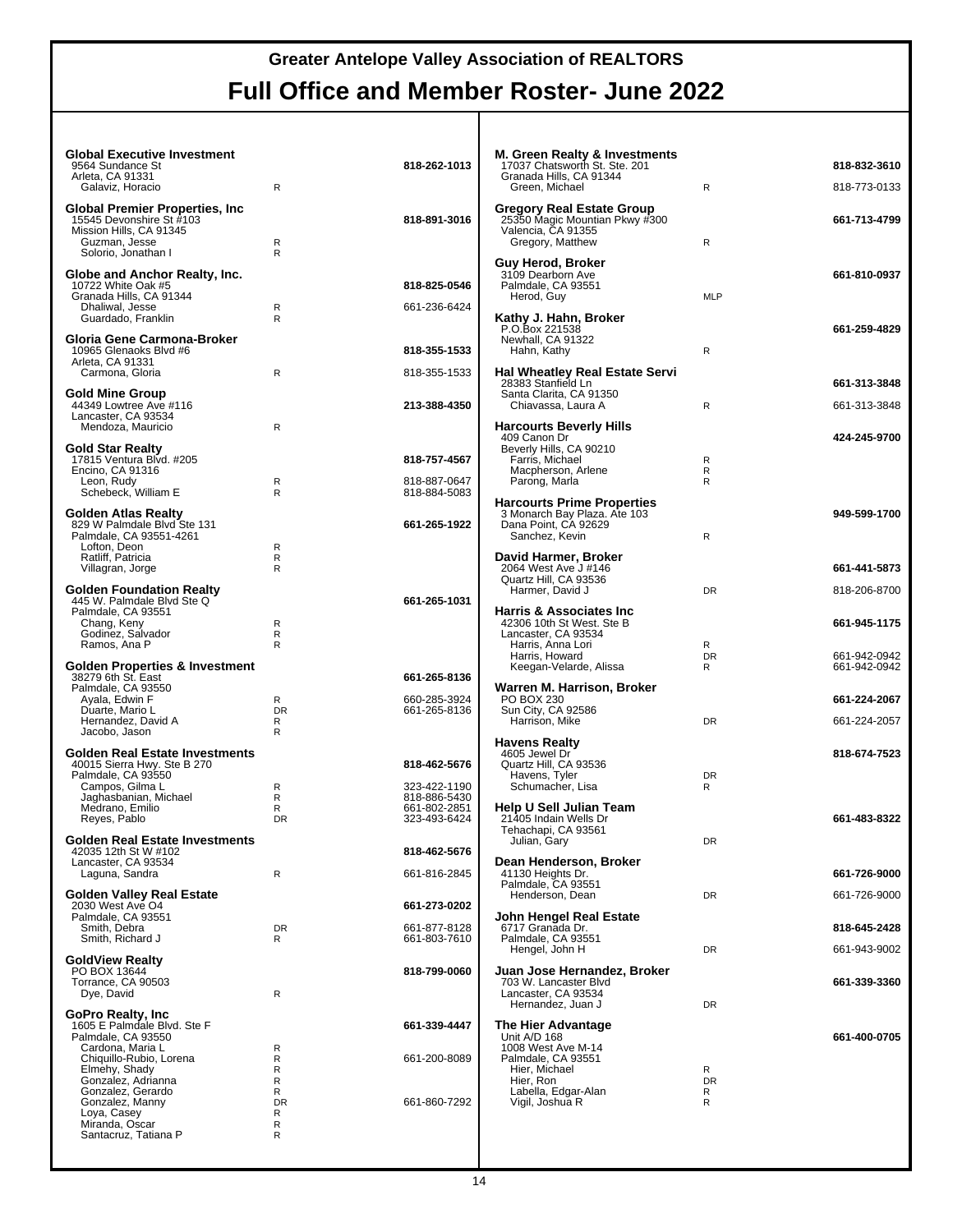| <b>Global Executive Investment</b><br>9564 Sundance St        |                | 818-262-1013                 | <b>M. Green Realty &amp; Investments</b><br>17037 Chatsworth St. Ste. 201 |                   | 818-832-3610 |
|---------------------------------------------------------------|----------------|------------------------------|---------------------------------------------------------------------------|-------------------|--------------|
| Arleta, CA 91331<br>Galaviz, Horacio                          | R              |                              | Granada Hills, CA 91344<br>Green. Michael                                 | R                 | 818-773-0133 |
| <b>Global Premier Properties, Inc.</b>                        |                |                              | <b>Gregory Real Estate Group</b>                                          |                   |              |
| 15545 Devonshire St #103<br>Mission Hills, CA 91345           |                | 818-891-3016                 | 25350 Magic Mountian Pkwy #300<br>Valencia, CA 91355                      |                   | 661-713-4799 |
| Guzman, Jesse<br>Solorio, Jonathan I                          | R<br>R         |                              | Gregory, Matthew                                                          | R                 |              |
| Globe and Anchor Realty, Inc.                                 |                |                              | Guy Herod, Broker<br>3109 Dearborn Ave                                    |                   | 661-810-0937 |
| 10722 White Oak #5                                            |                | 818-825-0546                 | Palmdale, CA 93551                                                        |                   |              |
| Granada Hills, CA 91344<br>Dhaliwal, Jesse                    | $\mathsf{R}$   | 661-236-6424                 | Herod, Guy                                                                | <b>MLP</b>        |              |
| Guardado, Franklin                                            | R              |                              | Kathy J. Hahn, Broker<br>P.O.Box 221538                                   |                   | 661-259-4829 |
| Gloria Gene Carmona-Broker<br>10965 Glenaoks Blvd #6          |                | 818-355-1533                 | Newhall, CA 91322<br>Hahn, Kathy                                          | R                 |              |
| Arleta, CA 91331<br>Carmona, Gloria                           | $\mathsf{R}$   | 818-355-1533                 | <b>Hal Wheatley Real Estate Servi</b>                                     |                   |              |
|                                                               |                |                              | 28383 Stanfield Ln                                                        |                   | 661-313-3848 |
| <b>Gold Mine Group</b><br>44349 Lowtree Ave #116              |                | 213-388-4350                 | Santa Clarita, CA 91350<br>Chiavassa, Laura A                             | R                 | 661-313-3848 |
| Lancaster, CA 93534<br>Mendoza, Mauricio                      | R              |                              | <b>Harcourts Beverly Hills</b>                                            |                   |              |
| <b>Gold Star Realty</b>                                       |                |                              | 409 Canon Dr<br>Beverly Hills, CA 90210                                   |                   | 424-245-9700 |
| 17815 Ventura Blvd. #205<br>Encino, CA 91316                  |                | 818-757-4567                 | Farris, Michael<br>Macpherson, Arlene                                     | R<br>$\mathsf{R}$ |              |
| Leon, Rudy                                                    | R              | 818-887-0647                 | Parong, Marla                                                             | R                 |              |
| Schebeck, William E                                           | R              | 818-884-5083                 | <b>Harcourts Prime Properties</b>                                         |                   |              |
| Golden Atlas Realty<br>829 W Palmdale Blvd Ste 131            |                | 661-265-1922                 | 3 Monarch Bay Plaza. Ate 103<br>Dana Point, CA 92629                      |                   | 949-599-1700 |
| Palmdale, CA 93551-4261<br>Lofton, Deon                       | R              |                              | Sanchez, Kevin                                                            | R                 |              |
| Ratliff, Patricia                                             | R              |                              | David Harmer, Broker                                                      |                   |              |
| Villagran, Jorge                                              | R              |                              | 2064 West Ave J #146<br>Quartz Hill, CA 93536                             |                   | 661-441-5873 |
| <b>Golden Foundation Realty</b><br>445 W. Palmdale Blvd Ste Q |                | 661-265-1031                 | Harmer, David J                                                           | <b>DR</b>         | 818-206-8700 |
| Palmdale, CA 93551<br>Chang, Keny                             | R              |                              | <b>Harris &amp; Associates Inc.</b><br>42306 10th St West. Ste B          |                   | 661-945-1175 |
| Godinez, Salvador<br>Ramos, Ana P                             | R<br>R         |                              | Lancaster, CA 93534<br>Harris, Anna Lori                                  | R                 |              |
|                                                               |                |                              | Harris, Howard                                                            | <b>DR</b>         | 661-942-0942 |
| Golden Properties & Investment<br>38279 6th St. East          |                | 661-265-8136                 | Keegan-Velarde, Alissa                                                    | R                 | 661-942-0942 |
| Palmdale, CA 93550<br>Ayala, Edwin F                          | R              | 660-285-3924                 | Warren M. Harrison, Broker<br>PO BOX 230                                  |                   | 661-224-2067 |
| Duarte, Mario L<br>Hernandez, David A                         | <b>DR</b><br>R | 661-265-8136                 | Sun City, CA 92586<br>Harrison, Mike                                      | <b>DR</b>         | 661-224-2057 |
| Jacobo, Jason                                                 | R              |                              | <b>Havens Realty</b>                                                      |                   |              |
| <b>Golden Real Estate Investments</b>                         |                |                              | 4605 Jewel Dr                                                             |                   | 818-674-7523 |
| 40015 Sierra Hwy. Ste B 270<br>Palmdale, CA 93550             |                | 818-462-5676                 | Quartz Hill, CA 93536<br>Havens, Tyler                                    | DR                |              |
| Campos, Gilma L<br>Jaghasbanian, Michael                      | R<br>R         | 323-422-1190<br>818-886-5430 | Schumacher, Lisa                                                          | R                 |              |
| Medrano, Emilio<br>Reyes, Pablo                               | R<br><b>DR</b> | 661-802-2851<br>323-493-6424 | <b>Help U Sell Julian Team</b><br>21405 Indain Wells Dr                   |                   | 661-483-8322 |
|                                                               |                |                              | Tehachapi, CA 93561                                                       |                   |              |
| <b>Golden Real Estate Investments</b><br>42035 12th St W #102 |                | 818-462-5676                 | Julian, Gary                                                              | DR                |              |
| Lancaster, CA 93534<br>Laguna, Sandra                         | R              | 661-816-2845                 | Dean Henderson, Broker<br>41130 Heights Dr.                               |                   | 661-726-9000 |
| <b>Golden Valley Real Estate</b>                              |                |                              | Palmdale, CA 93551<br>Henderson, Dean                                     | DR                | 661-726-9000 |
| 2030 West Ave O4<br>Palmdale, CA 93551                        |                | 661-273-0202                 | John Hengel Real Estate                                                   |                   |              |
| Smith, Debra                                                  | DR             | 661-877-8128                 | 6717 Granada Dr.                                                          |                   | 818-645-2428 |
| Smith, Richard J                                              | R              | 661-803-7610                 | Palmdale, CA 93551<br>Hengel, John H                                      | DR                | 661-943-9002 |
| <b>GoldView Realty</b><br>PO BOX 13644                        |                | 818-799-0060                 | Juan Jose Hernandez, Broker                                               |                   |              |
| Torrance, CA 90503<br>Dye, David                              | $\mathsf{R}$   |                              | 703 W. Lancaster Blvd<br>Lancaster, CA 93534                              |                   | 661-339-3360 |
| GoPro Realty, Inc.                                            |                |                              | Hernandez, Juan J                                                         | DR                |              |
| 1605 E Palmdale Blvd. Ste F                                   |                | 661-339-4447                 | The Hier Advantage                                                        |                   |              |
| Palmdale, CA 93550<br>Cardona, Maria L                        | R              |                              | Unit A/D 168<br>1008 West Ave M-14                                        |                   | 661-400-0705 |
| Chiquillo-Rubio, Lorena<br>Elmehy, Shady                      | R<br>R         | 661-200-8089                 | Palmdale, CA 93551<br>Hier, Michael                                       | R                 |              |
| Gonzalez, Adrianna<br>Gonzalez, Gerardo                       | R<br>R         |                              | Hier, Ron<br>Labella, Edgar-Alan                                          | <b>DR</b><br>R    |              |
| Gonzalez, Manny                                               | DR             | 661-860-7292                 | Vigil, Joshua R                                                           | R                 |              |
| Loya, Casey<br>Miranda, Oscar                                 | R<br>R         |                              |                                                                           |                   |              |
| Santacruz, Tatiana P                                          | R              |                              |                                                                           |                   |              |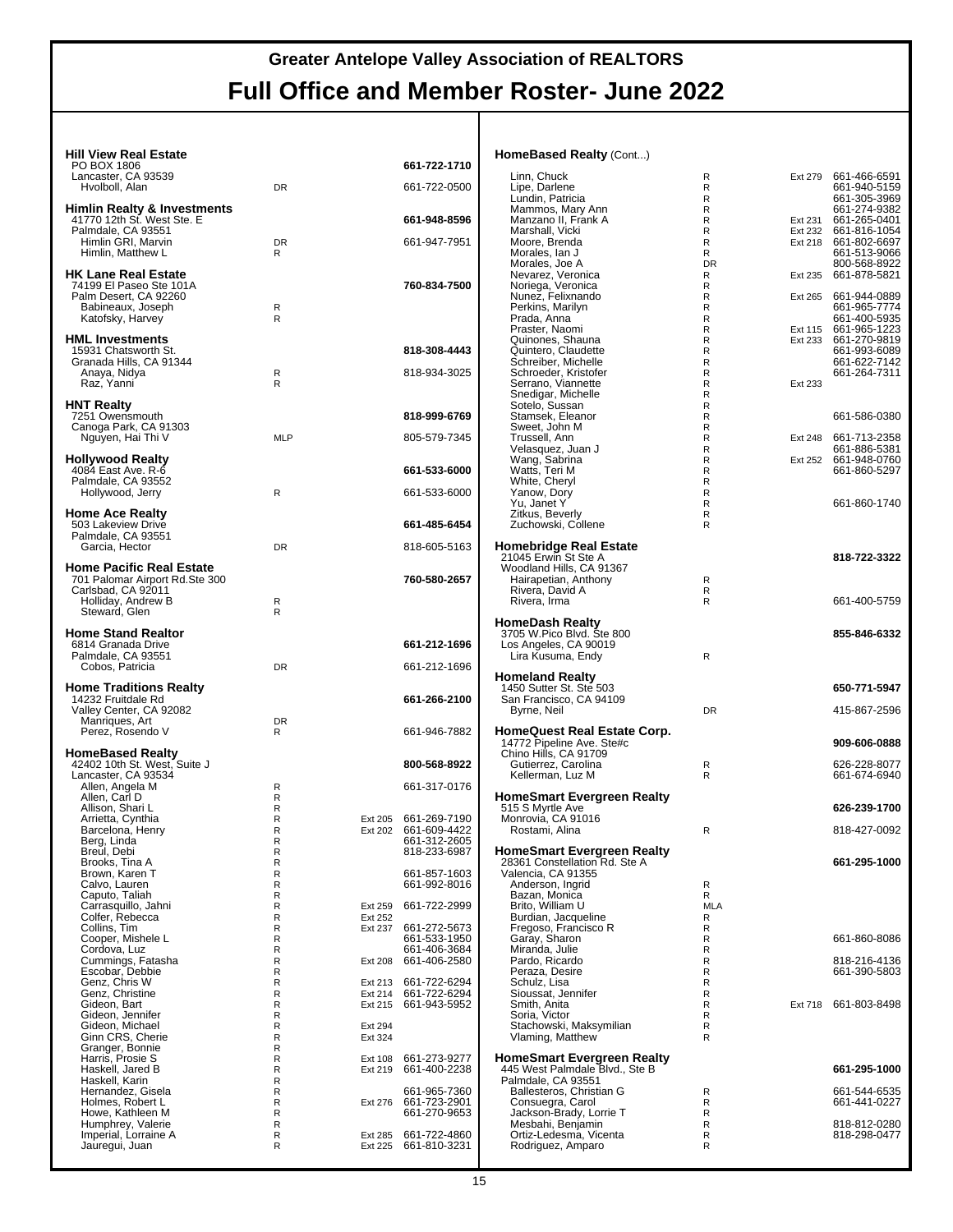#### **Hill View Real Estate**

| PO BOX 1806                                                                                                             |                |                    | 661-722-1710                                 |
|-------------------------------------------------------------------------------------------------------------------------|----------------|--------------------|----------------------------------------------|
| Lancaster, CA 93539<br>Hvolboll, Alan                                                                                   | <b>DR</b>      |                    | 661-722-0500                                 |
| <b>Himlin Realty &amp; Investments</b><br>41770 12th St. West Ste. E                                                    |                |                    | 661-948-8596                                 |
| Palmdale, CA 93551<br>Himlin GRI, Marvin<br>Himlin, Matthew L                                                           | <b>DR</b><br>R |                    | 661-947-7951                                 |
| <b>HK Lane Real Estate</b><br>74199 El Paseo Ste 101A<br>Palm Desert, CA 92260<br>Babineaux, Joseph<br>Katofsky, Harvey | R<br>R         |                    | 760-834-7500                                 |
| <b>HML Investments</b><br>15931 Chatsworth St.<br>Granada Hills, CA 91344                                               |                |                    | 818-308-4443                                 |
| Anaya, Nidya<br>Raz, Yanni                                                                                              | R<br>R         |                    | 818-934-3025                                 |
| <b>HNT Realty</b><br>7251 Owensmouth                                                                                    |                |                    | 818-999-6769                                 |
| Canoga Park, CA 91303<br>Nguyen, Hai Thi V                                                                              | <b>MLP</b>     |                    | 805-579-7345                                 |
| <b>Hollywood Realty</b><br>4084 East Ave. R-6                                                                           |                |                    | 661-533-6000                                 |
| Palmdale, CA 93552<br>Hollywood, Jerry                                                                                  | R              |                    | 661-533-6000                                 |
| Home Ace Realty<br>503 Lakeview Drive                                                                                   |                |                    | 661-485-6454                                 |
| Palmdale, CA 93551<br>Garcia, Hector                                                                                    | <b>DR</b>      |                    | 818-605-5163                                 |
| Home Pacific Real Estate<br>701 Palomar Airport Rd.Ste 300<br>Carlsbad, CA 92011<br>Holliday, Andrew B                  | R              |                    | 760-580-2657                                 |
| Steward, Glen                                                                                                           | R              |                    |                                              |
| <b>Home Stand Realtor</b><br>6814 Granada Drive                                                                         |                |                    | 661-212-1696                                 |
|                                                                                                                         |                |                    |                                              |
| Palmdale, CA 93551<br>Cobos, Patricia                                                                                   | DR             |                    | 661-212-1696                                 |
| <b>Home Traditions Realty</b><br>14232 Fruitdale Rd                                                                     |                |                    | 661-266-2100                                 |
| Valley Center, CA 92082<br>Manriques, Art<br>Perez, Rosendo V                                                           | <b>DR</b><br>R |                    | 661-946-7882                                 |
| HomeBased Realty<br>42402 10th St. West, Suite J                                                                        |                |                    | 800-568-8922                                 |
| Lancaster, CA 93534<br>Allen, Angela M                                                                                  | R              |                    | 661-317-0176                                 |
| Allen, Carl D<br>Allison, Shari L                                                                                       | R<br>R         |                    |                                              |
| Arrietta, Cynthia<br>Barcelona, Henry                                                                                   | R<br>R         | Ext 205<br>Ext 202 | 661-269-7190<br>661-609-4422                 |
| Berg, Linda                                                                                                             | R<br>R         |                    | 661-312-2605<br>818-233-6987                 |
| Breul, Debi<br>Brooks, Tina A<br>Brown, Karen T                                                                         | R<br>R<br>R    |                    | 661-857-1603<br>661-992-8016                 |
| Calvo, Lauren<br>Caputo, Taliah<br>Carrasquillo, Jahni                                                                  | R<br>R         | Ext 259            | 661-722-2999                                 |
| Colfer, Rebecca<br>Collins, Tim                                                                                         | R<br>R         | Ext 252<br>Ext 237 | 661-272-5673                                 |
| Cooper, Mishele L<br>Cordova, Luz                                                                                       | R<br>R         |                    | 661-533-1950<br>661-406-3684                 |
| Cummings, Fatasha<br>Escobar, Debbie                                                                                    | R<br>R         | Ext 208            | 661-406-2580                                 |
| Genz, Chris W<br>Genz, Christine                                                                                        | R<br>R         | Ext 213<br>Ext 214 | 661-722-6294<br>661-722-6294                 |
| Gideon, Bart<br>Gideon, Jennifer                                                                                        | R<br>R         | Ext 215            | 661-943-5952                                 |
| Gideon, Michael<br>Ginn CRS, Cherie                                                                                     | R<br>R         | Ext 294<br>Ext 324 |                                              |
| Granger, Bonnie                                                                                                         | R<br>R         | Ext 108            | 661-273-9277                                 |
| Harriš, Prosie S<br>Haskell, Jared B<br>Haskell, Karin                                                                  | R<br>R         | Ext 219            | 661-400-2238                                 |
| Hernandez, Gisela<br>Holmes, Robert L                                                                                   | R<br>R<br>R    | Ext 276            | 661-965-7360<br>661-723-2901<br>661-270-9653 |
| Howe, Kathleen M<br>Humphrey, Valerie<br>Imperial, Lorraine A<br>Jauregui, Juan                                         | R<br>R         | Ext 285            | 661-722-4860<br>661-810-3231                 |

#### **HomeBased Realty** (Cont...)

| Linn, Chuck                                                        | R         | Ext 279 | 661-466-6591                 |
|--------------------------------------------------------------------|-----------|---------|------------------------------|
| Lipe, Darlene<br>Lundin, Patricia                                  | R<br>R    |         | 661-940-5159<br>661-305-3969 |
| Mammos, Mary Ann                                                   | R         |         | 661-274-9382                 |
| Manzano II, Frank A                                                | R         | Ext 231 | 661-265-0401                 |
| Marshall, Vicki                                                    | R         | Ext 232 | 661-816-1054                 |
| Moore, Brenda<br>Morales, Ian J                                    | R<br>R    | Ext 218 | 661-802-6697<br>661-513-9066 |
| Morales, Joe A                                                     | <b>DR</b> |         | 800-568-8922                 |
| Nevarez, Veronica                                                  | R         | Ext 235 | 661-878-5821                 |
| Noriega, Veronica                                                  | R         |         |                              |
| Nunez, Felixnando<br>Perkins, Marilyn                              | R<br>R    | Ext 265 | 661-944-0889<br>661-965-7774 |
| Prada, Anna                                                        | R         |         | 661-400-5935                 |
| Praster, Naomi                                                     | R         | Ext 115 | 661-965-1223                 |
| Quinones, Shauna                                                   | R         | Ext 233 | 661-270-9819                 |
| Quintero, Claudette                                                | R         |         | 661-993-6089                 |
| Schreiber, Michelle<br>Schroeder, Kristofer                        | R<br>R    |         | 661-622-7142<br>661-264-7311 |
| Serrano, Viannette                                                 | R         | Ext 233 |                              |
| Snedigar, Michelle                                                 | R         |         |                              |
| Sotelo, Sussan                                                     | R         |         |                              |
| Stamsek, Eleanor                                                   | R         |         | 661-586-0380                 |
| Sweet, John M<br>Trussell, Ann                                     | R<br>R    | Ext 248 | 661-713-2358                 |
| Velasquez, Juan J                                                  | R         |         | 661-886-5381                 |
|                                                                    | R         | Ext 252 | 661-948-0760                 |
| Wang, Sabrina<br>Watts, Teri M                                     | R         |         | 661-860-5297                 |
| White, Cheryl                                                      | R         |         |                              |
| Yanow, Dory                                                        | R<br>R    |         | 661-860-1740                 |
| Yu, Janet Y<br>Zitkus, Beverly                                     | R         |         |                              |
| Zuchowski, Collene                                                 | R         |         |                              |
|                                                                    |           |         |                              |
| <b>Homebridge Real Estate</b>                                      |           |         |                              |
| 21045 Erwin St Ste A                                               |           |         | 818-722-3322                 |
| Woodland Hills, CA 91367<br>Hairapetian, Anthony                   | R         |         |                              |
| Rivera, David A                                                    | R         |         |                              |
| Rivera, Irma                                                       | R         |         | 661-400-5759                 |
|                                                                    |           |         |                              |
| <b>HomeDash Realty</b><br>3705 W.Pico Blvd. Ste 800                |           |         |                              |
|                                                                    |           |         | 855-846-6332                 |
| Los Angeles, CA 90019                                              |           |         |                              |
|                                                                    |           |         |                              |
| Lira Kusuma, Endy                                                  | R         |         |                              |
| Homeland Realty                                                    |           |         |                              |
| 1450 Sutter St. Ste 503                                            |           |         | 650-771-5947                 |
| San Francisco, CA 94109                                            |           |         |                              |
| Byrne, Neil                                                        | DR        |         | 415-867-2596                 |
|                                                                    |           |         |                              |
| HomeQuest Real Estate Corp.<br>14772 Pipeline Ave. Ste#c           |           |         | 909-606-0888                 |
| Chino Hills, CA 91709                                              |           |         |                              |
| Gutierrez, Carolina                                                | R         |         | 626-228-8077                 |
| Kellerman, Luz M                                                   | R         |         | 661-674-6940                 |
|                                                                    |           |         |                              |
| HomeSmart Evergreen Realty<br>515 S Myrtle Ave                     |           |         | 626-239-1700                 |
| Monrovia, CA 91016                                                 |           |         |                              |
| Rostami, Alina                                                     | R         |         | 818-427-0092                 |
|                                                                    |           |         |                              |
| <b>HomeSmart Evergreen Realty</b><br>28361 Constellation Rd. Ste A |           |         | 661-295-1000                 |
| Valencia, CA 91355                                                 |           |         |                              |
| Anderson, Ingrid                                                   | R         |         |                              |
| Bazan, Monica                                                      | R         |         |                              |
| Brito, William U                                                   | MLA       |         |                              |
| Burdian, Jacqueline                                                | R<br>R    |         |                              |
| Fregoso, Francisco R                                               | R         |         | 661-860-8086                 |
| Garay, Sharon<br>Miranda, Julie                                    | R         |         |                              |
| Pardo, Ricardo                                                     | R         |         | 818-216-4136                 |
| Peraza, Desire                                                     | R         |         | 661-390-5803                 |
| Schulz, Lisa                                                       | R         |         |                              |
| Sioussat, Jennifer<br>Smith, Anita                                 | R<br>R    | Ext 718 | 661-803-8498                 |
|                                                                    | R         |         |                              |
| Soria, Victor<br>Stachowski, Maksymilian                           | R         |         |                              |
| Vlaming, Matthew                                                   | R         |         |                              |
|                                                                    |           |         |                              |
| HomeSmart Evergreen Realty<br>445 West Palmdale Blvd., Ste B       |           |         | 661-295-1000                 |
| Palmdale, CA 93551                                                 |           |         |                              |
| Ballesteros, Christian G                                           | R         |         | 661-544-6535                 |
| Consuegra, Carol                                                   | R         |         | 661-441-0227                 |
| Jackson-Brady, Lorrie T                                            | R         |         |                              |
| Mesbahi, Benjamin<br>Ortiz-Ledesma, Vicenta                        | R<br>R    |         | 818-812-0280<br>818-298-0477 |
| Rodriguez, Amparo                                                  | R         |         |                              |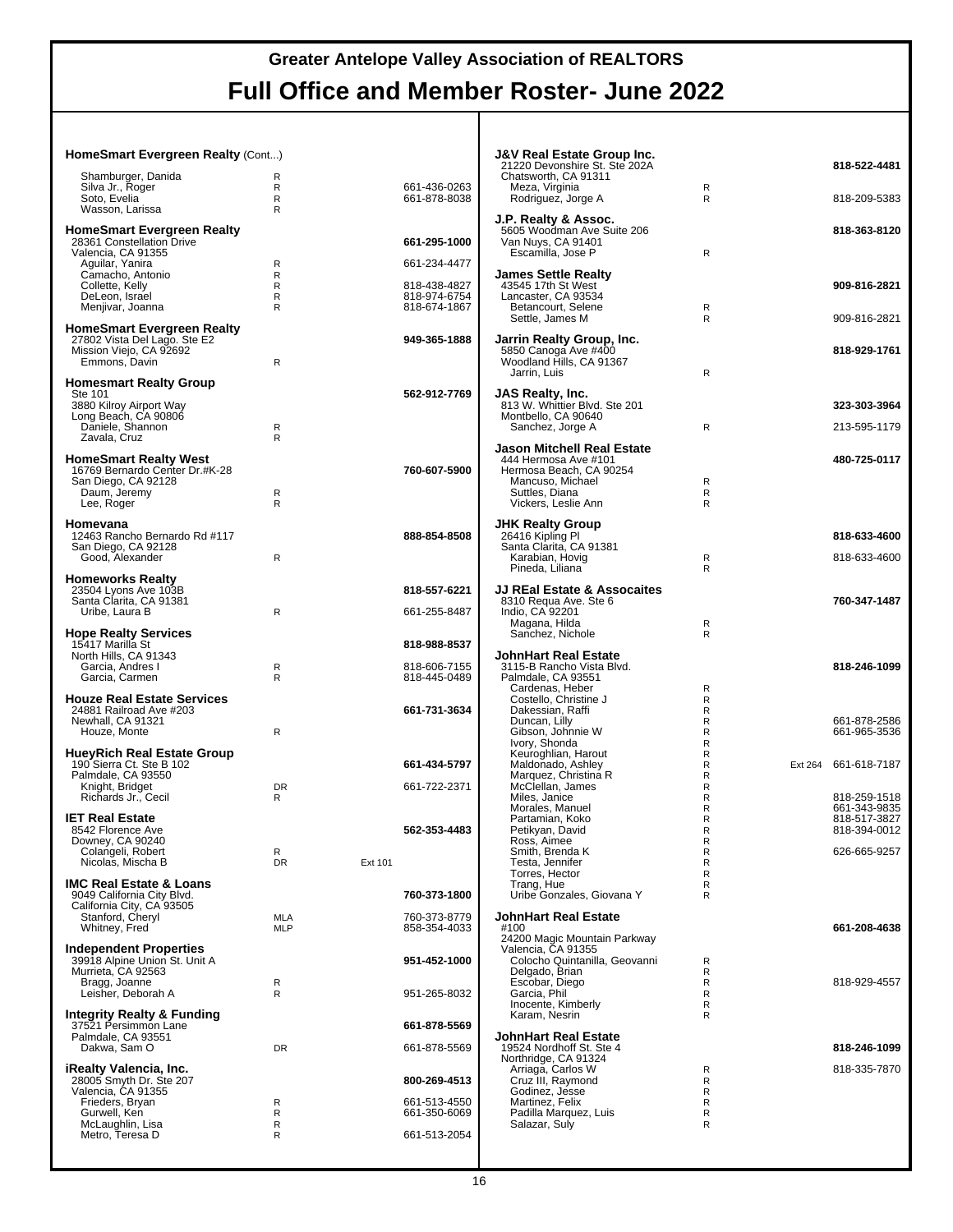#### **HomeSmart Evergreen Realty** (Cont...) Shamburger, Danida R Silva Jr., Roger R 661-436-0263 Soto, Evelia R 661-878-8038 Wasson, Larissa R **HomeSmart Evergreen Realty** 28361 Constellation Drive **661-295-1000** Valencia, CA 91355 Aguilar, Yanira R 661-234-4477 Camacho, Antonio R Collette, Kelly R 818-438-4827 DeLeon, Israel R 818-974-6754 Menjivar, Joanna R R 818-674-1867 **HomeSmart Evergreen Realty** 27802 Vista Del Lago. Ste E2 **949-365-1888** Mission Viejo, CA 92692 Emmons, Davin R **Homesmart Realty Group**<br>Ste 101 Ste 101 **562-912-7769** 3880 Kilroy Airport Way Long Beach, CA 90806 Daniele, Shannon R Zavala, Cruz R **HomeSmart Realty West** 16769 Bernardo Center Dr.#K-28<br>San Diego, CA 92128<br><sup>D</sup> Daum, Jeremy R Lee, Roger **Reserves Homevana** 12463 Rancho Bernardo Rd #117<br>San Diego, CA 92128<br>· Good, Alexander Rancho Rancho R **Homeworks Realty** 23504 Lyons Ave 103B **818-557-6221** Santa Clarita, CA 91381 Uribe, Laura B **R** 661-255-8487 **Hope Realty Services** 15417 Marilla St **818-988-8537** North Hills, CA 91343 Garcia, Andres I R 818-606-7155 Garcia, Carmen **Houze Real Estate Services** 24881 Railroad Ave #203 **661-731-3634** Newhall, CA 91321 Houze, Monte Roughly Roughly **HueyRich Real Estate Group** 190 Sierra Ct. Ste B 102 **661-434-5797** Palmdale, CA 93550 Knight, Bridget DR 661-722-2371 Richards Jr., Cecil R **IET Real Estate** 8542 Florence Ave **562-353-4483** Downey, CA 90240 Colangeli, Robert R Nicolas, Mischa B DR Ext 101 **IMC Real Estate & Loans** 9049 California City Blvd. **760-373-1800** California City, CA 93505 Stanford, Cheryl MLA 760-373-8779 Whitney, Fred MLP MLP 858-354-4033 **Independent Properties** 39918 Alpine Union St. Unit A **951-452-1000** Murrieta, CA 92563 Bragg, Joanne R Leisher, Deborah A R R 951-265-8032 **Integrity Realty & Funding** 37521 Persimmon Lane **661-878-5569** Palmdale, CA 93551 Dakwa, Sam O DR 661-878-5569 **iRealty Valencia, Inc.** 28005 Smyth Dr. Ste 207 **800-269-4513** Valencia, CA 91355 Frieders, Bryan R 661-513-4550 Gurwell, Ken R 661-350-6069 McLaughlin, Lisa R Metro, Teresa D R R 661-513-2054 **J&V Real Estate Group Inc.** 21220 Devonshire St. Ste 202A **818-522-4481** Chatsworth, CA 91311 Meza, Virginia<br>Rodriguez, Jorge A moles, virginia<br>Rodriguez, Jorge A R R 818-209-5383 **J.P. Realty & Assoc.** 5605 Woodman Ave Suite 206 **818-363-8120** Van Nuys, CA 91401 Escamilla, Jose P R **James Settle Realty** 43545 17th St West **909-816-2821** Lancaster, CA 93534 Betancourt, Selene R<br>Settle James M<br>R Settle, James M R 809-816-2821 **Jarrin Realty Group, Inc.** 5850 Canoga Ave #400 **818-929-1761** Woodland Hills, CA 91367 Jarrin, Luis R **JAS Realty, Inc.** 813 W. Whittier Blvd. Ste 201 **323-303-3964** Montbello, CA 90640 Sanchez, Jorge A R 213-595-1179 **Jason Mitchell Real Estate** 444 Hermosa Ave #101 **480-725-0117** Hermosa Beach, CA 90254 Mancuso, Michael R<br>
Suttles. Diana R Suttles, Diana R Vickers, Leslie Ann **JHK Realty Group** 26416 Kipling Pl **818-633-4600** Santa Clarita, CA 91381 Karabian, Hovig **Reserves Access 1818-633-4600**<br>Pineda Liliana R Pineda, Liliana **JJ REal Estate & Assocaites** 8310 Requa Ave. Ste 6 **760-347-1487** Indio, CA 92201 Magana, Hilda<br>Sanchez, Nichole R Sanchez, Nichole **JohnHart Real Estate** 3115-B Rancho Vista Blvd. **818-246-1099** Palmdale, CA 93551 Cardenas, Heber R<br>Costello, Christine J<br>R Costello, Christine J<br>Costello, Christine J<br>Dakessian, Raffi Dakessian, Raffi Raffi Raffi Raffi Raffi Raffi Raffi Raffi Raffi Raffi Raffi Raffi Raffi Raffi Raffi Raffi Raf<br>Duncan, Lilly Raffi Raffi Raffi Raffi Raffi Raffi Raffi Raffi Raffi Raffi Raffi Raffi Raffi Raffi Raffi Raffi Duncan, Lilly Report of the Report of the Report of the G61-878-2586<br>
Gibson, Johnnie W Report of Report of the G61-965-3536 Gibson, Johnnie W R 661-965-3536 Ivory, Shonda R Ivory, Shonda<br>Keuroghlian, Harout R<br>Maldonado, Ashley R R<br>R<br>R Marquez, Christina R R McClellan, James R Miles, Janice Render American Render Andre Render 818-259-1518<br>Morales, Manuel Render Render Render 861-343-9835<br>Partamian. Koko Morales, Manuel<br>Partamian, Koko Partamian, ER<br>
Partamian, ER<br>
Partamian, ER<br>
Partamian, ER<br>
Partamian, ER<br>
Partamian, ER<br>
Partamian, ER<br>
Partamian, ER<br>
Partamian, ER<br>
Partamian, ER<br>
Partamian, ER Petikyan, David R 818-394-0012 Ross, Aimee R Smith, Brenda K R 626-665-9257 Testa, Jennifer<br>Testa, Jennifer<br>Torres, Hector R Torres, Hector Trang, Hue R Uribe Gonzales, Giovana Y **JohnHart Real Estate** #100 **661-208-4638** 24200 Magic Mountain Parkway Valencia, CA 91355 Colocho Quintanilla, Geovanni R Delgado, Brian R Escobar, Diego R 818-929-4557 Garcia, Phil R Inocente, Kimberly R Karam, Nesrin R **JohnHart Real Estate** 19524 Nordhoff St. Ste 4 **818-246-1099** Northridge, CA 91324 Arriaga, Carlos W R 818-335-7870 Cruz III, Raymond R Godinez, Jesse R Martinez, Felix R Padilla Marquez, Luis R Salazar, Suly Research Research Research Research Research Research Research Research Research Research Research R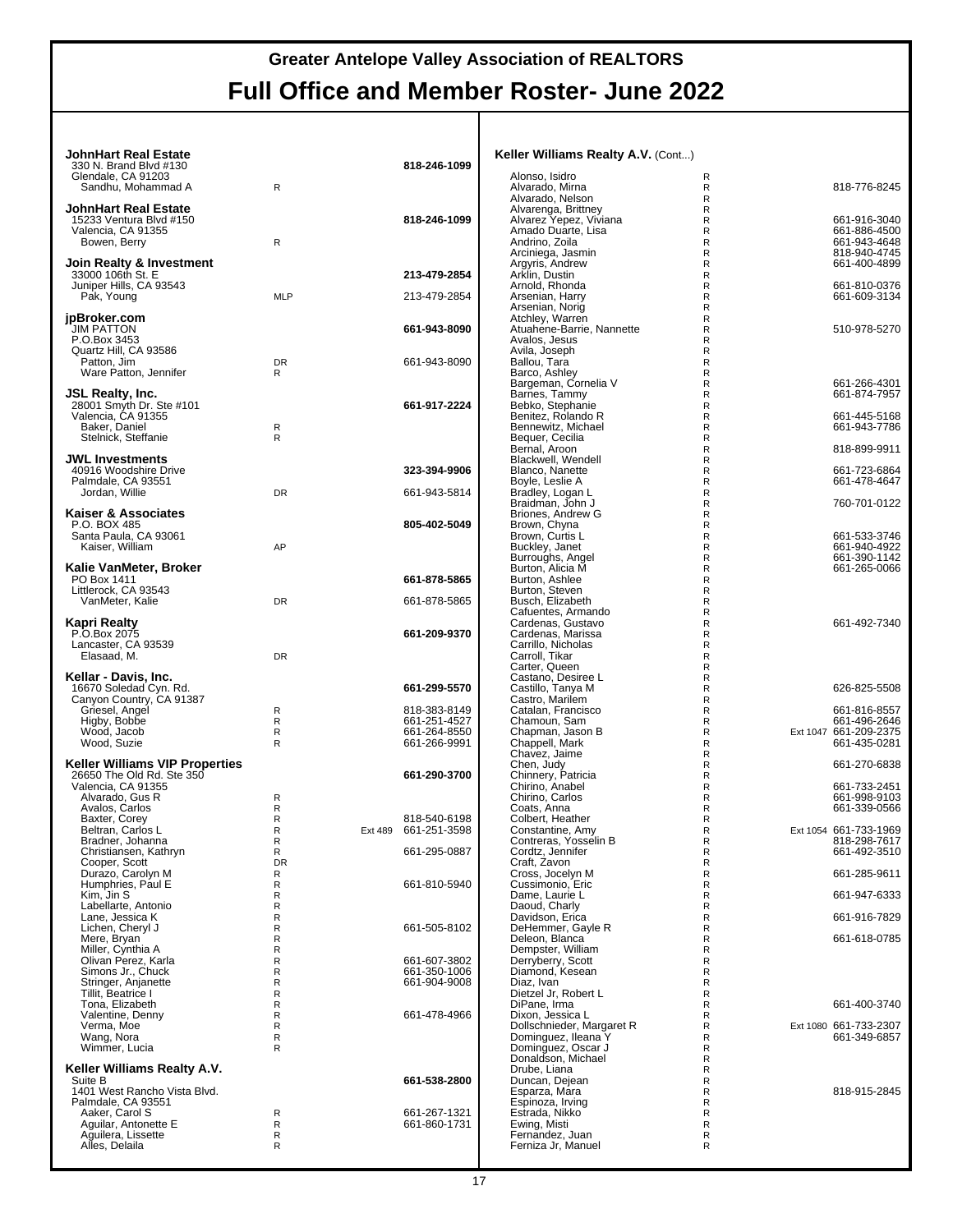| <b>JohnHart Real Estate</b>                        |                   |                              | Keller Williams Realty A.V. (Cont)               |                                            |
|----------------------------------------------------|-------------------|------------------------------|--------------------------------------------------|--------------------------------------------|
| 330 N. Brand Blvd #130                             |                   | 818-246-1099                 |                                                  |                                            |
| Glendale, CA 91203<br>Sandhu. Mohammad A           | $\mathsf{R}$      |                              | Alonso, Isidro<br>Alvarado, Mirna                | R<br>818-776-8245<br>R                     |
| <b>JohnHart Real Estate</b>                        |                   |                              | Alvarado, Nelson<br>Alvarenga, Brittney          | $\mathsf{R}$<br>R                          |
| 15233 Ventura Blvd #150                            |                   | 818-246-1099                 | Alvarez Yepez, Viviana                           | 661-916-3040<br>R                          |
| Valencia, CA 91355<br>Bowen, Berry                 | R                 |                              | Amado Duarte, Lisa<br>Andrino, Zoila             | R<br>661-886-4500<br>R<br>661-943-4648     |
|                                                    |                   |                              | Arciniega, Jasmin                                | 818-940-4745<br>R                          |
| Join Realty & Investment<br>33000 106th St. E      |                   | 213-479-2854                 | Argyris, Andrew<br>Arklin, Dustin                | R<br>661-400-4899<br>R                     |
| Juniper Hills, CA 93543                            |                   |                              | Arnold, Rhonda                                   | 661-810-0376<br>R                          |
| Pak, Young                                         | <b>MLP</b>        | 213-479-2854                 | Arsenian, Harrv<br>Arsenian, Norig               | R<br>661-609-3134<br>R                     |
| jpBroker.com                                       |                   |                              | Atchley, Warren                                  | R                                          |
| <b>JIM PATTON</b><br>P.O.Box 3453                  |                   | 661-943-8090                 | Atuahene-Barrie, Nannette<br>Avalos, Jesus       | R<br>510-978-5270<br>R                     |
| Quartz Hill, CA 93586                              |                   |                              | Avila, Joseph                                    | R                                          |
| Patton, Jim<br>Ware Patton, Jennifer               | DR<br>R           | 661-943-8090                 | Ballou, Tara<br>Barco, Ashley                    | R<br>R                                     |
|                                                    |                   |                              | Bargeman, Cornelia V                             | 661-266-4301<br>R                          |
| JSL Realty, Inc.<br>28001 Smyth Dr. Ste #101       |                   | 661-917-2224                 | Barnes, Tammy<br>Bebko, Stephanie                | R<br>661-874-7957<br>R                     |
| Valencia, CA 91355                                 |                   |                              | Benitez, Rolando R                               | 661-445-5168<br>R                          |
| Baker, Daniel<br>Stelnick, Steffanie               | R<br>R            |                              | Bennewitz, Michael<br>Bequer, Cecilia            | R<br>661-943-7786<br>R                     |
|                                                    |                   |                              | Bernal, Aroon                                    | 818-899-9911<br>R                          |
| <b>JWL Investments</b><br>40916 Woodshire Drive    |                   | 323-394-9906                 | Blackwell, Wendell<br>Blanco, Nanette            | R<br>661-723-6864<br>R                     |
| Palmdale, CA 93551                                 |                   |                              | Boyle, Leslie A                                  | R<br>661-478-4647                          |
| Jordan, Willie                                     | DR                | 661-943-5814                 | Bradley, Logan L<br>Braidman, John J             | R<br>R<br>760-701-0122                     |
| Kaiser & Associates                                |                   |                              | Briones, Andrew G                                | $\mathsf{R}$                               |
| P.O. BOX 485<br>Santa Paula, CA 93061              |                   | 805-402-5049                 | Brown, Chyna<br>Brown, Curtis L                  | R<br>661-533-3746<br>R                     |
| Kaiser, William                                    | AP                |                              | Buckley, Janet                                   | R<br>661-940-4922                          |
| Kalie VanMeter, Broker                             |                   |                              | Burroughs, Angel<br>Burton, Alicia M             | R<br>661-390-1142<br>R<br>661-265-0066     |
| PO Box 1411                                        |                   | 661-878-5865                 | Burton, Ashlee                                   | $\mathsf{R}$                               |
| Littlerock, CA 93543<br>VanMeter, Kalie            | DR                | 661-878-5865                 | Burton, Steven<br>Busch, Elizabeth               | R<br>R                                     |
|                                                    |                   |                              | Cafuentes, Armando                               | R                                          |
| Kapri Realty<br>P.O.Box 2075                       |                   | 661-209-9370                 | Cardenas, Gustavo<br>Cardenas, Marissa           | R<br>661-492-7340<br>R                     |
| Lancaster, CA 93539<br>Elasaad, M.                 | DR                |                              | Carrillo, Nicholas<br>Carroll, Tikar             | R<br>R                                     |
|                                                    |                   |                              | Carter, Queen                                    | R                                          |
| Kellar - Davis, Inc.<br>16670 Soledad Cyn. Rd.     |                   | 661-299-5570                 | Castano, Desiree L<br>Castillo, Tanya M          | R<br>R<br>626-825-5508                     |
| Canyon Country, CA 91387                           |                   |                              | Castro, Marilem                                  | R                                          |
| Griesel, Angel<br>Higby, Bobbe                     | R<br>R            | 818-383-8149<br>661-251-4527 | Catalan, Francisco<br>Chamoun, Sam               | 661-816-8557<br>R<br>R<br>661-496-2646     |
| Wood, Jacob                                        | R                 | 661-264-8550                 | Chapman, Jason B                                 | R<br>Ext 1047 661-209-2375                 |
| Wood, Suzie                                        | R                 | 661-266-9991                 | Chappell, Mark<br>Chavez, Jaime                  | R<br>661-435-0281<br>R                     |
| <b>Keller Williams VIP Properties</b>              |                   |                              | Chen, Judy                                       | 661-270-6838<br>R                          |
| 26650 The Old Rd. Ste 350<br>Valencia, CA 91355    |                   | 661-290-3700                 | Chinnery, Patricia<br>Chirino, Anabel            | R<br>R<br>661-733-2451                     |
| Alvarado, Gus R                                    | R                 |                              | Chirino, Carlos                                  | R<br>661-998-9103                          |
| Avalos, Carlos<br>Baxter, Corey                    | R<br>R            | 818-540-6198                 | Coats, Anna<br>Colbert, Heather                  | 661-339-0566<br>R<br>R                     |
| Beltran, Carlos L                                  | R                 | Ext 489 661-251-3598         | Constantine, Amy                                 | R<br>Ext 1054 661-733-1969                 |
| Bradner, Johanna<br>Christiansen, Kathryn          | R<br>$\mathsf{R}$ | 661-295-0887                 | Contreras, Yosselin B<br>Cordtz, Jennifer        | 818-298-7617<br>R<br>R<br>661-492-3510     |
| Cooper, Scott                                      | DR                |                              | Craft, Zavon                                     | R                                          |
| Durazo, Carolyn M<br>Humphries, Paul E             | R<br>R            | 661-810-5940                 | Cross, Jocelyn M<br>Cussimonio, Eric             | 661-285-9611<br>R<br>R                     |
| Kim, Jin S                                         | R                 |                              | Dame, Laurie L                                   | R<br>661-947-6333                          |
| Labellarte, Antonio<br>Lane, Jessica K             | R<br>$\mathsf{R}$ |                              | Daoud, Charly<br>Davidson, Erica                 | R<br>R<br>661-916-7829                     |
| Lichen, Cheryl J                                   | R                 | 661-505-8102                 | DeHemmer, Gayle R                                | R                                          |
| Mere, Bryan<br>Miller, Cynthia A                   | R<br>$\mathsf{R}$ |                              | Deleon, Blanca<br>Dempster, William              | 661-618-0785<br>R<br>R                     |
| Olivan Perez, Karla                                | R                 | 661-607-3802                 | Derryberry, Scott                                | R                                          |
| Simons Jr., Chuck<br>Stringer, Anjanette           | R<br>$\mathsf{R}$ | 661-350-1006<br>661-904-9008 | Diamond, Kesean<br>Diaz. Ivan                    | R<br>R                                     |
| Tillit, Beatrice I                                 | R                 |                              | Dietzel Jr, Robert L                             | R                                          |
| Tona, Elizabeth<br>Valentine, Denny                | R<br>$\mathsf{R}$ | 661-478-4966                 | DiPane, Irma<br>Dixon, Jessica L                 | 661-400-3740<br>R<br>R                     |
| Verma, Moe                                         | R                 |                              | Dollschnieder, Margaret R<br>Dominguez, Ileana Y | Ext 1080 661-733-2307<br>R<br>661-349-6857 |
| Wang, Nora<br>Wimmer, Lucia                        | R<br>$\mathsf{R}$ |                              | Dominguez, Oscar J                               | R<br>R                                     |
| Keller Williams Realty A.V.                        |                   |                              | Donaldson, Michael<br>Drube, Liana               | R<br>R                                     |
| Suite B                                            |                   | 661-538-2800                 | Duncan, Dejean                                   | R                                          |
| 1401 West Rancho Vista Blvd.<br>Palmdale, CA 93551 |                   |                              | Esparza, Mara<br>Espinoza, Irving                | R<br>818-915-2845<br>R                     |
| Aaker, Carol S                                     | R                 | 661-267-1321                 | Estrada, Nikko                                   | R                                          |
| Aguilar, Antonette E<br>Aquilera, Lissette         | R<br>R            | 661-860-1731                 | Ewing, Misti<br>Fernandez, Juan                  | R<br>R                                     |
| Alles, Delaila                                     | $\mathsf{R}$      |                              | Ferniza Jr, Manuel                               | R                                          |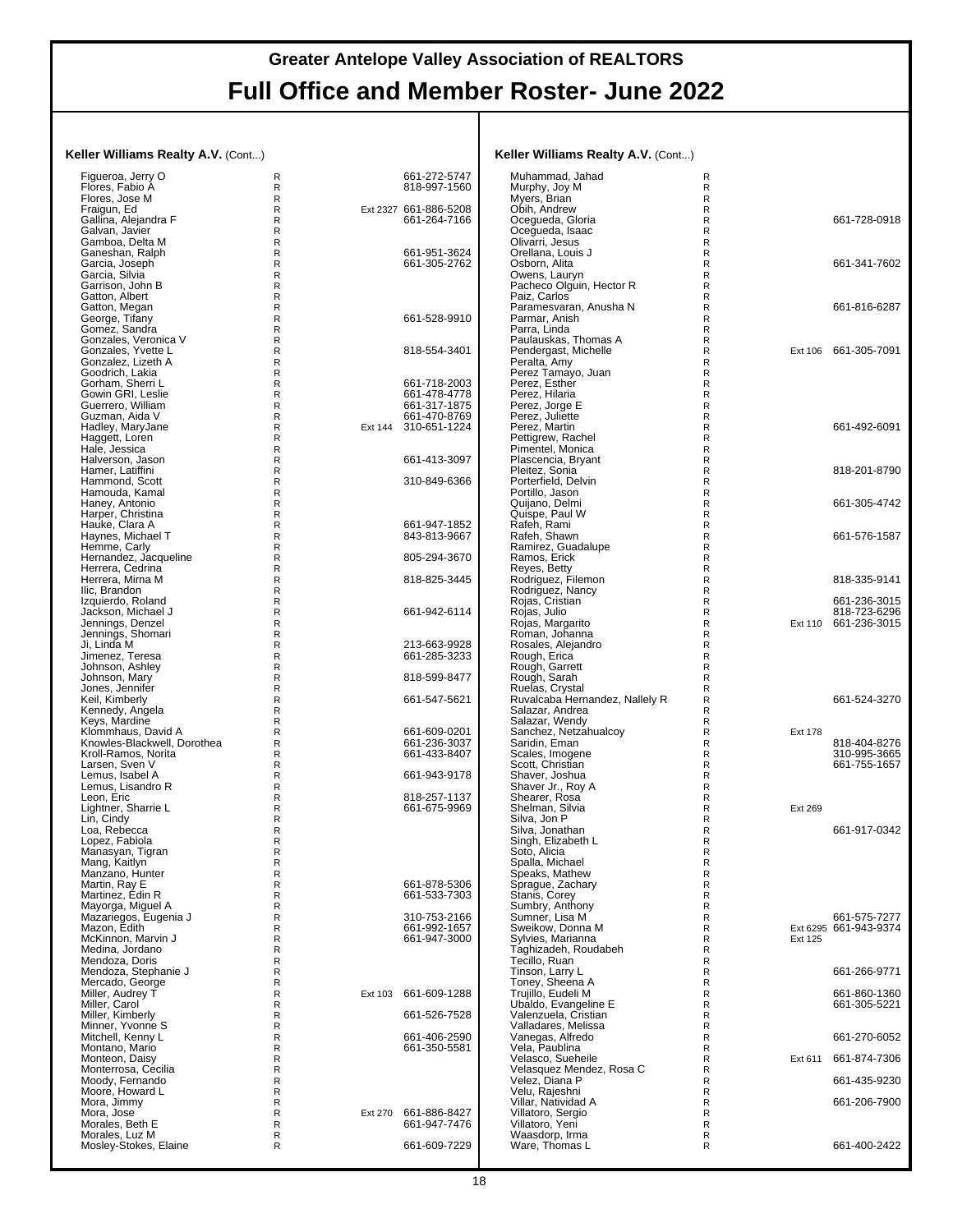#### **Keller Williams Realty A.V.** (Cont...)

| Figueroa, Jerry O<br>Flores, Fabio A                  | R<br>R<br>R       |         | 661-272-5747<br>818-997-1560          | Muhammad, Jaha<br>Murphy, Joy M                  |
|-------------------------------------------------------|-------------------|---------|---------------------------------------|--------------------------------------------------|
| Flores, Jose M<br>Fraigun, Ed<br>Gallina, Alejandra F | R<br>$\mathsf{R}$ |         | Ext 2327 661-886-5208<br>661-264-7166 | Myers, Brian<br>Obih, Andrew<br>Ocegueda, Gloria |
| Galvan, Javier<br>Gamboa, Delta M                     | R<br>R            |         |                                       | Ocegueda, Isaac<br>Olivarri, Jesus               |
| Ganeshan, Ralph                                       | R                 |         | 661-951-3624                          | Orellana, Louis J                                |
| Garcia, Joseph                                        | R                 |         | 661-305-2762                          | Osborn, Alita                                    |
| Garcia, Silvia<br>Garrison, John B                    | R<br>R            |         |                                       | Owens, Lauryn<br>Pacheco Olguin,                 |
| Gatton, Albert                                        | R                 |         |                                       | Paiz, Carlos                                     |
| Gatton, Megan<br>George, Tifany                       | R<br>R            |         | 661-528-9910                          | Paramesvaran, A<br>Parmar, Anish                 |
| Gomez, Sandra                                         | R                 |         |                                       | Parra, Linda                                     |
| Gonzales, Veronica V<br>Gonzales, Yvette L            | R<br>R            |         | 818-554-3401                          | Paulauskas, Thor<br>Pendergast, Mich             |
| Gonzalez. Lizeth A                                    | R                 |         |                                       | Peralta, Amy                                     |
| Goodrich, Lakia<br>Gorham, Sherri L                   | R<br>R            |         | 661-718-2003                          | Perez Tamayo, J<br>Perez. Esther                 |
| Gowin GRI, Leslie                                     | R                 |         | 661-478-4778                          | Perez, Hilaria                                   |
| Guerrero, William<br>Guzman, Aida V                   | R<br>R            |         | 661-317-1875<br>661-470-8769          | Perez, Jorge E<br>Perez, Juliette                |
| Hadley, MaryJane                                      | R                 | Ext 144 | 310-651-1224                          | Perez, Martin                                    |
| Haggett, Loren                                        | R<br>R            |         |                                       | Pettigrew, Rache                                 |
| Hale, Jessica<br>Halverson, Jason                     | R                 |         | 661-413-3097                          | Pimentel, Monica<br>Plascencia, Bryar            |
| Hamer, Latiffini                                      | R                 |         |                                       | Pleitez, Sonia                                   |
| Hammond, Scott<br>Hamouda, Kamal                      | R<br>R            |         | 310-849-6366                          | Porterfield, Delvir<br>Portillo, Jason           |
| Haney, Antonio                                        | R                 |         |                                       | Quijano, Delmi                                   |
| Harper, Christina<br>Hauke, Clara A                   | R<br>R            |         | 661-947-1852                          | Quispe, Paul W<br>Rafeh. Rami                    |
| Haynes, Michael T                                     | R                 |         | 843-813-9667                          | Rafeh, Shawn                                     |
| Hemme, Carly<br>Hernandez, Jacqueline                 | R<br>R            |         | 805-294-3670                          | Ramirez, Guadalı<br>Ramos, Erick                 |
| Herrera, Cedrina                                      | R                 |         |                                       | Reyes, Betty                                     |
| Herrera, Mirna M<br>Ilic. Brandon                     | R<br>R            |         | 818-825-3445                          | Rodriguez, Filem<br>Rodriguez, Nancy             |
| Izquierdo, Roland                                     | R                 |         |                                       | Rojas, Cristian                                  |
| Jackson, Michael J                                    | R<br>R            |         | 661-942-6114                          | Rojas, Julio                                     |
| Jennings, Denzel<br>Jennings, Shomari                 | R                 |         |                                       | Rojas, Margarito<br>Roman, Johanna               |
| Ji, Linda M                                           | R<br>R            |         | 213-663-9928                          | Rosales, Alejandı                                |
| Jimenez, Teresa<br>Johnson, Ashley                    | R                 |         | 661-285-3233                          | Rough, Erica<br>Rough, Garrett                   |
| Johnson, Mary                                         | R                 |         | 818-599-8477                          | Rough, Sarah                                     |
| Jones, Jennifer<br>Keil, Kimberly                     | R<br>R            |         | 661-547-5621                          | Ruelas, Crystal<br>Ruvalcaba Herna               |
| Kennedy, Angela                                       | R                 |         |                                       | Salazar, Andrea                                  |
| Keys, Mardine<br>Klommhaus, David A                   | R<br>R            |         | 661-609-0201                          | Salazar, Wendy<br>Sanchez, Netzah                |
| Knowles-Blackwell, Dorothea                           | R                 |         | 661-236-3037                          | Saridin, Eman                                    |
| Kroll-Ramos, Norita<br>Larsen, Sven V                 | R<br>R            |         | 661-433-8407                          | Scales, Imogene<br>Scott, Christian              |
| Lemus, Isabel A                                       | R                 |         | 661-943-9178                          | Shaver, Joshua                                   |
| Lemus, Lisandro R<br>Leon, Eric                       | R<br>R            |         | 818-257-1137                          | Shaver Jr., Roy A<br>Shearer, Rosa               |
| Lightner, Sharrie L                                   | R                 |         | 661-675-9969                          | Shelman, Silvia                                  |
| Lin, Cindy<br>Loa, Rebecca                            | R<br>R            |         |                                       | Silva, Jon P<br>Silva, Jonathan                  |
| Lopez, Fabiola                                        | R                 |         |                                       | Singh, Elizabeth I                               |
| Manasyan, Tigran<br>Mang, Kaitlyn                     | R<br>R            |         |                                       | Soto, Alicia<br>Spalla, Michael                  |
| Manzano, Hunter                                       | R                 |         |                                       | Speaks, Mathew                                   |
| Martin, Rav E<br>Martinez, Édin R                     | R<br>R            |         | 661-878-5306<br>661-533-7303          | Sprague, Zachary<br>Stanis, Corey                |
| Mayorga, Miguel A                                     | R                 |         |                                       | Sumbry, Anthony                                  |
| Mazariegos, Eugenia J<br>Mazon, Edith                 | R<br>R            |         | 310-753-2166<br>661-992-1657          | Sumner. Lisa M<br>Sweikow, Donna                 |
| McKinnon, Marvin J                                    | R                 |         | 661-947-3000                          | Sylvies, Marianna                                |
| Medina, Jordano                                       | R                 |         |                                       | Taghizadeh, Rou                                  |
| Mendoza, Doris<br>Mendoza, Stephanie J                | R<br>R            |         |                                       | Tecillo, Ruan<br>Tinson, Larry L                 |
| Mercado, George                                       | R                 |         |                                       | Toney, Sheena A                                  |
| Miller, Audrey T<br>Miller, Carol                     | R<br>R            | Ext 103 | 661-609-1288                          | Trujillo, Eudeli M<br>Ubaldo, Evangeli           |
| Miller, Kimberly                                      | R                 |         | 661-526-7528                          | Valenzuela, Crist                                |
| Minner, Yvonne S<br>Mitchell, Kenny L                 | R<br>R            |         | 661-406-2590                          | Valladares, Melis<br>Vanegas, Alfredo            |
| Montano, Mario                                        | R                 |         | 661-350-5581                          | Vela, Paublina                                   |
| Monteon, Daisy<br>Monterrosa, Cecilia                 | R<br>R            |         |                                       | Velasco, Sueheil<br>Velasquez Mende              |
| Moody, Fernando                                       | R                 |         |                                       | Velez, Diana P                                   |
| Moore, Howard L<br>Mora, Jimmy                        | R<br>R            |         |                                       | Velu, Rajeshni<br>Villar, Natividad A            |
| Mora, Jose                                            | R                 | Ext 270 | 661-886-8427                          | Villatoro, Sergio                                |
| Morales, Beth E<br>Morales, Luz M                     | R<br>R            |         | 661-947-7476                          | Villatoro, Yeni<br>Waasdorp, Irma                |
| Mosley-Stokes, Elaine                                 | R                 |         | 661-609-7229                          | Ware, Thomas L                                   |
|                                                       |                   |         |                                       |                                                  |

| Keller Williams Realty A.V. (Cont)       |        |         |                                       |
|------------------------------------------|--------|---------|---------------------------------------|
| Muhammad, Jahad                          | R<br>R |         |                                       |
| Murphy, Joy M<br>Myers, Brian            | R      |         |                                       |
| Obih, Andrew                             | R      |         |                                       |
| Ocegueda, Gloria                         | R      |         | 661-728-0918                          |
| Ocegueda, Isaac<br>Olivarri, Jesus       | R<br>R |         |                                       |
| Orellana, Louis J                        | R      |         |                                       |
| Osborn, Alita                            | R      |         | 661-341-7602                          |
| Owens, Lauryn                            | R<br>R |         |                                       |
| Pacheco Olguin, Hector R<br>Paiz, Carlos | R      |         |                                       |
| Paramesvaran, Anusha N                   | R      |         | 661-816-6287                          |
| Parmar, Anish                            | R      |         |                                       |
| Parra, Linda<br>Paulauskas, Thomas A     | R<br>R |         |                                       |
| Pendergast, Michelle                     | R      | Ext 106 | 661-305-7091                          |
| Peralta, Amy                             | R      |         |                                       |
| Perez Tamayo, Juan<br>Perez, Esther      | R<br>R |         |                                       |
| Perez, Hilaria                           | R      |         |                                       |
| Perez, Jorge E                           | R      |         |                                       |
| Perez, Juliette                          | R      |         |                                       |
| Perez, Martin<br>Pettigrew, Rachel       | R<br>R |         | 661-492-6091                          |
| Pimentel, Monica                         | R      |         |                                       |
| Plascencia, Bryant                       | R      |         |                                       |
| Pleitez, Sonia<br>Porterfield, Delvin    | R<br>R |         | 818-201-8790                          |
| Portillo, Jason                          | R      |         |                                       |
| Quijano, Delmi                           | R      |         | 661-305-4742                          |
| Quispe, Paul W                           | R      |         |                                       |
| Rafeh, Rami<br>Rafeh, Shawn              | R<br>R |         | 661-576-1587                          |
| Ramirez, Guadalupe                       | R      |         |                                       |
| Ramos, Erick                             | R      |         |                                       |
| Reyes, Betty                             | R      |         |                                       |
| Rodriguez, Filemon<br>Rodriguez, Nancy   | R<br>R |         | 818-335-9141                          |
| Rojas, Cristian                          | R      |         | 661-236-3015                          |
| Rojas, Julio                             | R      |         | 818-723-6296                          |
| Rojas, Margarito<br>Roman, Johanna       | R<br>R |         | Ext 110 661-236-3015                  |
| Rosales, Alejandro                       | R      |         |                                       |
| Rough, Erica                             | R      |         |                                       |
| Rough, Garrett                           | R      |         |                                       |
| Rough, Sarah<br>Ruelas, Crystal          | R<br>R |         |                                       |
| Ruvalcaba Hernandez, Nallely R           | R      |         | 661-524-3270                          |
| Salazar, Andrea                          | R      |         |                                       |
| Salazar, Wendy<br>Sanchez, Netzahualcoy  | R<br>R | Ext 178 |                                       |
| Saridin, Eman                            | R      |         | 818-404-8276                          |
| Scales, Imogene                          | R      |         | 310-995-3665                          |
| Scott, Christian                         | R      |         | 661-755-1657                          |
| Shaver, Joshua<br>Shaver Jr., Roy A      | R<br>R |         |                                       |
| Shearer, Rosa                            | R      |         |                                       |
| Shelman, Silvia                          | R      | Ext 269 |                                       |
| Silva, Jon P<br>Silva, Jonathan          | R<br>R |         | 661-917-0342                          |
| Singh, Elizabeth L                       | R      |         |                                       |
| Soto, Alicia                             | R      |         |                                       |
| Spalla, Michael                          | R      |         |                                       |
| Speaks, Mathew<br>Sprague, Zachary       | R<br>R |         |                                       |
| Stanis, Corey                            | R      |         |                                       |
| Sumbry, Anthony                          | R      |         |                                       |
| Sumner, Lisa M<br>Sweikow, Donna M       | R<br>R |         | 661-575-7277<br>Ext 6295 661-943-9374 |
| Sylvies, Marianna                        | R      | Ext 125 |                                       |
| Taghizadeh, Roudabeh                     | R      |         |                                       |
| Tecillo, Ruan                            | R      |         |                                       |
| Tinson, Larry L<br>Toney, Sheena A       | R<br>R |         | 661-266-9771                          |
| Trujillo, Eudeli M                       | R      |         | 661-860-1360                          |
| Ubaldo, Evangeline E                     | R      |         | 661-305-5221                          |
| Valenzuela, Cristian                     | R      |         |                                       |
| Valladares, Melissa<br>Vanegas, Alfredo  | R<br>R |         | 661-270-6052                          |
| Vela, Paublina                           | R      |         |                                       |
| Velasco, Sueheile                        | R      | Ext 611 | 661-874-7306                          |
| Velasquez Mendez, Rosa C                 | R      |         |                                       |
| Velez, Diana P<br>Velu, Rajeshni         | R<br>R |         | 661-435-9230                          |
| Villar, Natividad A                      | R      |         | 661-206-7900                          |
| Villatoro, Sergio                        | R      |         |                                       |
| Villatoro, Yeni<br>Waasdorp, Irma        | R<br>R |         |                                       |
| Ware, Thomas L                           | R      |         | 661-400-2422                          |
|                                          |        |         |                                       |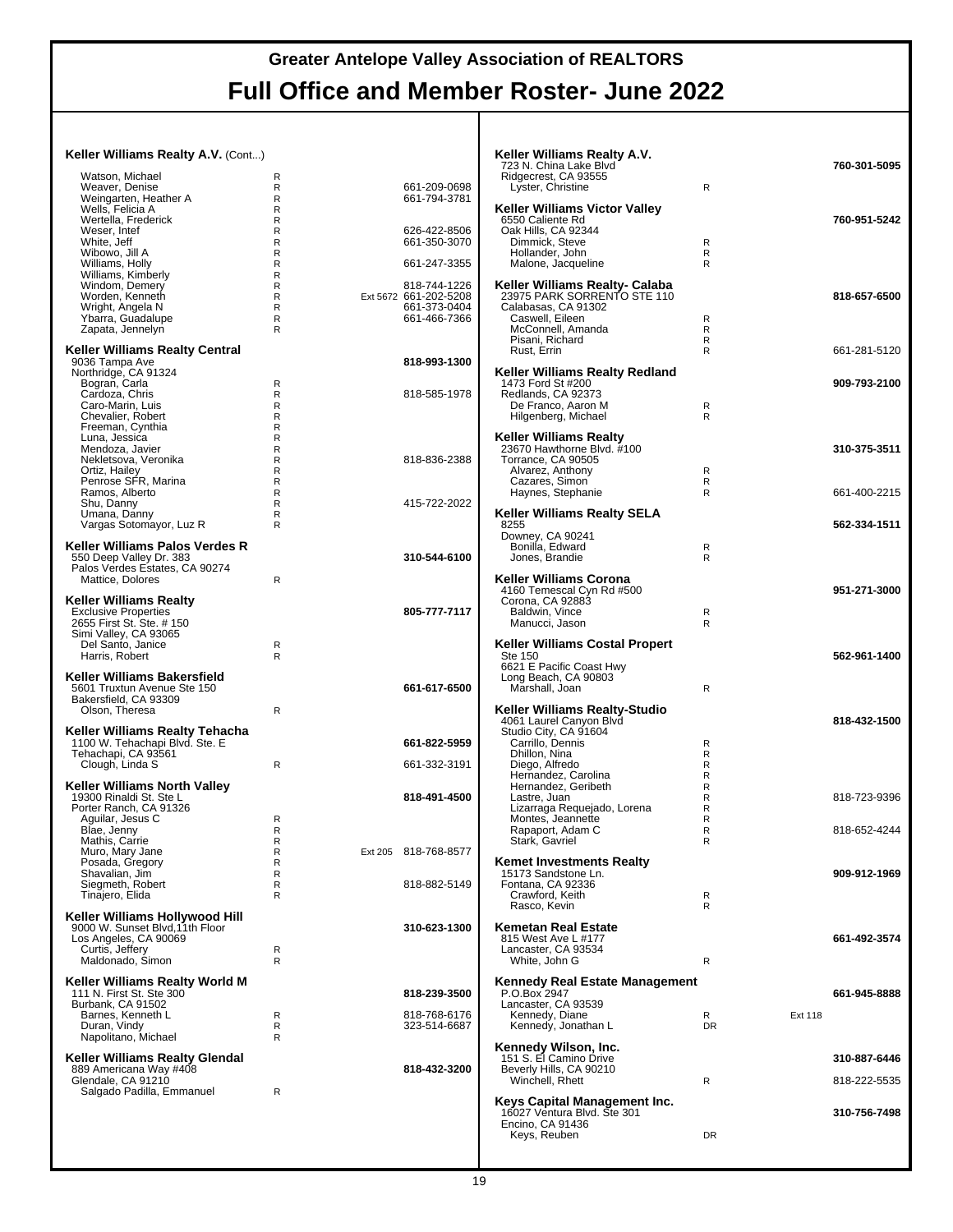#### **Keller Williams Realty A.V.** (Cont...) Watson, Michael<br>Weaver, Denise<br>Weingarten, Heather A Weaver, Denise R 661-209-0698 Weingarten, Heather A R 661-794-3781 Wells, Felicia A R Wertella, Frederick R Weser, Intef R 626-422-8506 White, Jeff Market Contract Market Contract Contract Contract Contract Contract Contract Contract Contract Contract Contract Contract Contract Contract Contract Contract Contract Contract Contract Contract Contract Contrac Wibowo, Jill A R Williams, Holly R 661-247-3355 Williams, Kimberly<br>Windom, Demery<br>Worden, Kenneth R Windom, Demery **R** 818-744-1226<br>Worden, Kenneth **R** R Ext 5672 661-202-5208 R<br>R Ext 5672 661-202-5208<br>R 661-373-0404 Wright, Angela N R 661-373-0404<br>
Ybarra Guadalupe R 661-466-7366 Ybarra, Guadalupe R 661-466-7366 Zapata, Jennelyn **Keller Williams Realty Central** 9036 Tampa Ave **818-993-1300** Northridge, CA 91324 Bogran, Carla<br>Cardoza, Chris R Cardoza, Chris (Cardoza, Chris Report of Report Report Report Report Report Report Report Report Report Report R<br>Cardoza, Chris Report Report Report Report Report Report Report Report Report Report Report Report Report Rep Caro-Marin, Luis R Chevalier, Robert R Freeman, Cynthia<br>
Luna, Jessica R<br>
Mendoza. Javier R Luna, Jessica Mendoza, Javier R Nekletsova, Veronika<br>
Nekletsova, Veronika<br>
Ortiz, Hailey R R 818-836-2388<br>
Penrose SFR, Marina R R Ortiz, Hailey R Penrose SFR, Marina R Ramos, Alberto **Reserves**<br>
Shu, Danny R Shu, Danny R 415-722-2022 Umana, Danny R Vargas Sotomayor, Luz R **Keller Williams Palos Verdes R** 550 Deep Valley Dr. 383 **310-544-6100** Palos Verdes Estates, CA 90274 Mattice, Dolores R **Keller Williams Realty** Exclusive Properties **805-777-7117** 2655 First St. Ste. # 150 Simi Valley, CA 93065 Del Santo, Janice R Harris, Robert R **Keller Williams Bakersfield** 5601 Truxtun Avenue Ste 150 **661-617-6500** Bakersfield, CA 93309 Olson, Theresa R **Keller Williams Realty Tehacha<br>1100 W. Tehachapi Blvd. Ste. E<br>Tehachapi, CA 93561** Clough, Linda S R 661-332-3191 **Keller Williams North Valley** 19300 Rinaldi St. Ste L **818-491-4500** Porter Ranch, CA 91326 Aguilar, Jesus C<br>Blae, Jenny R Blae, Jenny R<br>
Mathis, Carrie R<br>
R Mathis, Carrie R R<br>R Ext 205 818-768-8577 Posada, Gregory Research Research Research Research Research Research Research Research Research Research Research Research Research Research Research Research Research Research Research Research Research Research Research Shavalian, Jim R Siegmeth, Robert R 818-882-5149 Tinajero, Elida R **Keller Williams Hollywood Hill** 9000 W. Sunset Blvd,11th Floor **310-623-1300** Los Angeles, CA 90069 Curtis, Jeffery R Maldonado, Simon R **Keller Williams Realty World M** 111 N. First St. Ste 300 **818-239-3500** Burbank, CA 91502 Barnes, Kenneth L R 818-768-6176 Duran, Vindy R 323-514-6687 Napolitano, Michael R **Keller Williams Realty Glendal** 889 Americana Way #408 **818-432-3200** Glendale, CA 91210 Salgado Padilla, Emmanuel R **Keller Williams Realty A.V.** 723 N. China Lake Blvd **760-301-5095** Ridgecrest, CA 93555 Lyster, Christine R **Keller Williams Victor Valley** 6550 Caliente Rd **760-951-5242** Oak Hills, CA 92344 Dimmick, Steve R<br>Hollander John R Hollander, John R numan, com.<br>Malone, Jacqueline **Keller Williams Realty- Calaba** 23975 PARK SORRENTO STE 110 **818-657-6500** Calabasas, CA 91302 Caswell, Eileen R McConnell, Amanda Pisani, Richard R Rust, Errin R 661-281-5120 **Keller Williams Realty Redland** 1473 Ford St #200 **909-793-2100** Redlands, CA 92373 De Franco, Aaron M R Hilgenberg, Michael R **Keller Williams Realty** 23670 Hawthorne Blvd. #100 **310-375-3511** Torrance, CA 90505 Alvarez, Anthony R Cazares, Simon R Haynes, Stephanie R 661-400-2215 **Keller Williams Realty SELA** 8255 **562-334-1511** Downey, CA 90241 Bonilla, Edward R Jones, Brandie R **Keller Williams Corona** 4160 Temescal Cyn Rd #500 **951-271-3000** Corona, CA 92883 Baldwin, Vince R<br>Manucci Jason R Manucci, Jason R **Keller Williams Costal Propert** Ste 150<br>6621 E Pacific Coast Hwy<br>Long Beach, CA 90803 Marshall, Joan R **Keller Williams Realty-Studio** 4061 Laurel Canyon Blvd **818-432-1500** Studio City, CA 91604 Carrillo, Dennis R Dhillon, Nina R Diego, Alfredo<br>Hernandez, Carolina Ramandez, Carolina<br>Hernandez, Geribeth R Hernandez, Carolina R Hernandez, Geribeth R Lastre, Juan Princesson, I. R. (R. 1987)<br>Lizarraga Requejado, Lorena (R. 1988)<br>Montes, Jeannette (R. 1988) Lizarraga Requejado, Lorena Montes, Jeannette R<br>Rapaport, Adam C R Rapaport, Adam C R 818-652-4244 Stark, Gavriel **Kemet Investments Realty** 15173 Sandstone Ln. **909-912-1969** Fontana, CA 92336 Crawford, Keith Research Research Research Research Research Research Research Research Research Research Research R<br>Rasco Kevin Rasco, Kevin **Kemetan Real Estate** 815 West Ave L #177 **661-492-3574** Lancaster, CA 93534 White, John G R R **Kennedy Real Estate Management** P.O.Box 2947 **661-945-8888** Lancaster, CA 93539 Kennedy, Diane R Ext 118 Kennedy, Jonathan L DR **Kennedy Wilson, Inc.** 151 S. El Camino Drive **310-887-6446** Beverly Hills, CA 90210 Winchell, Rhett R 818-222-5535 **Keys Capital Management Inc.** 16027 Ventura Blvd. Ste 301 **310-756-7498** Encino, CA 91436 Keys, Reuben DR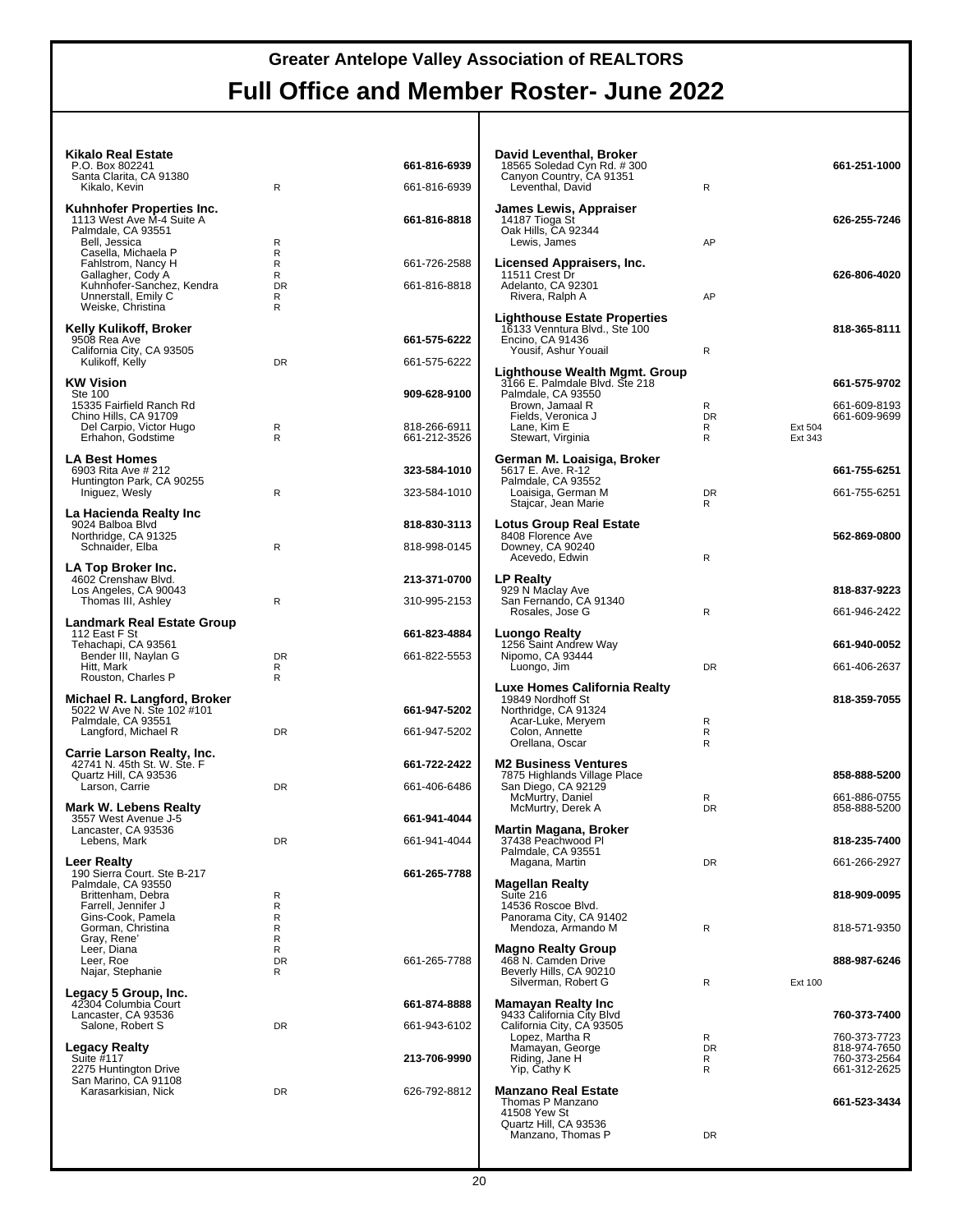#### **Kikalo Real Estate**

| <b>Kikalo Real Estate</b><br>P.O. Box 802241<br>Santa Clarita, CA 91380<br>Kikalo, Kevin                             | $\mathsf{R}$             | 661-816-6939<br>661-816-6939 | David Leventhal, Broker<br>18565 Soledad Cyn Rd. #300<br>Canyon Country, CA 91351<br>Leventhal, David            | R                   |                    | 661-251-1000                 |
|----------------------------------------------------------------------------------------------------------------------|--------------------------|------------------------------|------------------------------------------------------------------------------------------------------------------|---------------------|--------------------|------------------------------|
| Kuhnhofer Properties Inc.<br>1113 West Ave M-4 Suite A<br>Palmdale, CA 93551<br>Bell, Jessica<br>Casella, Michaela P | R<br>R                   | 661-816-8818                 | James Lewis, Appraiser<br>14187 Tioga St<br>Oak Hills, CA 92344<br>Lewis, James                                  | AP                  |                    | 626-255-7246                 |
| Fahlstrom, Nancy H<br>Gallagher, Cody A<br>Kuhnhofer-Sanchez, Kendra<br>Unnerstall, Emily C                          | R<br>R<br><b>DR</b><br>R | 661-726-2588<br>661-816-8818 | Licensed Appraisers, Inc.<br>11511 Crest Dr<br>Adelanto, CA 92301<br>Rivera, Ralph A                             | AP                  |                    | 626-806-4020                 |
| Weiske, Christina<br>Kelly Kulikoff, Broker<br>9508 Rea Ave<br>California City, CA 93505                             | R                        | 661-575-6222                 | <b>Lighthouse Estate Properties</b><br>16133 Venntura Blvd., Ste 100<br>Encino, CA 91436<br>Yousif, Ashur Youail | R                   |                    | 818-365-8111                 |
| Kulikoff, Kelly                                                                                                      | <b>DR</b>                | 661-575-6222                 | Lighthouse Wealth Mgmt. Group                                                                                    |                     |                    |                              |
| <b>KW Vision</b><br><b>Ste 100</b><br>15335 Fairfield Ranch Rd                                                       |                          | 909-628-9100                 | 3166 E. Palmdale Blvd. Ste 218<br>Palmdale, CA 93550<br>Brown, Jamaal R                                          | R                   |                    | 661-575-9702<br>661-609-8193 |
| Chino Hills, CA 91709<br>Del Carpio, Victor Hugo<br>Erhahon, Godstime                                                | R<br>$\mathsf{R}$        | 818-266-6911<br>661-212-3526 | Fields, Veronica J<br>Lane, Kim E<br>Stewart, Virginia                                                           | <b>DR</b><br>R<br>R | Ext 504<br>Ext 343 | 661-609-9699                 |
| <b>LA Best Homes</b><br>6903 Rita Ave # 212<br>Huntington Park, CA 90255                                             |                          | 323-584-1010                 | German M. Loaisiga, Broker<br>5617 E. Ave. R-12<br>Palmdale, CA 93552                                            |                     |                    | 661-755-6251                 |
| Iniguez, Wesly                                                                                                       | R                        | 323-584-1010                 | Loaisiga, German M<br>Stajcar, Jean Marie                                                                        | <b>DR</b><br>R      |                    | 661-755-6251                 |
| La Hacienda Realty Inc<br>9024 Balboa Blvd                                                                           |                          | 818-830-3113                 | <b>Lotus Group Real Estate</b>                                                                                   |                     |                    |                              |
| Northridge, CA 91325<br>Schnaider, Elba                                                                              | R                        | 818-998-0145                 | 8408 Florence Ave<br>Downey, CA 90240<br>Acevedo, Edwin                                                          | R                   |                    | 562-869-0800                 |
| LA Top Broker Inc.<br>4602 Crenshaw Blvd.                                                                            |                          | 213-371-0700                 | <b>LP Realty</b>                                                                                                 |                     |                    |                              |
| Los Angeles, CA 90043<br>Thomas III, Ashley                                                                          | R                        | 310-995-2153                 | 929 N Maclay Ave<br>San Fernando, CA 91340                                                                       |                     |                    | 818-837-9223                 |
| <b>Landmark Real Estate Group</b>                                                                                    |                          |                              | Rosales, Jose G                                                                                                  | R                   |                    | 661-946-2422                 |
| 112 East F St<br>Tehachapi, CA 93561                                                                                 |                          | 661-823-4884                 | Luongo Realty<br>1256 Saint Andrew Way                                                                           |                     |                    | 661-940-0052                 |
| Bender III, Naylan G<br>Hitt, Mark<br>Rouston, Charles P                                                             | <b>DR</b><br>R<br>R      | 661-822-5553                 | Nipomo, CA 93444<br>Luongo, Jim                                                                                  | <b>DR</b>           |                    | 661-406-2637                 |
| Michael R. Langford, Broker                                                                                          |                          |                              | Luxe Homes California Realty<br>19849 Nordhoff St                                                                |                     |                    | 818-359-7055                 |
| 5022 W Ave N. Ste 102 #101<br>Palmdale, CA 93551                                                                     |                          | 661-947-5202                 | Northridge, CA 91324<br>Acar-Luke, Meryem                                                                        | R                   |                    |                              |
| Langford, Michael R                                                                                                  | DR                       | 661-947-5202                 | Colon, Annette<br>Orellana, Oscar                                                                                | R<br>R              |                    |                              |
| Carrie Larson Realty, Inc.<br>42741 N. 45th St. W. Ste. F                                                            |                          | 661-722-2422                 | <b>M2 Business Ventures</b>                                                                                      |                     |                    |                              |
| Quartz Hill, CA 93536<br>Larson, Carrie                                                                              | DR                       | 661-406-6486                 | 7875 Highlands Village Place<br>San Diego, CA 92129                                                              |                     |                    | 858-888-5200                 |
| <b>Mark W. Lebens Realty</b>                                                                                         |                          |                              | McMurtry, Daniel<br>McMurtry, Derek A                                                                            | R<br><b>DR</b>      |                    | 661-886-0755<br>858-888-5200 |
| 3557 West Avenue J-5<br>Lancaster, CA 93536                                                                          |                          | 661-941-4044<br>661-941-4044 | <b>Martin Magana, Broker</b><br>37438 Peachwood PI                                                               |                     |                    | 818-235-7400                 |
| Lebens, Mark<br><b>Leer Realty</b>                                                                                   | DR                       |                              | Palmdale, CA 93551<br>Magana, Martin                                                                             | <b>DR</b>           |                    | 661-266-2927                 |
| 190 Sierra Court. Ste B-217<br>Palmdale, CA 93550                                                                    |                          | 661-265-7788                 | <b>Magellan Realty</b>                                                                                           |                     |                    |                              |
| Brittenham, Debra<br>Farrell, Jennifer J                                                                             | R<br>R                   |                              | Suite 216<br>14536 Roscoe Blvd.                                                                                  |                     |                    | 818-909-0095                 |
| Gins-Cook, Pamela<br>Gorman, Christina                                                                               | R<br>R                   |                              | Panorama City, CA 91402<br>Mendoza, Armando M                                                                    | R                   |                    | 818-571-9350                 |
| Gray, Rene'<br>Leer, Diana                                                                                           | R<br>R                   |                              | <b>Magno Realty Group</b>                                                                                        |                     |                    |                              |
| Leer. Roe<br>Najar, Stephanie                                                                                        | DR<br>R                  | 661-265-7788                 | 468 N. Camden Drive<br>Beverly Hills, CA 90210                                                                   |                     |                    | 888-987-6246                 |
| Legacy 5 Group, Inc.                                                                                                 |                          |                              | Silverman, Robert G                                                                                              | R                   | Ext 100            |                              |
| 42304 Columbia Court<br>Lancaster, CA 93536<br>Salone, Robert S                                                      | DR                       | 661-874-8888<br>661-943-6102 | <b>Mamayan Realty Inc.</b><br>9433 California City Blvd<br>California City, CA 93505                             |                     |                    | 760-373-7400                 |
| <b>Legacy Realty</b>                                                                                                 |                          |                              | Lopez, Martha R<br>Mamayan, George                                                                               | R<br><b>DR</b>      |                    | 760-373-7723<br>818-974-7650 |
| Suite $#117$<br>2275 Huntington Drive                                                                                |                          | 213-706-9990                 | Riding, Jane H<br>Yip, Cathy K                                                                                   | R<br>R              |                    | 760-373-2564<br>661-312-2625 |
| San Marino, CA 91108<br>Karasarkisian, Nick                                                                          | DR                       | 626-792-8812                 | <b>Manzano Real Estate</b>                                                                                       |                     |                    |                              |
|                                                                                                                      |                          |                              | Thomas P Manzano<br>41508 Yew St<br>Quartz Hill, CA 93536                                                        |                     |                    | 661-523-3434                 |
|                                                                                                                      |                          |                              | Manzano, Thomas P                                                                                                | <b>DR</b>           |                    |                              |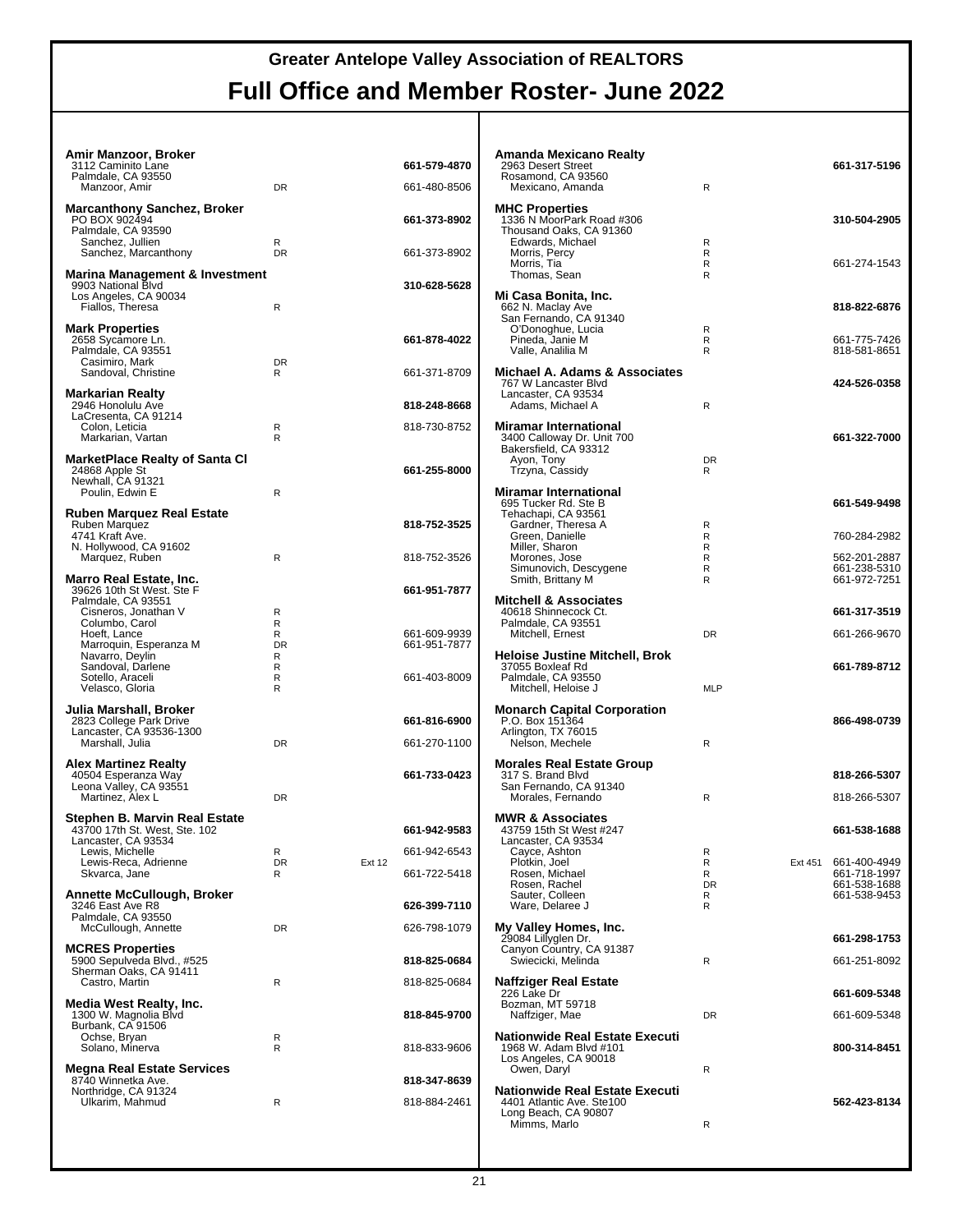| Amir Manzoor, Broker<br>3112 Caminito Lane<br>Palmdale, CA 93550<br>Manzoor, Amir                  | DR                |               | 661-579-4870<br>661-480-8506 |  |
|----------------------------------------------------------------------------------------------------|-------------------|---------------|------------------------------|--|
| <b>Marcanthony Sanchez, Broker</b><br>PO BOX 902494<br>Palmdale, CA 93590<br>Sanchez, Jullien      | R                 |               | 661-373-8902                 |  |
| Sanchez, Marcanthony                                                                               | <b>DR</b>         |               | 661-373-8902                 |  |
| Marina Management & Investment<br>9903 National Blvd<br>Los Angeles, CA 90034<br>Fiallos, Theresa  | R                 |               | 310-628-5628                 |  |
| <b>Mark Properties</b><br>2658 Sycamore Ln.<br>Palmdale, CA 93551<br>Casimiro, Mark                | <b>DR</b>         |               | 661-878-4022                 |  |
| Sandoval, Christine<br><b>Markarian Realty</b>                                                     | R                 |               | 661-371-8709                 |  |
| 2946 Honolulu Ave<br>LaCresenta, CA 91214<br>Colon, Leticia<br>Markarian, Vartan                   | R<br>R            |               | 818-248-8668<br>818-730-8752 |  |
| MarketPlace Realty of Santa Cl<br>24868 Apple St<br>Newhall, CA 91321                              |                   |               | 661-255-8000                 |  |
| Poulin, Edwin E                                                                                    | R                 |               |                              |  |
| <b>Ruben Marquez Real Estate</b><br>Ruben Marquez<br>4741 Kraft Ave.<br>N. Hollywood, CA 91602     |                   |               | 818-752-3525                 |  |
| Marquez, Ruben                                                                                     | R                 |               | 818-752-3526                 |  |
| Marro Real Estate, Inc.<br>39626 10th St West. Ste F<br>Palmdale, CA 93551<br>Cisneros, Jonathan V | R<br>R            |               | 661-951-7877                 |  |
| Columbo, Carol<br>Hoeft, Lance<br>Marroquin, Esperanza M<br>Navarro, Deylin<br>Sandoval, Darlene   | R<br>DR<br>R<br>R |               | 661-609-9939<br>661-951-7877 |  |
| Sotello, Araceli<br>Velasco, Gloria                                                                | R<br>R            |               | 661-403-8009                 |  |
| Julia Marshall, Broker                                                                             |                   |               |                              |  |
| 2823 College Park Drive<br>Lancaster, CA 93536-1300<br>Marshall, Julia                             | <b>DR</b>         |               | 661-816-6900<br>661-270-1100 |  |
| <b>Alex Martinez Realty</b><br>40504 Esperanza Way<br>Leona Valley, CA 93551                       |                   |               | 661-733-0423                 |  |
| Martinez, Alex L                                                                                   | <b>DR</b>         |               |                              |  |
| Stephen B. Marvin Real Estate<br>43700 17th St. West, Ste. 102                                     |                   |               | 661-942-9583                 |  |
| Lancaster, CA 93534<br>Lewis, Michelle<br>Lewis-Reca, Adrienne                                     | R<br>DR.          | <b>Ext 12</b> | 661-942-6543                 |  |
| Skvarca, Jane                                                                                      | R                 |               | 661-722-5418                 |  |
| <b>Annette McCullough, Broker</b><br>3246 East Ave R8                                              |                   |               | 626-399-7110                 |  |
| Palmdale, CA 93550<br>McCullough, Annette                                                          | DR                |               | 626-798-1079                 |  |
| <b>MCRES Properties</b><br>5900 Sepulveda Blvd., #525<br>Sherman Oaks, CA 91411                    |                   |               | 818-825-0684                 |  |
| Castro, Martin<br>Media West Realty, Inc.                                                          | R                 |               | 818-825-0684                 |  |
| 1300 W. Magnolia Blvd<br>Burbank, CA 91506<br>Ochse, Bryan                                         | R<br>R            |               | 818-845-9700                 |  |
| Solano, Minerva<br>Megna Real Estate Services                                                      |                   |               | 818-833-9606                 |  |
| 8740 Winnetka Ave.<br>Northridge, CA 91324<br>Ulkarim, Mahmud                                      | R                 |               | 818-347-8639<br>818-884-2461 |  |
|                                                                                                    |                   |               |                              |  |

| Amanda Mexicano Realty<br>2963 Desert Street<br>Rosamond, CA 93560<br>Mexicano, Amanda                  | R                           |         | 661-317-5196                                                 |
|---------------------------------------------------------------------------------------------------------|-----------------------------|---------|--------------------------------------------------------------|
| <b>MHC Properties</b><br>1336 N MoorPark Road #306<br>Thousand Oaks, CA 91360<br>Edwards, Michael       | R                           |         | 310-504-2905                                                 |
| Morris, Percy<br>Morris, Tia<br>Thomas, Sean                                                            | R<br>R<br>R                 |         | 661-274-1543                                                 |
| Mi Casa Bonita, Inc.<br>662 N. Maclay Ave<br>San Fernando, CA 91340<br>O'Donoghue, Lucia                | R                           |         | 818-822-6876                                                 |
| Pineda, Janie M<br>Valle, Analilia M                                                                    | R<br>R                      |         | 661-775-7426<br>818-581-8651                                 |
| Michael A. Adams & Associates<br>767 W Lancaster Blvd<br>Lancaster, CA 93534<br>Adams, Michael A        | R                           |         | 424-526-0358                                                 |
| <b>Miramar International</b><br>3400 Calloway Dr. Unit 700<br>Bakersfield, CA 93312<br>Ayon, Tony       | <b>DR</b>                   |         | 661-322-7000                                                 |
| Trzyna, Cassidy                                                                                         | R                           |         |                                                              |
| <b>Miramar International</b><br>695 Tucker Rd. Ste B<br>Tehachapi, CA 93561                             |                             |         | 661-549-9498                                                 |
| Gardner, Theresa A<br>Green, Danielle<br>Miller, Sharon                                                 | R<br>R<br>R                 |         | 760-284-2982                                                 |
| Morones, Jose<br>Simunovich, Descygene<br>Smith, Brittany M                                             | R<br>R<br>R                 |         | 562-201-2887<br>661-238-5310<br>661-972-7251                 |
| <b>Mitchell &amp; Associates</b><br>40618 Shinnecock Ct.                                                |                             |         | 661-317-3519                                                 |
| Palmdale, CA 93551<br>Mitchell, Ernest                                                                  | DR                          |         | 661-266-9670                                                 |
| <b>Heloise Justine Mitchell, Brok</b><br>37055 Boxleaf Rd<br>Palmdale, CA 93550<br>Mitchell, Heloise J  | <b>MLP</b>                  |         | 661-789-8712                                                 |
| <b>Monarch Capital Corporation</b><br>P.O. Box 151364<br>Arlington, TX 76015<br>Nelson, Mechele         | R                           |         | 866-498-0739                                                 |
| <b>Morales Real Estate Group</b>                                                                        |                             |         |                                                              |
| 317 S. Brand Blvd<br>San Fernando, CA 91340<br>Morales, Fernando                                        | R                           |         | 818-266-5307<br>818-266-5307                                 |
| <b>MWR &amp; Associates</b><br>43759 15th St West #247<br>Lancaster, CA 93534                           |                             |         | 661-538-1688                                                 |
| Cayce, Ashton<br>Plotkin, Joel<br>Rosen, Michael<br>Rosen, Rachel<br>Sauter, Colleen<br>Ware, Delaree J | R<br>R<br>R<br>DR<br>R<br>R | Ext 451 | 661-400-4949<br>661-718-1997<br>661-538-1688<br>661-538-9453 |
| My Valley Homes, Inc.<br>29084 Lillyglen Dr.                                                            |                             |         | 661-298-1753                                                 |
| Canyon Country, CA 91387<br>Swiecicki, Melinda                                                          | R                           |         | 661-251-8092                                                 |
| Naffziger Real Estate<br>226 Lake Dr<br>Bozman, MT 59718                                                |                             |         | 661-609-5348                                                 |
| Naffziger, Mae                                                                                          | <b>DR</b>                   |         | 661-609-5348                                                 |
| <b>Nationwide Real Estate Executi</b><br>1968 W. Adam Blvd #101<br>Los Angeles, CA 90018                | R                           |         | 800-314-8451                                                 |
| Owen, Daryl<br>Nationwide Real Estate Executi<br>4401 Atlantic Ave. Ste100<br>Long Beach, CA 90807      |                             |         |                                                              |
|                                                                                                         |                             |         | 562-423-8134                                                 |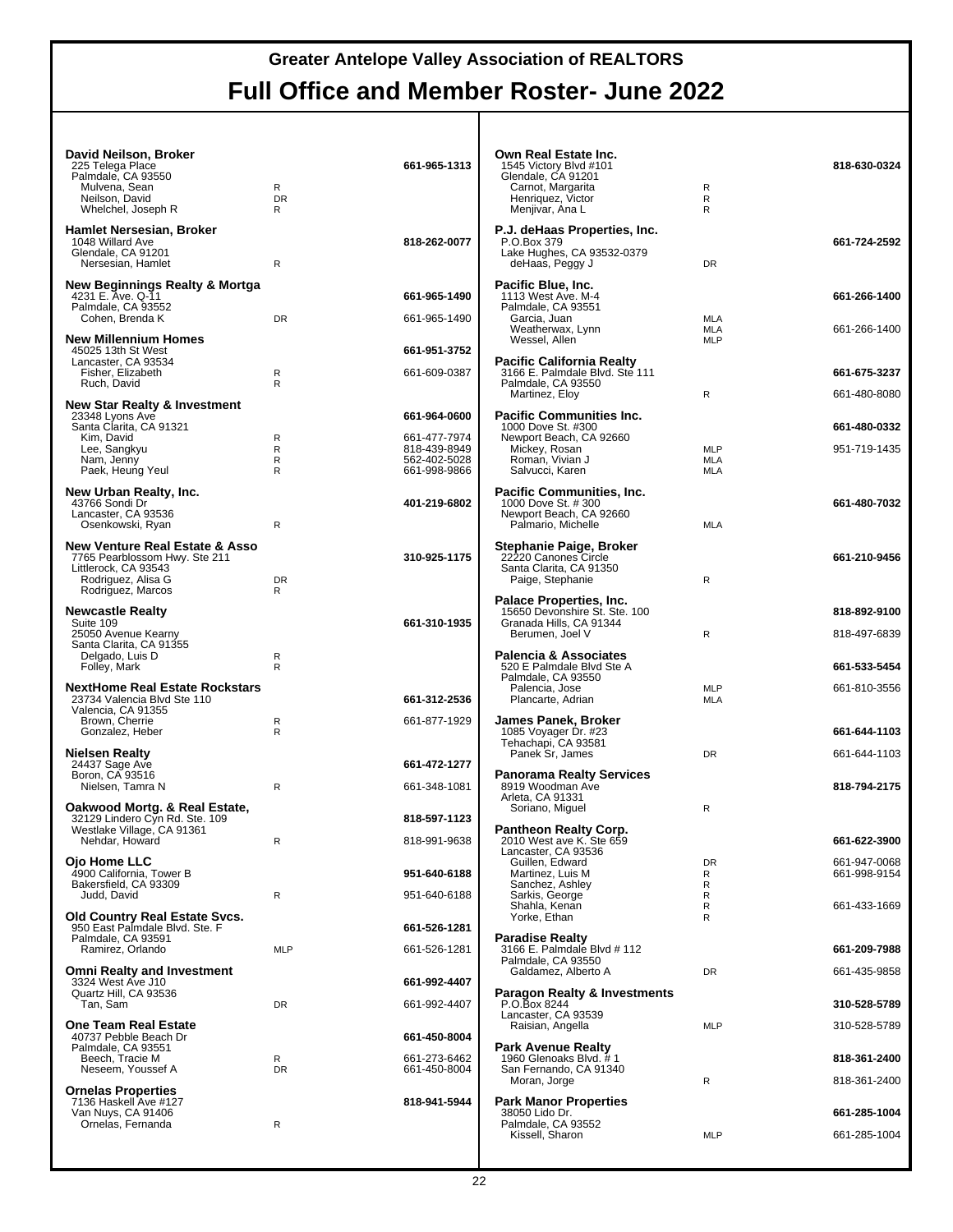| David Neilson, Broker<br>225 Telega Place<br>Palmdale, CA 93550<br>Mulvena, Sean<br>Neilson, David<br>Whelchel, Joseph R                      | R<br><b>DR</b><br>R | 661-965-1313                                                 | Own Real Estate Inc.<br>1545 Victory Blvd #101<br>Glendale, CA 91201<br>Carnot, Margarita<br>Henriquez, Victor<br>Menjivar, Ana L | R<br>R<br>R                     | 818-630-0324                 |
|-----------------------------------------------------------------------------------------------------------------------------------------------|---------------------|--------------------------------------------------------------|-----------------------------------------------------------------------------------------------------------------------------------|---------------------------------|------------------------------|
| Hamlet Nersesian, Broker<br>1048 Willard Ave<br>Glendale, CA 91201<br>Nersesian, Hamlet                                                       | R                   | 818-262-0077                                                 | P.J. deHaas Properties, Inc.<br>P.O.Box 379<br>Lake Hughes, CA 93532-0379<br>deHaas, Peggy J                                      | <b>DR</b>                       | 661-724-2592                 |
| New Beginnings Realty & Mortga<br>4231 E. Ave. Q-11<br>Palmdale, CA 93552<br>Cohen, Brenda K                                                  | <b>DR</b>           | 661-965-1490<br>661-965-1490                                 | Pacific Blue, Inc.<br>1113 West Ave. M-4<br>Palmdale, CA 93551<br>Garcia, Juan                                                    | <b>MLA</b>                      | 661-266-1400                 |
| <b>New Millennium Homes</b><br>45025 13th St West                                                                                             |                     | 661-951-3752                                                 | Weatherwax, Lynn<br>Wessel, Allen                                                                                                 | MLA<br><b>MLP</b>               | 661-266-1400                 |
| Lancaster, CA 93534<br>Fisher, Elizabeth                                                                                                      | R<br>R              | 661-609-0387                                                 | Pacific California Realty<br>3166 E. Palmdale Blvd. Ste 111                                                                       |                                 | 661-675-3237                 |
| Ruch, David<br><b>New Star Realty &amp; Investment</b>                                                                                        |                     |                                                              | Palmdale, CA 93550<br>Martinez, Eloy                                                                                              | R                               | 661-480-8080                 |
| 23348 Lyons Ave<br>Santa Clarita, CA 91321                                                                                                    |                     | 661-964-0600                                                 | Pacific Communities Inc.<br>1000 Dove St. #300                                                                                    |                                 | 661-480-0332                 |
| Kim, David<br>Lee, Sangkyu<br>Nam, Jenny<br>Paek, Heung Yeul                                                                                  | R<br>R<br>R<br>R    | 661-477-7974<br>818-439-8949<br>562-402-5028<br>661-998-9866 | Newport Beach, CA 92660<br>Mickey, Rosan<br>Roman, Vivian J<br>Salvucci, Karen                                                    | <b>MLP</b><br><b>MLA</b><br>MLA | 951-719-1435                 |
| New Urban Realty, Inc.<br>43766 Sondi Dr<br>Lancaster, CA 93536<br>Osenkowski, Ryan                                                           | R                   | 401-219-6802                                                 | <b>Pacific Communities, Inc.</b><br>1000 Dove St. # 300<br>Newport Beach, CA 92660<br>Palmario, Michelle                          | <b>MLA</b>                      | 661-480-7032                 |
| <b>New Venture Real Estate &amp; Asso</b><br>7765 Pearblossom Hwy. Ste 211<br>Littlerock, CA 93543<br>Rodriguez, Alisa G<br>Rodriguez, Marcos | <b>DR</b><br>R      | 310-925-1175                                                 | Stephanie Paige, Broker<br>22220 Canones Circle<br>Santa Clarita, CA 91350<br>Paige, Stephanie                                    | R                               | 661-210-9456                 |
| <b>Newcastle Realty</b><br>Suite 109<br>25050 Avenue Kearny                                                                                   |                     | 661-310-1935                                                 | Palace Properties, Inc.<br>15650 Devonshire St. Ste. 100<br>Granada Hills, CA 91344<br>Berumen, Joel V                            | R                               | 818-892-9100<br>818-497-6839 |
| Santa Clarita, CA 91355<br>Delgado, Luis D<br>Folley, Mark                                                                                    | R<br>R              |                                                              | <b>Palencia &amp; Associates</b><br>520 E Palmdale Blvd Ste A<br>Palmdale, CA 93550                                               |                                 | 661-533-5454                 |
| <b>NextHome Real Estate Rockstars</b><br>23734 Valencia Blvd Ste 110<br>Valencia, CA 91355                                                    |                     | 661-312-2536                                                 | Palencia, Jose<br>Plancarte, Adrian                                                                                               | <b>MLP</b><br>MLA               | 661-810-3556                 |
| Brown, Cherrie<br>Gonzalez, Heber                                                                                                             | R<br>R              | 661-877-1929                                                 | <b>James Panek, Broker</b><br>1085 Voyager Dr. #23<br>Tehachapi, CA 93581                                                         |                                 | 661-644-1103                 |
| <b>Nielsen Realty</b><br>24437 Sage Ave                                                                                                       |                     | 661-472-1277                                                 | Panek Sr, James                                                                                                                   | <b>DR</b>                       | 661-644-1103                 |
| Boron, CA 93516<br>Nielsen, Tamra N                                                                                                           | R                   | 661-348-1081                                                 | <b>Panorama Realty Services</b><br>8919 Woodman Ave<br>Arleta, CA 91331                                                           |                                 | 818-794-2175                 |
| Oakwood Mortg. & Real Estate,<br>32129 Lindero Cyn Rd. Ste. 109                                                                               |                     | 818-597-1123                                                 | Soriano, Miguel                                                                                                                   | R                               |                              |
| Westlake Village, CA 91361<br>Nehdar, Howard                                                                                                  | R                   | 818-991-9638                                                 | Pantheon Realty Corp.<br>2010 West ave K. Ste 659<br>Lancaster, CA 93536                                                          |                                 | 661-622-3900                 |
| Ojo Home LLC<br>4900 California, Tower B<br>Bakersfield, CA 93309                                                                             |                     | 951-640-6188                                                 | Guillen, Edward<br>Martinez, Luis M<br>Sanchez, Ashley                                                                            | DR<br>R<br>R                    | 661-947-0068<br>661-998-9154 |
| Judd, David                                                                                                                                   | R                   | 951-640-6188                                                 | Sarkis, George<br>Shahla, Kenan                                                                                                   | R<br>R                          | 661-433-1669                 |
| <b>Old Country Real Estate Svcs.</b><br>950 East Palmdale Blvd. Ste. F<br>Palmdale, CA 93591                                                  |                     | 661-526-1281                                                 | Yorke, Ethan<br><b>Paradise Realty</b>                                                                                            | R                               |                              |
| Ramirez, Orlando                                                                                                                              | <b>MLP</b>          | 661-526-1281                                                 | 3166 E. Palmdale Blvd # 112<br>Palmdale, CA 93550                                                                                 |                                 | 661-209-7988                 |
| <b>Omni Realty and Investment</b><br>3324 West Ave J10                                                                                        |                     | 661-992-4407                                                 | Galdamez, Alberto A                                                                                                               | DR                              | 661-435-9858                 |
| Quartz Hill, CA 93536<br>Tan, Sam                                                                                                             | DR                  | 661-992-4407                                                 | <b>Paragon Realty &amp; Investments</b><br>P.O.Box 8244<br>Lancaster, CA 93539                                                    |                                 | 310-528-5789                 |
| <b>One Team Real Estate</b><br>40737 Pebble Beach Dr                                                                                          |                     | 661-450-8004                                                 | Raisian, Angella                                                                                                                  | <b>MLP</b>                      | 310-528-5789                 |
| Palmdale, CA 93551<br>Beech, Tracie M<br>Neseem, Youssef A                                                                                    | R<br>DR             | 661-273-6462<br>661-450-8004                                 | <b>Park Avenue Realty</b><br>1960 Glenoaks Blvd. #1<br>San Fernando, CA 91340                                                     |                                 | 818-361-2400                 |
| <b>Ornelas Properties</b>                                                                                                                     |                     |                                                              | Moran, Jorge                                                                                                                      | ${\sf R}$                       | 818-361-2400                 |
| 7136 Haskell Ave #127<br>Van Nuys, CA 91406<br>Ornelas, Fernanda                                                                              | R                   | 818-941-5944                                                 | <b>Park Manor Properties</b><br>38050 Lido Dr.<br>Palmdale, CA 93552                                                              |                                 | 661-285-1004                 |
|                                                                                                                                               |                     |                                                              | Kissell, Sharon                                                                                                                   | <b>MLP</b>                      | 661-285-1004                 |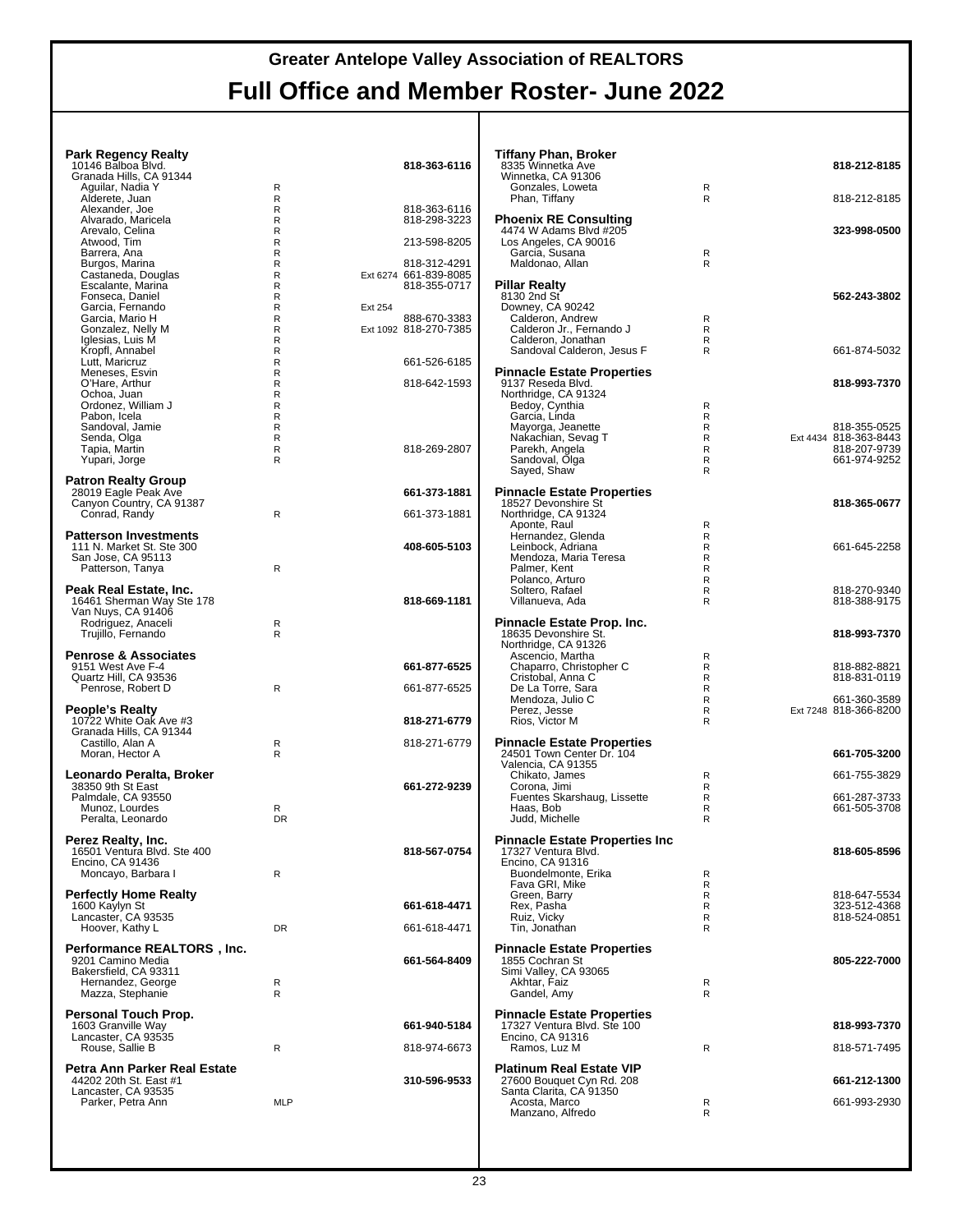| <b>Park Regency Realty</b><br>10146 Balboa Blvd.              |                   | 818-363-6116                          | <b>Tiffany Phan, Broker</b><br>8335 Winnetka Ave         |                   | 818-212-8185                          |
|---------------------------------------------------------------|-------------------|---------------------------------------|----------------------------------------------------------|-------------------|---------------------------------------|
| Granada Hills, CA 91344                                       |                   |                                       | Winnetka, CA 91306                                       |                   |                                       |
| Aguilar, Nadia Y<br>Alderete, Juan                            | R<br>R            |                                       | Gonzales, Loweta<br>Phan, Tiffany                        | R<br>R            | 818-212-8185                          |
| Alexander, Joe                                                | $\mathsf{R}$      | 818-363-6116                          |                                                          |                   |                                       |
| Alvarado, Maricela<br>Arevalo, Celina                         | R<br>R            | 818-298-3223                          | <b>Phoenix RE Consulting</b><br>4474 W Adams Blvd #205   |                   | 323-998-0500                          |
| Atwood, Tim                                                   | $\mathsf{R}$      | 213-598-8205                          | Los Angeles, CA 90016<br>Garcia, Susana                  |                   |                                       |
| Barrera, Ana<br>Burgos, Marina                                | R<br>R            | 818-312-4291                          | Maldonao, Allan                                          | R<br>R            |                                       |
| Castaneda, Douglas<br>Escalante, Marina                       | $\mathsf{R}$<br>R | Ext 6274 661-839-8085<br>818-355-0717 | <b>Pillar Realty</b>                                     |                   |                                       |
| Fonseca, Daniel                                               | R                 |                                       | 8130 2nd St                                              |                   | 562-243-3802                          |
| Garcia, Fernando<br>Garcia, Mario H                           | $\mathsf{R}$<br>R | Ext 254<br>888-670-3383               | Downey, CA 90242<br>Calderon, Andrew                     | R                 |                                       |
| Gonzalez, Nelly M                                             | R                 | Ext 1092 818-270-7385                 | Calderon Jr., Fernando J                                 | R                 |                                       |
| Iglesias, Luis M<br>Kropfl, Annabel                           | R<br>R            |                                       | Calderon, Jonathan<br>Sandoval Calderon, Jesus F         | R<br>R            | 661-874-5032                          |
| Lutt, Maricruz                                                | R                 | 661-526-6185                          |                                                          |                   |                                       |
| Meneses, Esvin<br>O'Hare, Arthur                              | $\mathsf R$<br>R  | 818-642-1593                          | <b>Pinnacle Estate Properties</b><br>9137 Reseda Blvd.   |                   | 818-993-7370                          |
| Ochoa, Juan<br>Ordonez, William J                             | R<br>$\mathsf{R}$ |                                       | Northridge, CA 91324<br>Bedoy, Cynthia                   | R                 |                                       |
| Pabon, Icela                                                  | R                 |                                       | Garcia, Linda                                            | R                 |                                       |
| Sandoval, Jamie<br>Senda, Olga                                | R<br>$\mathsf{R}$ |                                       | Mayorga, Jeanette<br>Nakachian, Sevag T                  | R<br>$\mathsf{R}$ | 818-355-0525<br>Ext 4434 818-363-8443 |
| Tapia, Martin                                                 | R                 | 818-269-2807                          | Parekh, Angela                                           | R                 | 818-207-9739                          |
| Yupari, Jorge                                                 | R                 |                                       | Sandoval, Olga<br>Sayed, Shaw                            | R<br>R            | 661-974-9252                          |
| <b>Patron Realty Group</b>                                    |                   |                                       |                                                          |                   |                                       |
| 28019 Eagle Peak Ave<br>Canyon Country, CA 91387              |                   | 661-373-1881                          | <b>Pinnacle Estate Properties</b><br>18527 Devonshire St |                   | 818-365-0677                          |
| Conrad, Randy                                                 | R                 | 661-373-1881                          | Northridge, CA 91324                                     |                   |                                       |
| <b>Patterson Investments</b>                                  |                   |                                       | Aponte, Raul<br>Hernandez, Glenda                        | R<br>R            |                                       |
| 111 N. Market St. Ste 300<br>San Jose, CA 95113               |                   | 408-605-5103                          | Leinbock, Adriana<br>Mendoza, Maria Teresa               | R                 | 661-645-2258                          |
| Patterson, Tanya                                              | $\mathsf{R}$      |                                       | Palmer, Kent                                             | R<br>$\mathsf{R}$ |                                       |
| Peak Real Estate, Inc.                                        |                   |                                       | Polanco, Arturo<br>Soltero, Rafael                       | R<br>R            | 818-270-9340                          |
| 16461 Sherman Way Ste 178                                     |                   | 818-669-1181                          | Villanueva, Ada                                          | $\mathsf{R}$      | 818-388-9175                          |
| Van Nuys, CA 91406<br>Rodriguez, Anaceli                      | R                 |                                       | Pinnacle Estate Prop. Inc.                               |                   |                                       |
| Trujillo, Fernando                                            | $\mathsf{R}$      |                                       | 18635 Devonshire St.                                     |                   | 818-993-7370                          |
| <b>Penrose &amp; Associates</b>                               |                   |                                       | Northridge, CA 91326<br>Ascencio, Martha                 | R                 |                                       |
| 9151 West Ave F-4                                             |                   | 661-877-6525                          | Chaparro, Christopher C                                  | R                 | 818-882-8821                          |
| Quartz Hill, CA 93536<br>Penrose, Robert D                    | $\mathsf{R}$      | 661-877-6525                          | Cristobal, Anna C<br>De La Torre, Sara                   | R<br>R            | 818-831-0119                          |
|                                                               |                   |                                       | Mendoza, Julio C                                         | $\mathsf{R}$      | 661-360-3589                          |
| People's Realty<br>10722 White Oak Ave #3                     |                   | 818-271-6779                          | Perez, Jesse<br>Rios, Victor M                           | R<br>R            | Ext 7248 818-366-8200                 |
| Granada Hills, CA 91344<br>Castillo, Alan A                   | R                 | 818-271-6779                          | <b>Pinnacle Estate Properties</b>                        |                   |                                       |
| Moran, Hector A                                               | R                 |                                       | 24501 Town Center Dr. 104                                |                   | 661-705-3200                          |
| Leonardo Peralta, Broker                                      |                   |                                       | Valencia, CA 91355<br>Chikato, James                     | R                 | 661-755-3829                          |
| 38350 9th St East                                             |                   | 661-272-9239                          | Corona, Jimi                                             | R                 |                                       |
| Palmdale, CA 93550<br>Munoz, Lourdes                          | R                 |                                       | Fuentes Skarshaug, Lissette<br>Haas, Bob                 | R<br>R            | 661-287-3733<br>661-505-3708          |
| Peralta, Leonardo                                             | <b>DR</b>         |                                       | Judd, Michelle                                           | R                 |                                       |
| Perez Realty, Inc.                                            |                   |                                       | <b>Pinnacle Estate Properties Inc</b>                    |                   |                                       |
| 16501 Ventura Blvd. Ste 400<br>Encino, CA 91436               |                   | 818-567-0754                          | 17327 Ventura Blvd.<br>Encino, CA 91316                  |                   | 818-605-8596                          |
| Moncayo, Barbara I                                            | $\mathsf{R}$      |                                       | Buondelmonte, Erika                                      | R                 |                                       |
| <b>Perfectly Home Realty</b>                                  |                   |                                       | Fava GRI, Mike<br>Green, Barry                           | R<br>R            | 818-647-5534                          |
| 1600 Kaylyn St                                                |                   | 661-618-4471                          | Rex, Pasha                                               | R                 | 323-512-4368                          |
| Lancaster, CA 93535<br>Hoover, Kathy L                        | DR                | 661-618-4471                          | Ruiz, Vicky<br>Tin, Jonathan                             | R<br>R            | 818-524-0851                          |
|                                                               |                   |                                       |                                                          |                   |                                       |
| Performance REALTORS <sup>®</sup> , Inc.<br>9201 Camino Media |                   | 661-564-8409                          | <b>Pinnacle Estate Properties</b><br>1855 Cochran St     |                   | 805-222-7000                          |
| Bakersfield, CA 93311<br>Hernandez, George                    | R                 |                                       | Simi Valley, CA 93065<br>Akhtar, Faiz                    | R                 |                                       |
| Mazza, Stephanie                                              | $\mathsf{R}$      |                                       | Gandel, Amy                                              | R                 |                                       |
| Personal Touch Prop.                                          |                   |                                       | <b>Pinnacle Estate Properties</b>                        |                   |                                       |
| 1603 Granville Way                                            |                   | 661-940-5184                          | 17327 Ventura Blvd. Ste 100                              |                   | 818-993-7370                          |
| Lancaster, CA 93535<br>Rouse, Sallie B                        | R                 | 818-974-6673                          | Encino, CA 91316<br>Ramos, Luz M                         | R                 | 818-571-7495                          |
| Petra Ann Parker Real Estate                                  |                   |                                       | <b>Platinum Real Estate VIP</b>                          |                   |                                       |
| 44202 20th St. East #1                                        |                   | 310-596-9533                          | 27600 Bouquet Cyn Rd. 208                                |                   | 661-212-1300                          |
| Lancaster, CA 93535<br>Parker, Petra Ann                      | <b>MLP</b>        |                                       | Santa Clarita, CA 91350<br>Acosta, Marco                 | R                 | 661-993-2930                          |
|                                                               |                   |                                       | Manzano, Alfredo                                         | R                 |                                       |
|                                                               |                   |                                       |                                                          |                   |                                       |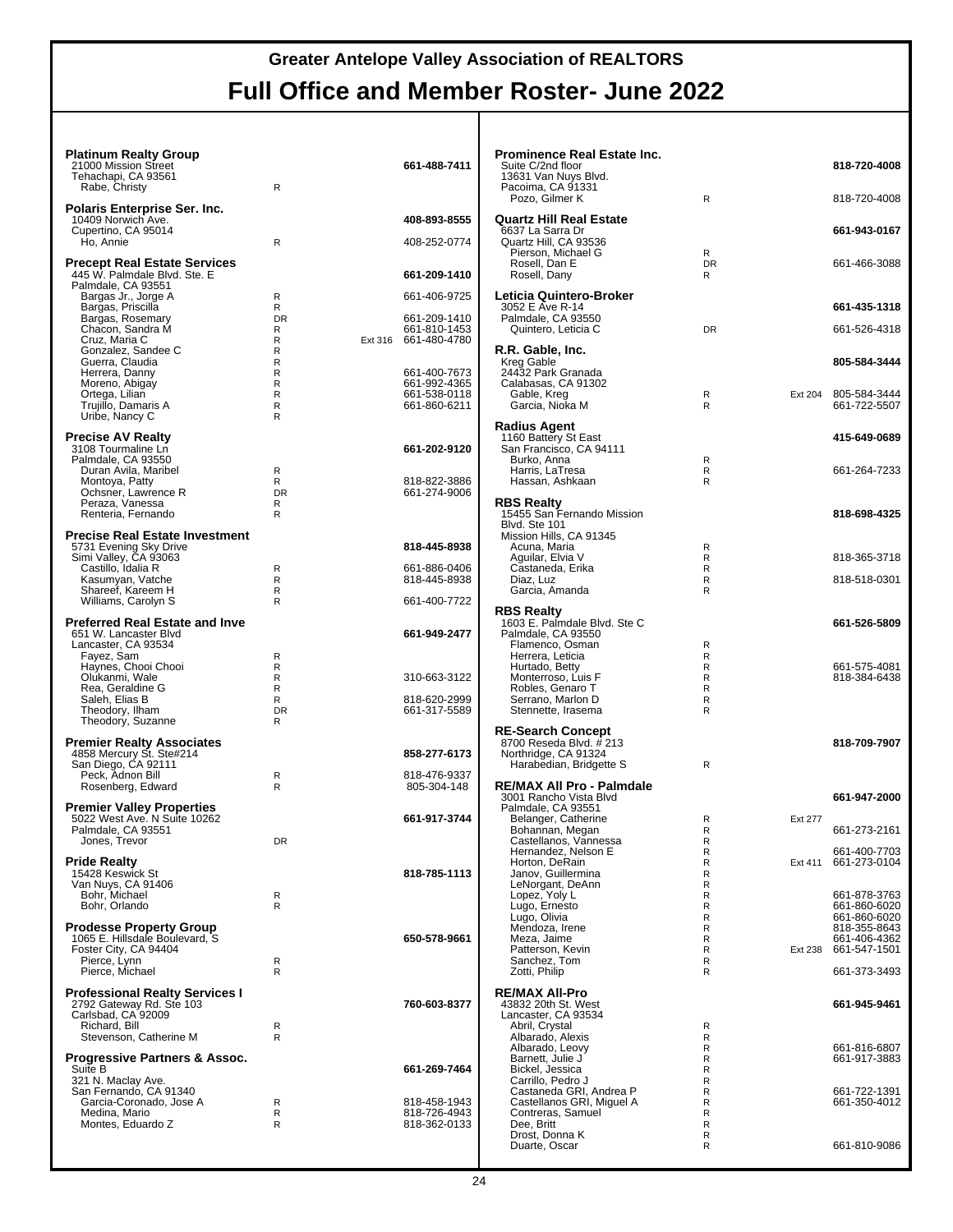#### **Platinum Realty Group** 21000 Mission Street **661-488-7411** Tehachapi, CA 93561 Rabe, Christy R **Polaris Enterprise Ser. Inc.** 10409 Norwich Ave. **408-893-8555** Cupertino, CA 95014 Ho, Annie R 408-252-0774 **Precept Real Estate Services** 445 W. Palmdale Blvd. Ste. E **661-209-1410** Palmdale, CA 93551 Bargas Jr., Jorge A R 661-406-9725 Bargas, Priscilla R Bargas, Rosemary DR 661-209-1410 Chacon, Sandra M R 661-810-1453 Cruz, Maria C<br>
Cruz, Maria C<br>
Gonzalez, Sandee C<br>
Guerra, Claudia<br>
R<br>
R<br>
R<br>
R Gonzalez, Sandee C R Guerra, Claudia R Herrera, Danny R 661-400-7673<br>
Moreno, Abigay R 661-992-4365<br>
Ortega, Lilian R R 661-538-0118 Moreno, Abigay R 661-992-4365 Ortega, Lilian R 661-538-0118 Trujillo, Damaris A R 661-860-6211 Uribe, Nancy C R **Precise AV Realty** 3108 Tourmaline Ln **661-202-9120** Palmdale, CA 93550 Duran Avila, Maribel R Montoya, Patty R 818-822-3886 Ochsner, Lawrence R DR 661-274-9006 Peraza, Vanessa Renteria, Fernando **Precise Real Estate Investment** 5731 Evening Sky Drive **818-445-8938** Simi Valley, CA 93063 Castillo, Idalia R R 661-886-0406 Kasumyan, Vatche R 818-445-8938 Shareef, Kareem H R Williams, Carolyn S **R** R 661-400-7722 **Preferred Real Estate and Inve** 651 W. Lancaster Blvd **661-949-2477** Lancaster, CA 93534 Fayez, Śam<br>Haynes, Chooi Chooi Chooi R Haynes, Chooi Chooi R Olukanmi, Wale R 310-663-3122 Olukanmi, Wale<br>
Rea, Geraldine G<br>
Saleh. Elias B<br>
R Pressure that the B 818-620-2999<br>DR 661-317-5589 Theodory, Ilham DR 661-317-5589 Theodory, Suzanne R **Premier Realty Associates<br>
4858 Mercury St. Ste#214<br>
San Diego, CA 92111<br>
Peck, Adnon Bill R 818-476-9337** Peck, Adnon Bill R 818-476-9337<br>
Rosenberg, Edward R R 805-304-148 **Premier Valley Properties** 5022 West Ave. N Suite 10262 **661-917-3744** Palmdale, CA 93551 Jones, Trevor **DR Pride Realty** 15428 Keswick St **818-785-1113** Van Nuys, CA 91406 Bohr, Michael R Bohr, Orlando R **Prodesse Property Group** 1065 E. Hillsdale Boulevard, S<br>Foster City, CA 94404<br>Pierce, Lynn<br>Pierce, Michael Research R **Professional Realty Services I** 2792 Gateway Rd. Ste 103 **760-603-8377** Carlsbad, CA 92009 Richard, Bill R<br>Stevenson Catherine M R Stevenson, Catherine M **Progressive Partners & Assoc.** Suite B **661-269-7464** 321 N. Maclay Ave. San Fernando, CA 91340 Garcia-Coronado, Jose A R 818-458-1943 Medina, Mario R 818-726-4943 Montes, Eduardo Z R R 818-362-0133

| Prominence Real Estate Inc.<br>Suite C/2nd floor<br>13631 Van Nuys Blvd.<br>Pacoima, CA 91331 |                     |         | 818-720-4008                                 |
|-----------------------------------------------------------------------------------------------|---------------------|---------|----------------------------------------------|
| Pozo, Gilmer K                                                                                | R                   |         | 818-720-4008                                 |
| <b>Quartz Hill Real Estate</b><br>6637 La Sarra Dr<br>Quartz Hill. CA 93536                   |                     |         | 661-943-0167                                 |
| Pierson, Michael G<br>Rosell, Dan E<br>Rosell, Dany                                           | R<br><b>DR</b><br>R |         | 661-466-3088                                 |
| Leticia Quintero-Broker<br>3052 E Ave R-14                                                    |                     |         | 661-435-1318                                 |
| Palmdale, CA 93550<br>Quintero, Leticia C                                                     | <b>DR</b>           |         | 661-526-4318                                 |
| R.R. Gable, Inc.<br>Kreg Gable<br>24432 Park Granada                                          |                     |         | 805-584-3444                                 |
| Calabasas, CA 91302<br>Gable, Kreg<br>Garcia, Nioka M                                         | R<br>R              | Ext 204 | 805-584-3444<br>661-722-5507                 |
| Radius Agent<br>1160 Battery St East                                                          |                     |         | 415-649-0689                                 |
| San Francisco, CA 94111<br>Burko, Anna<br>Harris, LaTresa                                     | R<br>R              |         | 661-264-7233                                 |
| Hassan, Ashkaan                                                                               | R                   |         |                                              |
| RBS Realty<br>15455 San Fernando Mission<br>Blvd. Ste 101<br>Mission Hills, CA 91345          |                     |         | 818-698-4325                                 |
| Acuna, Maria<br>Aguilar, Elvia V                                                              | R<br>R              |         | 818-365-3718                                 |
| Castaneda, Erika<br>Diaz, Luz<br>Garcia, Amanda                                               | R<br>R<br>R         |         | 818-518-0301                                 |
| <b>RBS Realty</b><br>1603 E. Palmdale Blvd. Ste C<br>Palmdale, CA 93550<br>Flamenco, Osman    | R                   |         | 661-526-5809                                 |
| Herrera, Leticia<br>Hurtado, Betty                                                            | R<br>R              |         | 661-575-4081                                 |
| Monterroso, Luis F<br>Robles, Genaro T                                                        | R<br>R              |         | 818-384-6438                                 |
| Serrano, Marlon D<br>Stennette, Irasema                                                       | R<br>R              |         |                                              |
| <b>RE-Search Concept</b><br>8700 Reseda Blvd. # 213                                           |                     |         | 818-709-7907                                 |
| Northridge, CA 91324<br>Harabedian, Bridgette S                                               | R                   |         |                                              |
| RE/MAX All Pro - Palmdale<br>3001 Rancho Vista Blvd<br>Palmdale, CA 93551                     |                     |         | 661-947-2000                                 |
| Belanger, Catherine<br>Bohannan, Megan<br>Castellanos, Vannessa                               | R<br>R<br>R         | Ext 277 | 661-273-2161                                 |
| Hernandez, Nelson E<br>Horton, DeRain                                                         | R<br>R              | Ext 411 | 661-400-7703<br>661-273-0104                 |
| Janov, Guillermina<br>LeNorgant, DeAnn                                                        | R<br>R              |         |                                              |
| Lopez, Yoly L<br>Lugo, Ernesto<br>Lugo, Olivia                                                | R<br>R<br>R         |         | 661-878-3763<br>661-860-6020<br>661-860-6020 |
| Mendoza, Irene<br>Meza, Jaime                                                                 | R<br>R              |         | 818-355-8643<br>661-406-4362                 |
| Patterson, Kevin<br>Sanchez, Tom                                                              | R<br>R              | Ext 238 | 661-547-1501                                 |
| Zotti, Philip<br><b>RE/MAX All-Pro</b>                                                        | R                   |         | 661-373-3493                                 |
| 43832 20th St. West<br>Lancaster, CA 93534<br>Abril, Crystal                                  | R                   |         | 661-945-9461                                 |
| Albarado, Alexis<br>Albarado, Leovy                                                           | R<br>R              |         | 661-816-6807                                 |
| Barnett, Julie J<br>Bickel, Jessica<br>Carrillo, Pedro J                                      | R<br>R<br>R         |         | 661-917-3883                                 |
| Castaneda GRI, Andrea P<br>Castellanos GRI, Miguel A                                          | R<br>R              |         | 661-722-1391<br>661-350-4012                 |
| Contreras, Samuel<br>Dee, Britt                                                               | R<br>R              |         |                                              |
| Drost, Donna K<br>Duarte, Oscar                                                               | R<br>R              |         | 661-810-9086                                 |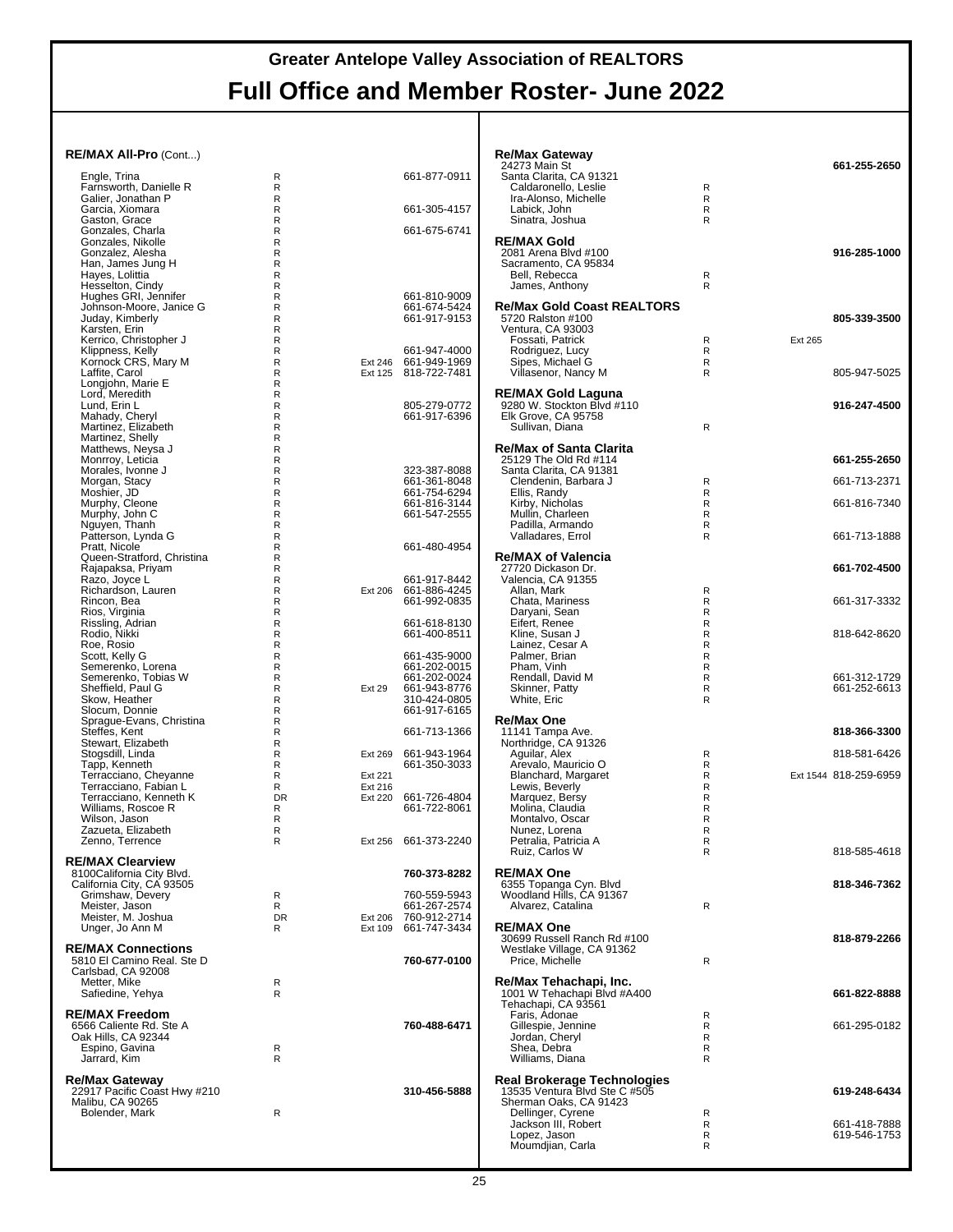| RE/MAX All-Pro (Cont)                                   |                 |                           |                                      | <b>Re/Max Gateway</b><br>24273 Main St                       |                            |         | 661-255-2650          |
|---------------------------------------------------------|-----------------|---------------------------|--------------------------------------|--------------------------------------------------------------|----------------------------|---------|-----------------------|
| Engle, Trina                                            | R               |                           | 661-877-0911                         | Santa Clarita, CA 91321                                      |                            |         |                       |
| Farnsworth, Danielle R                                  | R               |                           |                                      | Caldaronello, Leslie                                         | R                          |         |                       |
| Galier. Jonathan P<br>Garcia, Xiomara                   | R<br>R          |                           | 661-305-4157                         | Ira-Alonso, Michelle<br>Labick, John                         | $\mathsf{R}$<br>R          |         |                       |
| Gaston, Grace                                           | R               |                           |                                      | Sinatra, Joshua                                              | $\mathsf{R}$               |         |                       |
| Gonzales, Charla<br>Gonzales, Nikolle                   | R<br>R          |                           | 661-675-6741                         | <b>RE/MAX Gold</b>                                           |                            |         |                       |
| Gonzalez, Alesha                                        | R               |                           |                                      | 2081 Arena Blvd #100                                         |                            |         | 916-285-1000          |
| Han, James Jung H                                       | R               |                           |                                      | Sacramento, CA 95834                                         |                            |         |                       |
| Hayes, Lolittia<br>Hesselton, Cindy                     | R<br>R          |                           |                                      | Bell, Rebecca<br>James, Anthony                              | R<br>$\mathsf{R}$          |         |                       |
| Hughes GRI, Jennifer                                    | R               |                           | 661-810-9009                         |                                                              |                            |         |                       |
| Johnson-Moore, Janice G                                 | R               |                           | 661-674-5424                         | Re/Max Gold Coast REALTORS®                                  |                            |         |                       |
| Juday, Kimberly<br>Karsten, Erin                        | R<br>R          |                           | 661-917-9153                         | 5720 Ralston #100<br>Ventura, CA 93003                       |                            |         | 805-339-3500          |
| Kerrico, Christopher J                                  | R               |                           |                                      | Fossati, Patrick                                             | R                          | Ext 265 |                       |
| Klippness, Kelly                                        | R               |                           | 661-947-4000                         | Rodriguez, Lucy                                              | R                          |         |                       |
| Kornock CRS, Mary M<br>Laffite, Carol                   | R<br>R          | Ext 246                   | 661-949-1969<br>Ext 125 818-722-7481 | Sipes, Michael G<br>Villasenor, Nancy M                      | R<br>R                     |         | 805-947-5025          |
| Longjohn, Marie E                                       | R               |                           |                                      |                                                              |                            |         |                       |
| Lord, Meredith                                          | R               |                           |                                      | RE/MAX Gold Laquna                                           |                            |         |                       |
| Lund, Erin L<br>Mahady, Cheryl                          | R<br>R          |                           | 805-279-0772<br>661-917-6396         | 9280 W. Stockton Blvd #110<br>Elk Grove, CA 95758            |                            |         | 916-247-4500          |
| Martinez, Elizabeth                                     | R               |                           |                                      | Sullivan, Diana                                              | R                          |         |                       |
| Martinez, Shelly                                        | R               |                           |                                      |                                                              |                            |         |                       |
| Matthews, Neysa J<br>Monrroy, Leticia                   | R<br>R          |                           |                                      | <b>Re/Max of Santa Clarita</b><br>25129 The Old Rd #114      |                            |         | 661-255-2650          |
| Morales, Ivonne J                                       | R               |                           | 323-387-8088                         | Santa Clarita, CA 91381                                      |                            |         |                       |
| Morgan, Stacy                                           | R               |                           | 661-361-8048                         | Clendenin, Barbara J                                         | R                          |         | 661-713-2371          |
| Moshier, JD<br>Murphy, Cleone                           | R<br>R          |                           | 661-754-6294<br>661-816-3144         | Ellis, Randy<br>Kirby, Nicholas                              | $\mathsf{R}$<br>R          |         | 661-816-7340          |
| Murphy, John C                                          | R               |                           | 661-547-2555                         | Mullin, Charleen                                             | $\mathsf R$                |         |                       |
| Nguyen, Thanh                                           | R               |                           |                                      | Padilla, Armando                                             | $\mathsf{R}$               |         |                       |
| Patterson, Lynda G<br>Pratt, Nicole                     | R<br>R          |                           | 661-480-4954                         | Valladares, Errol                                            | R                          |         | 661-713-1888          |
| Queen-Stratford, Christina                              | R               |                           |                                      | <b>Re/MAX of Valencia</b>                                    |                            |         |                       |
| Rajapaksa, Priyam                                       | R               |                           |                                      | 27720 Dickason Dr.                                           |                            |         | 661-702-4500          |
| Razo, Joyce L<br>Richardson, Lauren                     | R<br>R          |                           | 661-917-8442<br>Ext 206 661-886-4245 | Valencia, CA 91355<br>Allan, Mark                            | R                          |         |                       |
| Rincon, Bea                                             | R               |                           | 661-992-0835                         | Chata, Mariness                                              | R                          |         | 661-317-3332          |
| Rios, Virginia                                          | R               |                           |                                      | Daryani, Sean                                                | R                          |         |                       |
| Rissling, Adrian<br>Rodio, Nikki                        | R<br>R          |                           | 661-618-8130<br>661-400-8511         | Eifert, Renee<br>Kline, Susan J                              | $\mathsf R$<br>$\mathsf R$ |         | 818-642-8620          |
| Roe, Rosio                                              | R               |                           |                                      | Lainez, Cesar A                                              | $\mathsf R$                |         |                       |
| Scott, Kelly G                                          | R               |                           | 661-435-9000                         | Palmer, Brian                                                | $\mathsf{R}$               |         |                       |
| Semerenko, Lorena<br>Semerenko, Tobias W                | R<br>R          |                           | 661-202-0015<br>661-202-0024         | Pham, Vinh<br>Rendall, David M                               | R<br>R                     |         | 661-312-1729          |
| Sheffield, Paul G                                       | R               | Ext 29                    | 661-943-8776                         | Skinner, Patty                                               | R                          |         | 661-252-6613          |
| Skow, Heather                                           | R               |                           | 310-424-0805                         | White, Eric                                                  | R                          |         |                       |
| Slocum, Donnie<br>Sprague-Evans, Christina              | R<br>R          |                           | 661-917-6165                         | Re/Max One                                                   |                            |         |                       |
| Steffes, Kent                                           | R               |                           | 661-713-1366                         | 11141 Tampa Ave.                                             |                            |         | 818-366-3300          |
| Stewart, Elizabeth<br>Stogsdill, Linda                  | R<br>R          |                           | Ext 269 661-943-1964                 | Northridge, CA 91326<br>Aquilar, Alex                        | R                          |         | 818-581-6426          |
| Tapp, Kenneth                                           | R               |                           | 661-350-3033                         | Arevalo, Mauricio O                                          | R                          |         |                       |
| Terracciano, Cheyanne                                   | R               | Ext 221                   |                                      | Blanchard, Margaret                                          | R                          |         | Ext 1544 818-259-6959 |
| Terracciano. Fabian L<br>Terracciano, Kenneth K         | R<br><b>DR</b>  | Ext 216<br><b>Ext 220</b> | 661-726-4804                         | Lewis, Beverly<br>Marquez, Bersy                             | $\mathsf{R}$<br>R          |         |                       |
| Williams, Roscoe R                                      | R               |                           | 661-722-8061                         | Molina, Claudia                                              | R                          |         |                       |
| Wilson, Jason                                           | R               |                           |                                      | Montalvo, Oscar                                              | $\mathsf{R}$               |         |                       |
| Zazueta, Elizabeth<br>Zenno. Terrence                   | R<br>R          |                           | Ext 256 661-373-2240                 | Nunez, Lorena<br>Petralia, Patricia A                        | R<br>R                     |         |                       |
|                                                         |                 |                           |                                      | Ruiz, Carlos W                                               | R                          |         | 818-585-4618          |
| <b>RE/MAX Clearview</b><br>8100California City Blvd.    |                 |                           | 760-373-8282                         | <b>RE/MAX One</b>                                            |                            |         |                       |
| California City, CA 93505                               |                 |                           |                                      | 6355 Topanga Cyn. Blvd                                       |                            |         | 818-346-7362          |
| Grimshaw, Devery                                        | R               |                           | 760-559-5943                         | Woodland Hills, CA 91367                                     |                            |         |                       |
| Meister, Jason                                          | R               |                           | 661-267-2574                         | Alvarez, Catalina                                            | R                          |         |                       |
| Meister, M. Joshua<br>Unger, Jo Ann M                   | <b>DR</b><br>R. | Ext 109                   | Ext 206 760-912-2714<br>661-747-3434 | <b>RE/MAX One</b>                                            |                            |         |                       |
|                                                         |                 |                           |                                      | 30699 Russell Ranch Rd #100                                  |                            |         | 818-879-2266          |
| <b>RE/MAX Connections</b><br>5810 El Camino Real. Ste D |                 |                           | 760-677-0100                         | Westlake Village, CA 91362<br>Price, Michelle                | R                          |         |                       |
| Carlsbad, CA 92008                                      |                 |                           |                                      |                                                              |                            |         |                       |
| Metter, Mike                                            | R               |                           |                                      | Re/Max Tehachapi, Inc.                                       |                            |         |                       |
| Safiedine, Yehya                                        | R               |                           |                                      | 1001 W Tehachapi Blvd #A400<br>Tehachapi. CA 93561           |                            |         | 661-822-8888          |
| RE/MAX Freedom                                          |                 |                           |                                      | Faris, Adonae                                                | R                          |         |                       |
| 6566 Caliente Rd. Ste A                                 |                 |                           | 760-488-6471                         | Gillespie, Jennine                                           | R                          |         | 661-295-0182          |
| Oak Hills, CA 92344<br>Espino, Gavina                   |                 |                           |                                      | Jordan, Cheryl<br>Shea, Debra                                | R<br>$\mathsf{R}$          |         |                       |
| Jarrard, Kim                                            | R<br>R          |                           |                                      | Williams, Diana                                              | R                          |         |                       |
|                                                         |                 |                           |                                      |                                                              |                            |         |                       |
| Re/Max Gatewav<br>22917 Pacific Coast Hwy #210          |                 |                           | 310-456-5888                         | Real Brokerage Technologies<br>13535 Ventura Blvd Ste C #505 |                            |         | 619-248-6434          |
| Malibu, CA 90265                                        |                 |                           |                                      | Sherman Oaks, CA 91423                                       |                            |         |                       |
| Bolender, Mark                                          | R               |                           |                                      | Dellinger, Cyrene<br>Jackson III, Robert                     | R<br>R                     |         | 661-418-7888          |
|                                                         |                 |                           |                                      | Lopez, Jason                                                 | R                          |         | 619-546-1753          |
|                                                         |                 |                           |                                      | Moumdjian, Carla                                             | $\mathsf{R}$               |         |                       |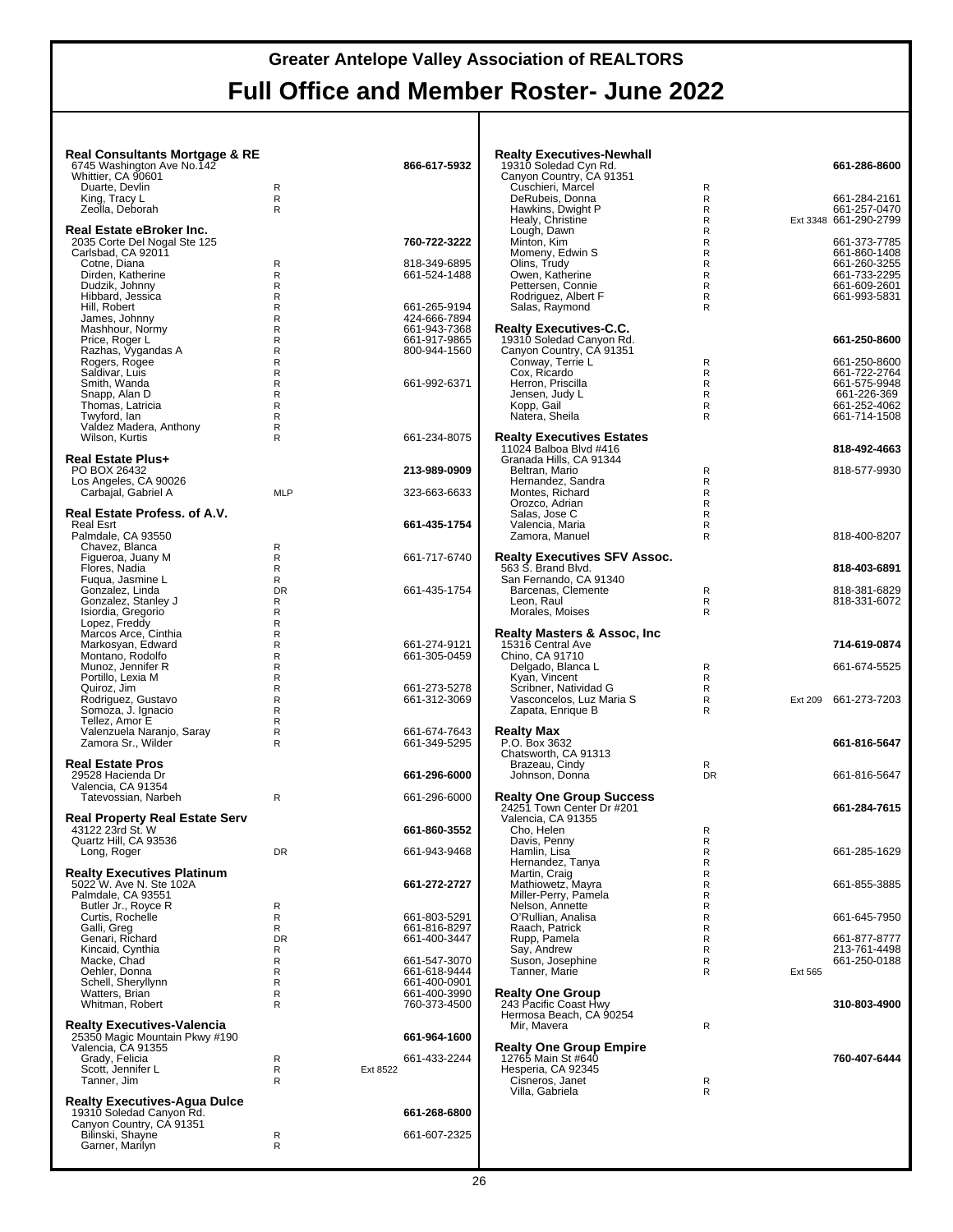| <b>Real Consultants Mortgage &amp; RE</b><br>6745 Washington Ave No. 142<br>Whittier, CA 90601                  |                                                   |          | 866-617-5932                                                                 | Realty Executives-Newhall<br>19310 Soledad Cyn Rd.<br>Canyon Country, CA 91351                   |                                                              |         | 661-286-8600                                                |
|-----------------------------------------------------------------------------------------------------------------|---------------------------------------------------|----------|------------------------------------------------------------------------------|--------------------------------------------------------------------------------------------------|--------------------------------------------------------------|---------|-------------------------------------------------------------|
| Duarte, Devlin<br>King, Tracy L<br>Zeolla, Deborah                                                              | R<br>$\mathsf{R}$<br>R                            |          |                                                                              | Cuschieri, Marcel<br>DeRubeis, Donna<br>Hawkins, Dwight P<br>Healy, Christine                    | R<br>R<br>R<br>R                                             |         | 661-284-2161<br>661-257-0470<br>Ext 3348 661-290-2799       |
| Real Estate eBroker Inc.<br>2035 Corte Del Nogal Ste 125<br>Carlsbad, CA 92011<br>Cotne, Diana                  | R                                                 |          | 760-722-3222<br>818-349-6895                                                 | Lough, Dawn<br>Minton, Kim<br>Momeny, Edwin S<br>Olins, Trudy                                    | $\mathsf{R}$<br>$\mathsf{R}$<br>$\mathsf{R}$<br>$\mathsf{R}$ |         | 661-373-7785<br>661-860-1408<br>661-260-3255                |
| Dirden, Katherine<br>Dudzik, Johnny<br>Hibbard, Jessica<br>Hill, Robert                                         | R<br>R<br>R<br>$\mathsf{R}$                       |          | 661-524-1488<br>661-265-9194                                                 | Owen, Katherine<br>Pettersen, Connie<br>Rodriguez, Albert F<br>Salas, Raymond                    | $\mathsf{R}$<br>$\mathsf{R}$<br>$\mathsf{R}$<br>$\mathsf{R}$ |         | 661-733-2295<br>661-609-2601<br>661-993-5831                |
| James, Johnny<br>Mashhour, Normy<br>Price, Roger L<br>Razhas, Vygandas A                                        | $\mathsf{R}$<br>R<br>$\mathsf{R}$<br>$\mathsf{R}$ |          | 424-666-7894<br>661-943-7368<br>661-917-9865<br>800-944-1560                 | <b>Realty Executives-C.C.</b><br>19310 Soledad Canyon Rd.<br>Canyon Country, CA 91351            |                                                              |         | 661-250-8600                                                |
| Rogers, Rogee<br>Saldivar, Luis<br>Smith, Wanda<br>Snapp, Alan D                                                | $\mathsf{R}$<br>$\mathsf{R}$<br>R<br>$\mathsf{R}$ |          | 661-992-6371                                                                 | Conway, Terrie L<br>Cox, Ricardo<br>Herron, Priscilla<br>Jensen, Judy L                          | R<br>R<br>R<br>R                                             |         | 661-250-8600<br>661-722-2764<br>661-575-9948<br>661-226-369 |
| Thomas, Latricia<br>Twyford, lan<br>Valdez Madera, Anthony<br>Wilson, Kurtis                                    | $\mathsf{R}$<br>R<br>R<br>R                       |          | 661-234-8075                                                                 | Kopp, Gail<br>Natera, Sheila<br><b>Realty Executives Estates</b><br>11024 Balboa Blvd #416       | R<br>$\mathsf{R}$                                            |         | 661-252-4062<br>661-714-1508<br>818-492-4663                |
| <b>Real Estate Plus+</b><br>PO BOX 26432<br>Los Angeles, CA 90026<br>Carbajal, Gabriel A                        | <b>MLP</b>                                        |          | 213-989-0909<br>323-663-6633                                                 | Granada Hills, CA 91344<br>Beltran, Mario<br>Hernandez, Sandra<br>Montes, Richard                | R<br>$\mathsf{R}$<br>$\mathsf{R}$                            |         | 818-577-9930                                                |
| Real Estate Profess. of A.V.<br>Real Esrt<br>Palmdale, CA 93550                                                 |                                                   |          | 661-435-1754                                                                 | Orozco, Adrian<br>Salas, Jose C<br>Valencia, Maria<br>Zamora, Manuel                             | $\mathsf{R}$<br>$\mathsf{R}$<br>R<br>R                       |         | 818-400-8207                                                |
| Chavez, Blanca<br>Figueroa, Juany M<br>Flores, Nadia                                                            | R<br>R<br>R                                       |          | 661-717-6740                                                                 | Realty Executives SFV Assoc.<br>563 S. Brand Blvd.                                               |                                                              |         | 818-403-6891                                                |
| Fugua, Jasmine L<br>Gonzalez, Linda<br>Gonzalez, Stanley J<br>Isiordia, Gregorio                                | R<br><b>DR</b><br>R<br>R                          |          | 661-435-1754                                                                 | San Fernando, CA 91340<br>Barcenas, Clemente<br>Leon, Raul<br>Morales, Moises                    | R<br>R<br>$\mathsf{R}$                                       |         | 818-381-6829<br>818-331-6072                                |
| Lopez, Freddy<br>Marcos Arce, Cinthia<br>Markosyan, Edward<br>Montano, Rodolfo                                  | R<br>$\mathsf{R}$<br>R<br>$\mathsf{R}$            |          | 661-274-9121<br>661-305-0459                                                 | <b>Realty Masters &amp; Assoc, Inc.</b><br>15316 Central Ave<br>Chino, CA 91710                  |                                                              |         | 714-619-0874                                                |
| Munoz, Jennifer R<br>Portillo, Lexia M<br>Quiroz, Jim<br>Rodriguez, Gustavo                                     | $\mathsf{R}$<br>$\mathsf{R}$<br>R<br>R            |          | 661-273-5278<br>661-312-3069                                                 | Delgado, Blanca L<br>Kyan, Vincent<br>Scribner, Natividad G<br>Vasconcelos, Luz Maria S          | R<br>R<br>R<br>R                                             | Ext 209 | 661-674-5525<br>661-273-7203                                |
| Somoza, J. Ignacio<br>Tellez, Amor E<br>Valenzuela Naranjo, Saray<br>Zamora Sr., Wilder                         | R<br>R<br>R<br>R                                  |          | 661-674-7643<br>661-349-5295                                                 | Zapata, Enrique B<br>Realty Max<br>P.O. Box 3632                                                 | R                                                            |         | 661-816-5647                                                |
| <b>Real Estate Pros</b><br>29528 Hacienda Dr<br>Valencia, CA 91354                                              |                                                   |          | 661-296-6000                                                                 | Chatsworth, CA 91313<br>Brazeau, Cindy<br>Johnson, Donna                                         | R<br><b>DR</b>                                               |         | 661-816-5647                                                |
| Tatevossian, Narbeh<br><b>Real Property Real Estate Serv</b><br>43122 23rd St. W                                | $\mathsf{R}$                                      |          | 661-296-6000<br>661-860-3552                                                 | <b>Realty One Group Success</b><br>24251 Town Center Dr #201<br>Valencia, CA 91355<br>Cho, Helen | R                                                            |         | 661-284-7615                                                |
| Quartz Hill, CA 93536<br>Long, Roger<br><b>Realty Executives Platinum</b>                                       | DR                                                |          | 661-943-9468                                                                 | Davis, Penny<br>Hamlin, Lisa<br>Hernandez, Tanya<br>Martin, Craig                                | ${\sf R}$<br>${\sf R}$<br>${\sf R}$<br>$\mathsf{R}$          |         | 661-285-1629                                                |
| 5022 W. Ave N. Ste 102A<br>Palmdale, CA 93551<br>Butler Jr., Royce R<br>Curtis, Rochelle                        | R<br>R                                            |          | 661-272-2727<br>661-803-5291                                                 | Mathiowetz, Mayra<br>Miller-Perry, Pamela<br>Nelson, Annette<br>O'Rullian, Analisa               | $\mathsf{R}$<br>$\mathsf{R}$<br>$\mathsf{R}$<br>$\mathsf{R}$ |         | 661-855-3885<br>661-645-7950                                |
| Galli, Greg<br>Genari, Richard<br>Kincaid, Cynthia                                                              | R<br><b>DR</b><br>R                               |          | 661-816-8297<br>661-400-3447                                                 | Raach, Patrick<br>Rupp, Pamela<br>Say, Andrew                                                    | ${\sf R}$<br>$\mathsf{R}$<br>$\mathsf{R}$                    |         | 661-877-8777<br>213-761-4498                                |
| Macke, Chad<br>Oehler, Donna<br>Schell, Sheryllynn<br>Watters, Brian<br>Whitman, Robert                         | R<br>R<br>R<br>R<br>R                             |          | 661-547-3070<br>661-618-9444<br>661-400-0901<br>661-400-3990<br>760-373-4500 | Suson, Josephine<br>Tanner, Marie<br><b>Realty One Group</b><br>243 Pacific Coast Hwy            | $\mathsf{R}$<br>$\mathsf{R}$                                 | Ext 565 | 661-250-0188<br>310-803-4900                                |
| <b>Realty Executives-Valencia</b>                                                                               |                                                   |          | 661-964-1600                                                                 | Hermosa Beach, CA 90254<br>Mir, Mavera                                                           | R                                                            |         |                                                             |
| 25350 Magic Mountain Pkwy #190<br>Valencia, CA 91355<br>Grady, Felicia<br>Scott, Jennifer L<br>Tanner, Jim      | R<br>R<br>R                                       | Ext 8522 | 661-433-2244                                                                 | <b>Realty One Group Empire</b><br>12765 Main St #640<br>Hesperia, CA 92345<br>Cisneros, Janet    | R                                                            |         | 760-407-6444                                                |
| <b>Realty Executives-Agua Dulce</b><br>19310 Soledad Canyon Rd.<br>Canyon Country, CA 91351<br>Bilinski, Shayne | R                                                 |          | 661-268-6800<br>661-607-2325                                                 | Villa, Gabriela                                                                                  | $\mathsf{R}$                                                 |         |                                                             |
| Garner, Marilyn                                                                                                 | $\mathsf{R}$                                      |          |                                                                              |                                                                                                  |                                                              |         |                                                             |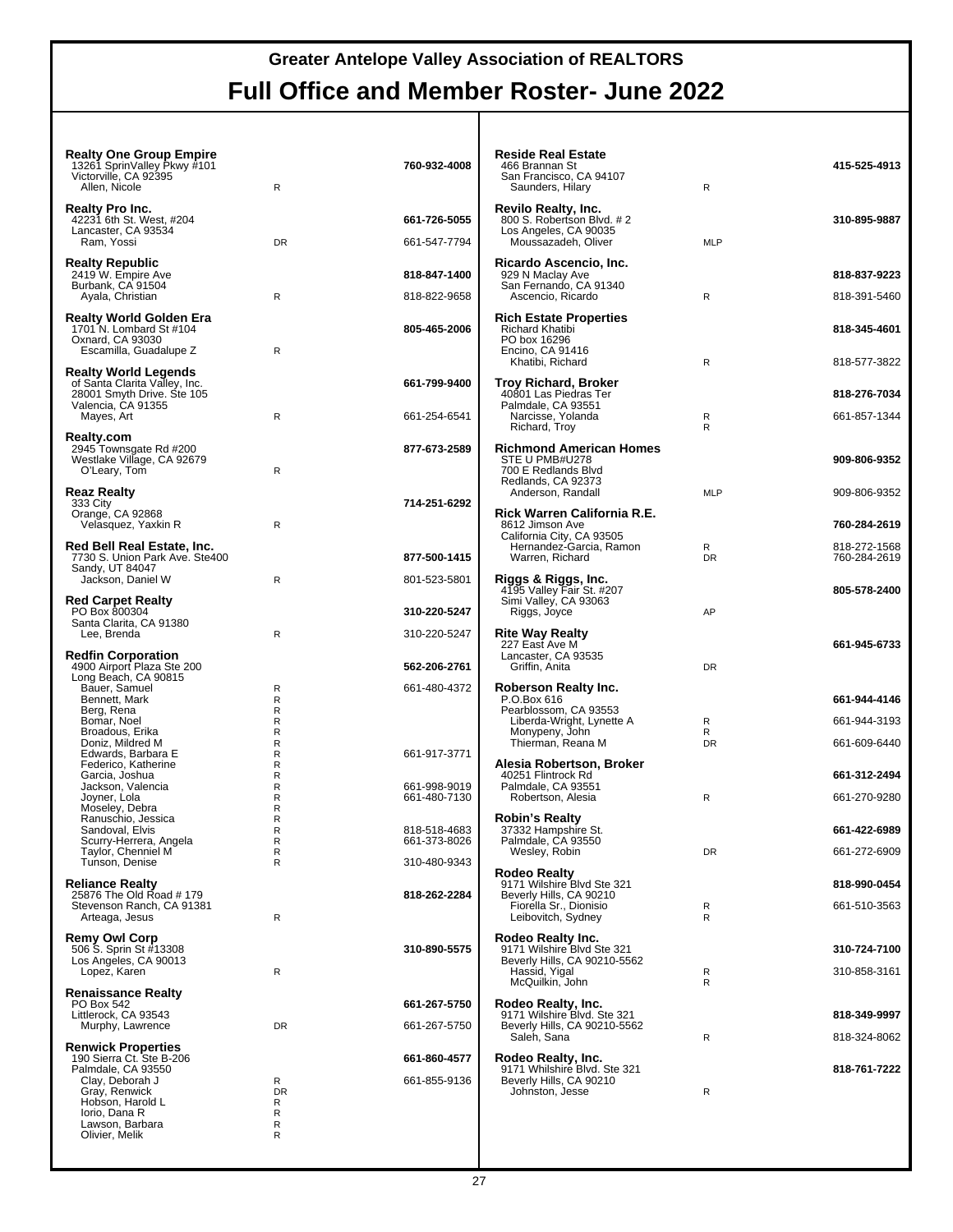| <b>Realty One Group Empire</b><br>13261 SprinValley Pkwy #101<br>Victorville, CA 92395<br>Allen, Nicole                                              | $\mathsf{R}$             | 760-932-4008                 | <b>Reside Real Estate</b><br>466 Brannan St<br>San Francisco, CA 94107<br>Saunders, Hilary              | $\mathsf{R}$   | 415-525-4913                 |
|------------------------------------------------------------------------------------------------------------------------------------------------------|--------------------------|------------------------------|---------------------------------------------------------------------------------------------------------|----------------|------------------------------|
| Realty Pro Inc.<br>42231 6th St. West, #204<br>Lancaster, CA 93534<br>Ram, Yossi                                                                     | <b>DR</b>                | 661-726-5055<br>661-547-7794 | <b>Revilo Realty, Inc.</b><br>800 S. Robertson Blvd. #2<br>Los Angeles, CA 90035<br>Moussazadeh, Oliver | <b>MLP</b>     | 310-895-9887                 |
| <b>Realty Republic</b><br>2419 W. Empire Ave<br>Burbank, CA 91504<br>Ayala, Christian                                                                | R                        | 818-847-1400<br>818-822-9658 | Ricardo Ascencio, Inc.<br>929 N Maclay Ave<br>San Fernando, CA 91340<br>Ascencio, Ricardo               | R              | 818-837-9223<br>818-391-5460 |
| Realty World Golden Era<br>1701 N. Lombard St #104<br>Oxnard, CA 93030<br>Escamilla, Guadalupe Z                                                     | R                        | 805-465-2006                 | <b>Rich Estate Properties</b><br>Richard Khatibi<br>PO box 16296<br>Encino, CA 91416                    |                | 818-345-4601                 |
| <b>Realty World Legends</b><br>of Santa Clarita Valley, Inc.<br>28001 Smyth Drive. Ste 105<br>Valencia, CA 91355                                     |                          | 661-799-9400                 | Khatibi, Richard<br>Troy Richard, Broker<br>40801 Las Piedras Ter<br>Palmdale, CA 93551                 | $\mathsf{R}$   | 818-577-3822<br>818-276-7034 |
| Mayes, Art                                                                                                                                           | $\mathsf{R}$             | 661-254-6541                 | Narcisse, Yolanda<br>Richard, Troy                                                                      | R<br>R         | 661-857-1344                 |
| <b>Realty.com</b><br>2945 Townsgate Rd #200<br>Westlake Village, CA 92679<br>O'Leary, Tom                                                            | R                        | 877-673-2589                 | <b>Richmond American Homes</b><br>STE U PMB#U278<br>700 E Redlands Blvd<br>Redlands, CA 92373           |                | 909-806-9352                 |
| Reaz Realty<br>333 City<br>Orange, CA 92868                                                                                                          |                          | 714-251-6292                 | Anderson, Randall<br>Rick Warren California R.E.                                                        | <b>MLP</b>     | 909-806-9352                 |
| Velasquez, Yaxkin R                                                                                                                                  | R                        |                              | 8612 Jimson Ave<br>California City, CA 93505                                                            |                | 760-284-2619                 |
| Red Bell Real Estate, Inc.<br>7730 S. Union Park Ave. Ste400<br>Sandy, UT 84047                                                                      |                          | 877-500-1415                 | Hernandez-Garcia, Ramon<br>Warren, Richard                                                              | R<br><b>DR</b> | 818-272-1568<br>760-284-2619 |
| Jackson, Daniel W<br><b>Red Carpet Realty</b>                                                                                                        | R                        | 801-523-5801                 | Riggs & Riggs, Inc.<br>4195 Valley Fair St. #207<br>Simi Valley, CA 93063                               |                | 805-578-2400                 |
| PO Box 800304<br>Santa Clarita, CA 91380                                                                                                             |                          | 310-220-5247                 | Riggs, Joyce                                                                                            | AP             |                              |
| Lee, Brenda<br><b>Redfin Corporation</b>                                                                                                             | $\mathsf{R}$             | 310-220-5247                 | <b>Rite Way Realty</b><br>227 East Ave M<br>Lancaster, CA 93535                                         |                | 661-945-6733                 |
| 4900 Airport Plaza Ste 200<br>Long Beach, CA 90815                                                                                                   |                          | 562-206-2761                 | Griffin, Anita                                                                                          | <b>DR</b>      |                              |
| Bauer, Samuel<br>Bennett, Mark                                                                                                                       | $\mathsf{R}$<br>R        | 661-480-4372                 | Roberson Realty Inc.<br>P.O.Box 616                                                                     |                | 661-944-4146                 |
| Berg, Rena<br>Bomar, Noel                                                                                                                            | R<br>$\mathsf{R}$        |                              | Pearblossom, CA 93553<br>Liberda-Wright, Lynette A                                                      | R              | 661-944-3193                 |
| Broadous, Erika<br>Doniz, Mildred M                                                                                                                  | R<br>R                   |                              | Monypeny, John<br>Thierman, Reana M                                                                     | R<br>DR        | 661-609-6440                 |
| Edwards, Barbara E<br>Federico, Katherine                                                                                                            | R<br>R                   | 661-917-3771                 | Alesia Robertson, Broker                                                                                |                |                              |
| Garcia, Joshua<br>Jackson, Valencia                                                                                                                  | R<br>R                   | 661-998-9019                 | 40251 Flintrock Rd<br>Palmdale, CA 93551                                                                |                | 661-312-2494                 |
| Joyner, Lola<br>Moseley, Debra                                                                                                                       | R<br>R                   | 661-480-7130                 | Robertson, Alesia                                                                                       | R              | 661-270-9280                 |
| Ranuschio, Jessica<br>Sandoval, Elvis                                                                                                                | R<br>R                   | 818-518-4683                 | <b>Robin's Realty</b><br>37332 Hampshire St                                                             |                | 661-422-6989                 |
| Scurry-Herrera, Angela<br>Taylor, Chenniel M                                                                                                         | R<br>$\mathsf{R}$        | 661-373-8026                 | Palmdale, CA 93550<br>Wesley, Robin                                                                     | DR             | 661-272-6909                 |
| Tunson, Denise                                                                                                                                       | R                        | 310-480-9343                 |                                                                                                         |                |                              |
| <b>Reliance Realty</b>                                                                                                                               |                          |                              | <b>Rodeo Realty</b><br>9171 Wilshire Blvd Ste 321                                                       |                | 818-990-0454                 |
| 25876 The Old Road #179<br>Stevenson Ranch, CA 91381                                                                                                 |                          | 818-262-2284                 | Beverly Hills, CA 90210<br>Fiorella Sr., Dionisio                                                       | R              | 661-510-3563                 |
| Arteaga, Jesus                                                                                                                                       | R                        |                              | Leibovitch, Sydney                                                                                      | R              |                              |
| <b>Remy Owl Corp</b><br>506 S. Sprin St #13308                                                                                                       |                          | 310-890-5575                 | Rodeo Realty Inc.<br>9171 Wilshire Blvd Ste 321                                                         |                | 310-724-7100                 |
| Los Angeles, CA 90013<br>Lopez, Karen                                                                                                                | ${\sf R}$                |                              | Beverly Hills, CA 90210-5562<br>Hassid, Yigal                                                           | R              | 310-858-3161                 |
| <b>Renaissance Realty</b>                                                                                                                            |                          |                              | McQuilkin, John                                                                                         | R              |                              |
| PO Box 542<br>Littlerock, CA 93543                                                                                                                   |                          | 661-267-5750                 | Rodeo Realty, Inc.<br>9171 Wilshire Blvd. Ste 321                                                       |                | 818-349-9997                 |
| Murphy, Lawrence                                                                                                                                     | DR                       | 661-267-5750                 | Beverly Hills, CA 90210-5562<br>Saleh, Sana                                                             | R              | 818-324-8062                 |
| <b>Renwick Properties</b><br>190 Sierra Ct. Ste B-206<br>Palmdale, CA 93550<br>Clay, Deborah J<br>Gray, Renwick<br>Hobson, Harold L<br>lorio, Dana R | R<br><b>DR</b><br>R<br>R | 661-860-4577<br>661-855-9136 | Rodeo Realty, Inc.<br>9171 Whilshire Blvd. Ste 321<br>Beverly Hills, CA 90210<br>Johnston, Jesse        | R              | 818-761-7222                 |
| Lawson, Barbara<br>Olivier, Melik                                                                                                                    | R<br>R                   |                              |                                                                                                         |                |                              |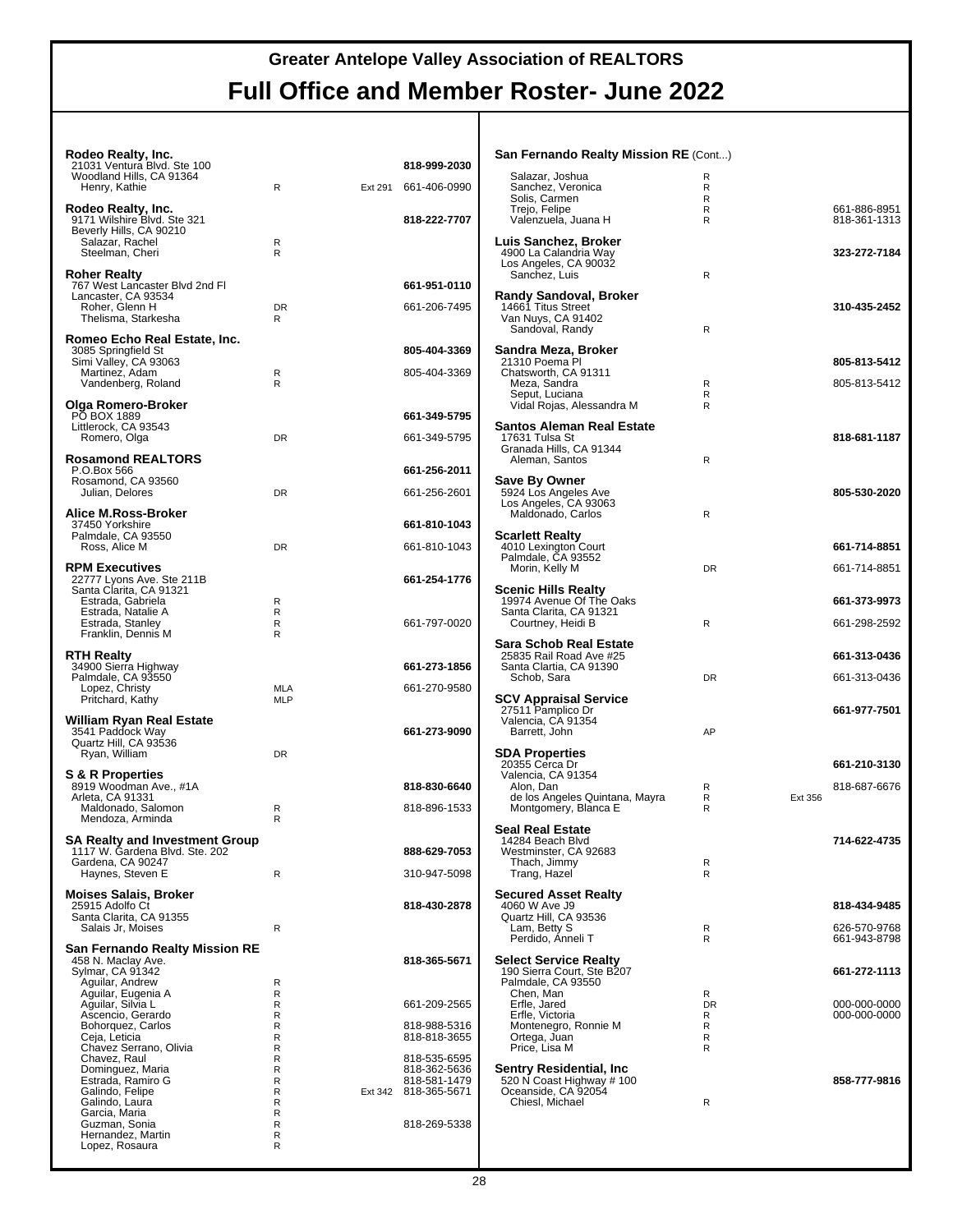| Rodeo Realty, Inc.                                                      |                |         |                              |
|-------------------------------------------------------------------------|----------------|---------|------------------------------|
| 21031 Ventura Blvd. Ste 100<br>Woodland Hills, CA 91364                 |                |         | 818-999-2030                 |
| Henry, Kathie                                                           | R              | Ext 291 | 661-406-0990                 |
| Rodeo Realty, Inc.<br>9171 Wilshire Blvd. Ste 321                       |                |         | 818-222-7707                 |
| Beverly Hills, CA 90210<br>Salazar, Rachel                              | R              |         |                              |
| Steelman, Cheri                                                         | R              |         |                              |
| <b>Roher Realty</b><br>767 West Lancaster Blvd 2nd Fl                   |                |         | 661-951-0110                 |
| Lancaster, CA 93534                                                     |                |         |                              |
| Roher, Glenn H<br>Thelisma, Starkesha                                   | <b>DR</b><br>R |         | 661-206-7495                 |
| Romeo Echo Real Estate, Inc.                                            |                |         |                              |
| 3085 Springfield St<br>Simi Valley, CA 93063                            |                |         | 805-404-3369                 |
| Martinez, Adam<br>Vandenberg, Roland                                    | R<br>R         |         | 805-404-3369                 |
| Olga Romero-Broker                                                      |                |         |                              |
| PO BOX 1889<br>Littlerock, CA 93543                                     |                |         | 661-349-5795                 |
| Romero, Olga                                                            | <b>DR</b>      |         | 661-349-5795                 |
| <b>Rosamond REALTORS®</b>                                               |                |         |                              |
| P.O.Box 566<br>Rosamond, CA 93560                                       |                |         | 661-256-2011                 |
| Julian, Delores                                                         | <b>DR</b>      |         | 661-256-2601                 |
| Alice M.Ross-Broker<br>37450 Yorkshire                                  |                |         | 661-810-1043                 |
| Palmdale, CA 93550<br>Ross, Alice M                                     | <b>DR</b>      |         | 661-810-1043                 |
| <b>RPM Executives</b>                                                   |                |         |                              |
| 22777 Lyons Ave. Ste 211B<br>Santa Clarita, CA 91321                    |                |         | 661-254-1776                 |
| Estrada, Gabriela<br>Estrada, Natalie A                                 | R<br>R         |         |                              |
| Estrada, Stanley                                                        | R              |         | 661-797-0020                 |
| Franklin, Dennis M                                                      | R              |         |                              |
| <b>RTH Realty</b><br>34900 Sierra Highway                               |                |         | 661-273-1856                 |
| Palmdale, CA 93550<br>Lopez, Christy                                    | MLA            |         | 661-270-9580                 |
| Pritchard, Kathy                                                        | MLP            |         |                              |
| William Ryan Real Estate<br>3541 Paddock Way                            |                |         | 661-273-9090                 |
| Quartz Hill, CA 93536<br>Ryan, William                                  | <b>DR</b>      |         |                              |
|                                                                         |                |         |                              |
| <b>S &amp; R Properties</b><br>8919 Woodman Ave., #1A                   |                |         | 818-830-6640                 |
| Arleta, CA 91331<br>Maldonado, Salomon                                  | R              |         | 818-896-1533                 |
| Mendoza, Arminda                                                        | R              |         |                              |
| <b>SA Realty and Investment Group</b><br>1117 W. Gardena Blvd. Ste. 202 |                |         | 888-629-7053                 |
| Gardena, CA 90247<br>Haynes, Steven E                                   | R              |         | 310-947-5098                 |
| <b>Moises Salais, Broker</b>                                            |                |         |                              |
| 25915 Adolfo Ct<br>Santa Clarita, CA 91355                              |                |         | 818-430-2878                 |
| Salais Jr, Moises                                                       | R              |         |                              |
| San Fernando Realty Mission RE                                          |                |         |                              |
| 458 N. Maclay Ave.<br>Sylmar, CA 91342                                  |                |         | 818-365-5671                 |
| Aguilar, Andrew<br>Aguilar, Eugenia A                                   | R<br>R         |         |                              |
| Aguilar, Silvia L<br>Ascencio, Gerardo                                  | R<br>R         |         | 661-209-2565                 |
| Bohorquez, Carlos<br>Ceja, Leticia                                      | R<br>R         |         | 818-988-5316<br>818-818-3655 |
| Chavez Serrano, Olivia<br>Chavez, Raul                                  | R<br>R         |         | 818-535-6595                 |
| Dominguez, Maria<br>Estrada, Ramiro G                                   | R<br>R         |         | 818-362-5636<br>818-581-1479 |
| Galindo, Felipe<br>Galindo, Laura                                       | R<br>R         | Ext 342 | 818-365-5671                 |
| Garcia, Maria                                                           | R              |         |                              |
| Guzman, Sonia<br>Hernandez, Martin                                      | R<br>R         |         | 818-269-5338                 |
| Lopez, Rosaura                                                          | R              |         |                              |

| San Fernando Realty Mission RE (Cont)                                                                                                |                                    |         |                                              |
|--------------------------------------------------------------------------------------------------------------------------------------|------------------------------------|---------|----------------------------------------------|
| Salazar, Joshua<br>Sanchez, Veronica<br>Solis, Carmen<br>Trejo, Felipe<br>Valenzuela, Juana H                                        | R<br>R<br>R<br>R<br>R              |         | 661-886-8951<br>818-361-1313                 |
| Luis Sanchez, Broker<br>4900 La Calandria Way<br>Los Angeles, CA 90032<br>Sanchez, Luis                                              | R                                  |         | 323-272-7184                                 |
| <b>Randy Sandoval, Broker</b><br>14661 Titus Street<br>Van Nuys, CA 91402<br>Sandoval, Randy                                         | R                                  |         | 310-435-2452                                 |
| Sandra Meza, Broker<br>21310 Poema Pl<br>Chatsworth, CA 91311<br>Meza, Sandra<br>Seput, Luciana<br>Vidal Rojas, Alessandra M         | R<br>R<br>R                        |         | 805-813-5412<br>805-813-5412                 |
| Santos Aleman Real Estate<br>17631 Tulsa St<br>Granada Hills, CA 91344<br>Aleman, Santos                                             | R                                  |         | 818-681-1187                                 |
| Save By Owner<br>5924 Los Angeles Ave<br>Los Angeles, CA 93063<br>Maldonado, Carlos                                                  | R                                  |         | 805-530-2020                                 |
| <b>Scarlett Realty</b><br>4010 Lexington Court<br>Palmdale, CA 93552<br>Morin, Kelly M                                               | DR                                 |         | 661-714-8851<br>661-714-8851                 |
| <b>Scenic Hills Realty</b><br>19974 Avenue Of The Oaks<br>Santa Clarita, CA 91321<br>Courtney, Heidi B                               | R                                  |         | 661-373-9973<br>661-298-2592                 |
| <b>Sara Schob Real Estate</b><br>25835 Rail Road Ave #25<br>Santa Clartia, CA 91390<br>Schob, Sara                                   | DR                                 |         | 661-313-0436<br>661-313-0436                 |
| <b>SCV Appraisal Service</b><br>27511 Pamplico Dr<br>Valencia, CA 91354<br>Barrett, John                                             | AP                                 |         | 661-977-7501                                 |
| <b>SDA Properties</b><br>20355 Cerca Dr<br>Valencia, CA 91354<br>Alon, Dan<br>de los Angeles Quintana, Mayra<br>Montgomery, Blanca E | R<br>R<br>R                        | Ext 356 | 661-210-3130<br>818-687-6676                 |
| <b>Seal Real Estate</b><br>14284 Beach Blvd<br>Westminster, CA 92683<br>Thach, Jimmy<br>Trang, Hazel                                 | R<br>R                             |         | 714-622-4735                                 |
| <b>Secured Asset Realty</b><br>4060 W Ave J9<br>Quartz Hill, CA 93536<br>Lam, Betty S<br>Perdido, Anneli T                           | R<br>R                             |         | 818-434-9485<br>626-570-9768<br>661-943-8798 |
| <b>Select Service Realty</b><br>190 Sierra Court, Ste B207<br>Palmdale, CA 93550                                                     |                                    |         | 661-272-1113                                 |
| Chen, Man<br>Erfle, Jared<br>Erfle, Victoria<br>Montenegro, Ronnie M<br>Ortega, Juan<br>Price, Lisa M                                | R<br><b>DR</b><br>R<br>R<br>R<br>R |         | 000-000-0000<br>000-000-0000                 |
| Sentry Residential, Inc<br>520 N Coast Highway # 100<br>Oceanside, CA 92054<br>Chiesl, Michael                                       | R                                  |         | 858-777-9816                                 |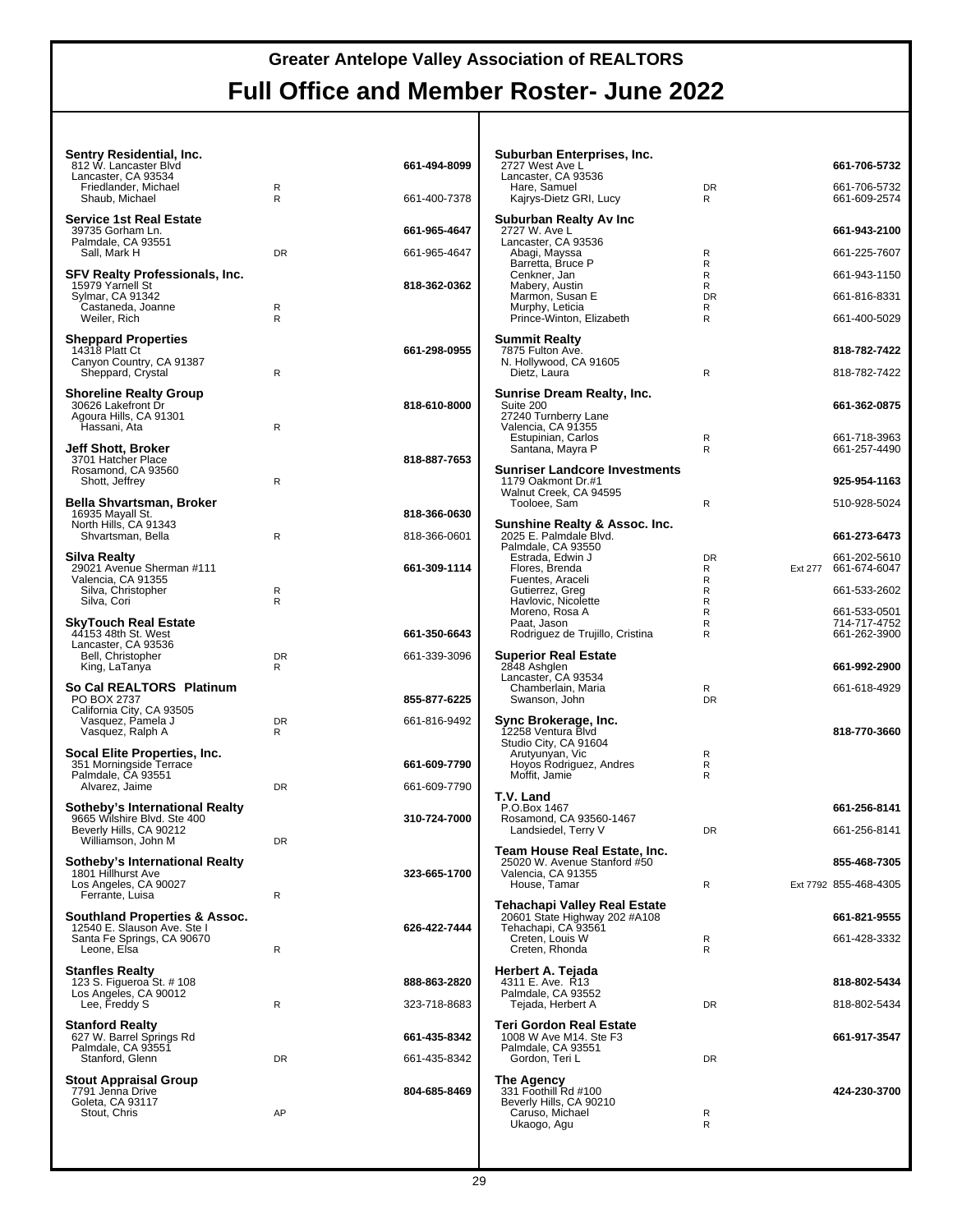| Sentry Residential, Inc.<br>812 W. Lancaster Blvd             |                   | 661-494-8099 | Suburban Enterprises, Inc.<br>2727 West Ave L                 |                | 661-706-5732                         |
|---------------------------------------------------------------|-------------------|--------------|---------------------------------------------------------------|----------------|--------------------------------------|
| Lancaster, CA 93534<br>Friedlander, Michael<br>Shaub, Michael | R<br>$\mathsf{R}$ | 661-400-7378 | Lancaster, CA 93536<br>Hare, Samuel<br>Kajrys-Dietz GRI, Lucy | DR<br>R.       | 661-706-5732<br>661-609-2574         |
| <b>Service 1st Real Estate</b><br>39735 Gorham Ln.            |                   | 661-965-4647 | Suburban Realty Av Inc.<br>2727 W. Ave L                      |                | 661-943-2100                         |
| Palmdale, CA 93551<br>Sall, Mark H                            | <b>DR</b>         | 661-965-4647 | Lancaster, CA 93536<br>Abagi, Mayssa                          | R              | 661-225-7607                         |
| <b>SFV Realty Professionals, Inc.</b>                         |                   |              | Barretta, Bruce P<br>Cenkner, Jan                             | R<br>R         | 661-943-1150                         |
| 15979 Yarnell St<br>Sylmar, CA 91342                          |                   | 818-362-0362 | Mabery, Austin<br>Marmon, Susan E                             | R<br><b>DR</b> | 661-816-8331                         |
| Castaneda, Joanne<br>Weiler, Rich                             | R<br>$\mathsf{R}$ |              | Murphy, Leticia<br>Prince-Winton, Elizabeth                   | R<br>R         | 661-400-5029                         |
| <b>Sheppard Properties</b>                                    |                   |              | <b>Summit Realty</b>                                          |                |                                      |
| 14318 Platt Ct<br>Canyon Country, CA 91387                    |                   | 661-298-0955 | 7875 Fulton Ave.<br>N. Hollywood, CA 91605                    |                | 818-782-7422                         |
| Sheppard, Crystal                                             | R                 |              | Dietz, Laura                                                  | R              | 818-782-7422                         |
| <b>Shoreline Realty Group</b><br>30626 Lakefront Dr           |                   | 818-610-8000 | <b>Sunrise Dream Realty, Inc.</b><br>Suite 200                |                | 661-362-0875                         |
| Agoura Hills, CA 91301<br>Hassani, Ata                        | R                 |              | 27240 Turnberry Lane<br>Valencia, CA 91355                    |                |                                      |
| Jeff Shott, Broker                                            |                   |              | Estupinian, Carlos<br>Santana, Mayra P                        | R<br>R         | 661-718-3963<br>661-257-4490         |
| 3701 Hatcher Place<br>Rosamond, CA 93560                      |                   | 818-887-7653 | <b>Sunriser Landcore Investments</b>                          |                |                                      |
| Shott, Jeffrey                                                | R                 |              | 1179 Oakmont Dr.#1<br>Walnut Creek, CA 94595                  |                | 925-954-1163                         |
| Bella Shvartsman, Broker<br>16935 Mayall St.                  |                   | 818-366-0630 | Tooloee, Sam                                                  | R              | 510-928-5024                         |
| North Hills, CA 91343<br>Shvartsman, Bella                    | R                 | 818-366-0601 | Sunshine Realty & Assoc. Inc.<br>2025 E. Palmdale Blvd.       |                | 661-273-6473                         |
|                                                               |                   |              | Palmdale, CA 93550                                            |                |                                      |
| <b>Silva Realty</b><br>29021 Avenue Sherman #111              |                   | 661-309-1114 | Estrada, Edwin J<br>Flores, Brenda                            | <b>DR</b><br>R | 661-202-5610<br>Ext 277 661-674-6047 |
| Valencia, CA 91355<br>Silva, Christopher                      | R                 |              | Fuentes, Araceli<br>Gutierrez, Greg                           | R<br>R         | 661-533-2602                         |
| Silva, Cori                                                   | R                 |              | Havlovic, Nicolette<br>Moreno, Rosa A                         | R<br>R         | 661-533-0501                         |
| <b>SkyTouch Real Estate</b><br>44153 48th St. West            |                   | 661-350-6643 | Paat, Jason<br>Rodriguez de Trujillo, Cristina                | R<br>R         | 714-717-4752<br>661-262-3900         |
| Lancaster, CA 93536<br>Bell, Christopher                      | <b>DR</b>         | 661-339-3096 | <b>Superior Real Estate</b>                                   |                |                                      |
| King, LaTanya                                                 | R                 |              | 2848 Ashglen<br>Lancaster, CA 93534                           |                | 661-992-2900                         |
| So Cal REALTORS <sup>®</sup> Platinum<br>PO BOX 2737          |                   | 855-877-6225 | Chamberlain, Maria<br>Swanson, John                           | R<br><b>DR</b> | 661-618-4929                         |
| California City, CA 93505<br>Vasquez, Pamela J                | <b>DR</b>         | 661-816-9492 | Sync Brokerage, Inc.                                          |                |                                      |
| Vasquez, Ralph A                                              | R                 |              | 12258 Ventura Blvd<br>Studio City, CA 91604                   |                | 818-770-3660                         |
| Socal Elite Properties, Inc.<br>351 Morningside Terrace       |                   | 661-609-7790 | Arutyunyan, Vic<br>Hoyos Rodriguez, Andres                    | R<br>R         |                                      |
| Palmdale, CA 93551<br>Alvarez, Jaime                          | <b>DR</b>         | 661-609-7790 | Moffit, Jamie                                                 | R              |                                      |
| Sotheby's International Realty                                |                   |              | T.V. Land<br>P.O.Box 1467                                     |                | 661-256-8141                         |
| 9665 Wilshire Blvd. Ste 400<br>Beverly Hills, CA 90212        |                   | 310-724-7000 | Rosamond, CA 93560-1467<br>Landsiedel, Terry V                | <b>DR</b>      | 661-256-8141                         |
| Williamson, John M                                            | DR                |              | Team House Real Estate, Inc.                                  |                |                                      |
| Sotheby's International Realty<br>1801 Hillhurst Ave          |                   | 323-665-1700 | 25020 W. Avenue Stanford #50<br>Valencia, CA 91355            |                | 855-468-7305                         |
| Los Angeles, CA 90027<br>Ferrante, Luisa                      | R                 |              | House, Tamar                                                  | R              | Ext 7792 855-468-4305                |
|                                                               |                   |              | <b>Tehachapi Valley Real Estate</b>                           |                |                                      |
| Southland Properties & Assoc.<br>12540 E. Slauson Ave. Ste I  |                   | 626-422-7444 | 20601 State Highway 202 #A108<br>Tehachapi, CA 93561          |                | 661-821-9555                         |
| Santa Fe Springs, CA 90670<br>Leone, Elsa                     | R                 |              | Creten, Louis W<br>Creten, Rhonda                             | R<br>R         | 661-428-3332                         |
| <b>Stanfles Realty</b>                                        |                   |              | Herbert A. Tejada                                             |                |                                      |
| 123 S. Figueroa St. # 108<br>Los Angeles, CA 90012            |                   | 888-863-2820 | 4311 E. Ave. R13<br>Palmdale, CA 93552                        |                | 818-802-5434                         |
| Lee, Freddy S                                                 | R                 | 323-718-8683 | Tejada, Herbert A                                             | DR             | 818-802-5434                         |
| <b>Stanford Realty</b><br>627 W. Barrel Springs Rd            |                   | 661-435-8342 | <b>Teri Gordon Real Estate</b><br>1008 W Ave M14. Ste F3      |                | 661-917-3547                         |
| Palmdale, CA 93551<br>Stanford, Glenn                         | <b>DR</b>         | 661-435-8342 | Palmdale, CA 93551<br>Gordon, Teri L                          | DR             |                                      |
| <b>Stout Appraisal Group</b>                                  |                   |              | The Agency                                                    |                |                                      |
| 7791 Jenna Drive<br>Goleta, CA 93117                          |                   | 804-685-8469 | 331 Foothill Rd #100<br>Beverly Hills, CA 90210               |                | 424-230-3700                         |
| Stout, Chris                                                  | AP                |              | Caruso, Michael<br>Ukaogo, Agu                                | R<br>R         |                                      |
|                                                               |                   |              |                                                               |                |                                      |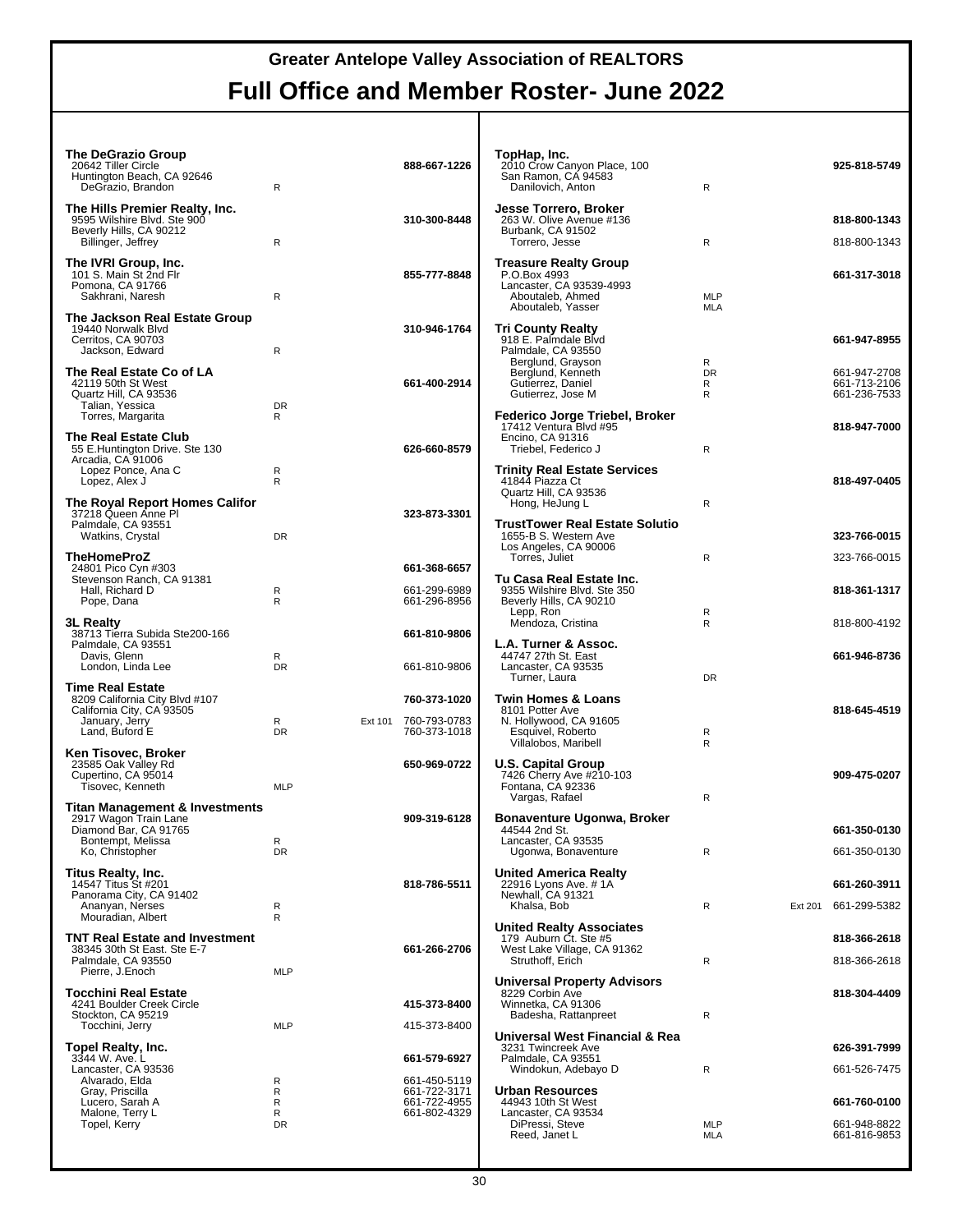| <b>The DeGrazio Group</b><br>20642 Tiller Circle<br>Huntington Beach, CA 92646<br>DeGrazio, Brandon | R              |         | 888-667-1226                                 | TopHap, Inc.<br>2010 Crow Canyon Place, 100<br>San Ramon, CA 94583<br>Danilovich, Anton                           | R                        |         | 925-818-5749                                 |
|-----------------------------------------------------------------------------------------------------|----------------|---------|----------------------------------------------|-------------------------------------------------------------------------------------------------------------------|--------------------------|---------|----------------------------------------------|
| The Hills Premier Realty, Inc.<br>9595 Wilshire Blvd. Ste 900                                       |                |         | 310-300-8448                                 | Jesse Torrero, Broker<br>263 W. Olive Avenue #136                                                                 |                          |         | 818-800-1343                                 |
| Beverly Hills, CA 90212<br>Billinger, Jeffrey                                                       | R              |         |                                              | Burbank, CA 91502<br>Torrero, Jesse                                                                               | $\mathsf{R}$             |         | 818-800-1343                                 |
| The IVRI Group, Inc.<br>101 S. Main St 2nd Flr<br>Pomona, CA 91766<br>Sakhrani, Naresh              | R              |         | 855-777-8848                                 | <b>Treasure Realty Group</b><br>P.O.Box 4993<br>Lancaster, CA 93539-4993<br>Aboutaleb, Ahmed<br>Aboutaleb, Yasser | <b>MLP</b><br>MLA        |         | 661-317-3018                                 |
| The Jackson Real Estate Group<br>19440 Norwalk Blvd<br>Cerritos, CA 90703<br>Jackson, Edward        | R              |         | 310-946-1764                                 | <b>Tri County Realty</b><br>918 E. Palmdale Blvd<br>Palmdale, CA 93550                                            |                          |         | 661-947-8955                                 |
| The Real Estate Co of LA<br>42119 50th St West<br>Quartz Hill, CA 93536<br>Talian, Yessica          | <b>DR</b>      |         | 661-400-2914                                 | Berglund, Grayson<br>Berglund, Kenneth<br>Gutierrez, Daniel<br>Gutierrez, Jose M                                  | R<br><b>DR</b><br>R<br>R |         | 661-947-2708<br>661-713-2106<br>661-236-7533 |
| Torres, Margarita<br>The Real Estate Club<br>55 E.Huntington Drive. Ste 130<br>Arcadia, CA 91006    | R              |         | 626-660-8579                                 | Federico Jorge Triebel, Broker<br>17412 Ventura Blvd #95<br>Encino, CA 91316<br>Triebel, Federico J               | $\mathsf{R}$             |         | 818-947-7000                                 |
| Lopez Ponce, Ana C<br>Lopez, Alex J<br>The Royal Report Homes Califor                               | R<br>R         |         |                                              | <b>Trinity Real Estate Services</b><br>41844 Piazza Ct<br>Quartz Hill, CA 93536<br>Hong, HeJung L                 | $\mathsf{R}$             |         | 818-497-0405                                 |
| 37218 Queen Anne Pl<br>Palmdale, CA 93551<br>Watkins, Crystal                                       | <b>DR</b>      |         | 323-873-3301                                 | <b>TrustTower Real Estate Solutio</b><br>1655-B S. Western Ave                                                    |                          |         | 323-766-0015                                 |
| <b>TheHomeProZ</b>                                                                                  |                |         |                                              | Los Angeles, CA 90006<br>Torres, Juliet                                                                           | R                        |         | 323-766-0015                                 |
| 24801 Pico Cyn #303<br>Stevenson Ranch, CA 91381<br>Hall, Richard D<br>Pope, Dana                   | R<br>R         |         | 661-368-6657<br>661-299-6989<br>661-296-8956 | Tu Casa Real Estate Inc.<br>9355 Wilshire Blvd. Ste 350<br>Beverly Hills, CA 90210                                |                          |         | 818-361-1317                                 |
| <b>3L Realty</b>                                                                                    |                |         |                                              | Lepp, Ron<br>Mendoza, Cristina                                                                                    | R<br>R                   |         | 818-800-4192                                 |
| 38713 Tierra Subida Ste200-166<br>Palmdale, CA 93551<br>Davis, Glenn<br>London, Linda Lee           | R<br><b>DR</b> |         | 661-810-9806<br>661-810-9806                 | L.A. Turner & Assoc.<br>44747 27th St. East<br>Lancaster, CA 93535                                                |                          |         | 661-946-8736                                 |
| <b>Time Real Estate</b>                                                                             |                |         |                                              | Turner, Laura                                                                                                     | DR                       |         |                                              |
| 8209 California City Blvd #107<br>California City, CA 93505                                         |                |         | 760-373-1020                                 | <b>Twin Homes &amp; Loans</b><br>8101 Potter Ave                                                                  |                          |         | 818-645-4519                                 |
| January, Jerry<br>Land, Buford E                                                                    | R<br><b>DR</b> | Ext 101 | 760-793-0783<br>760-373-1018                 | N. Hollywood, CA 91605<br>Esquivel, Roberto<br>Villalobos, Maribell                                               | R<br>R                   |         |                                              |
| Ken Tisovec, Broker<br>23585 Oak Valley Rd<br>Cupertino, CA 95014<br>Tisovec, Kenneth               | <b>MLP</b>     |         | 650-969-0722                                 | <b>U.S. Capital Group</b><br>7426 Cherry Ave #210-103<br>Fontana, CA 92336<br>Vargas, Rafael                      | R                        |         | 909-475-0207                                 |
| Titan Management & Investments<br>2917 Wagon Train Lane                                             |                |         | 909-319-6128                                 | Bonaventure Ugonwa, Broker                                                                                        |                          |         |                                              |
| Diamond Bar, CA 91765<br>Bontempt, Melissa                                                          | R              |         |                                              | 44544 2nd St.<br>Lancaster, CA 93535                                                                              |                          |         | 661-350-0130                                 |
| Ko, Christopher                                                                                     | <b>DR</b>      |         |                                              | Ugonwa, Bonaventure                                                                                               | R                        |         | 661-350-0130                                 |
| <b>Titus Realty, Inc.</b><br>14547 Titus St #201<br>Panorama City, CA 91402<br>Ananyan, Nerses      | R              |         | 818-786-5511                                 | <b>United America Realty</b><br>22916 Lyons Ave. # 1A<br>Newhall, CA 91321<br>Khalsa, Bob                         | R                        | Ext 201 | 661-260-3911<br>661-299-5382                 |
| Mouradian, Albert                                                                                   | R              |         |                                              | <b>United Realty Associates</b>                                                                                   |                          |         |                                              |
| <b>TNT Real Estate and Investment</b><br>38345 30th St East. Ste E-7                                |                |         | 661-266-2706                                 | 179 Auburn Ct. Ste #5<br>West Lake Village, CA 91362                                                              |                          |         | 818-366-2618                                 |
| Palmdale, CA 93550<br>Pierre, J.Enoch                                                               | <b>MLP</b>     |         |                                              | Struthoff, Erich                                                                                                  | R                        |         | 818-366-2618                                 |
| <b>Tocchini Real Estate</b><br>4241 Boulder Creek Circle<br>Stockton, CA 95219                      |                |         | 415-373-8400                                 | <b>Universal Property Advisors</b><br>8229 Corbin Ave<br>Winnetka, CA 91306<br>Badesha, Rattanpreet               | R                        |         | 818-304-4409                                 |
| Tocchini, Jerry                                                                                     | <b>MLP</b>     |         | 415-373-8400                                 | Universal West Financial & Rea                                                                                    |                          |         |                                              |
| Topel Realty, Inc.<br>3344 W. Ave. L                                                                |                |         | 661-579-6927                                 | 3231 Twincreek Ave<br>Palmdale, CA 93551                                                                          |                          |         | 626-391-7999                                 |
| Lancaster, CA 93536<br>Alvarado, Elda                                                               | R              |         | 661-450-5119                                 | Windokun, Adebayo D                                                                                               | R                        |         | 661-526-7475                                 |
| Gray, Priscilla<br>Lucero, Sarah A                                                                  | R<br>R         |         | 661-722-3171<br>661-722-4955                 | <b>Urban Resources</b><br>44943 10th St West                                                                      |                          |         | 661-760-0100                                 |
| Malone, Terry L<br>Topel, Kerry                                                                     | R<br><b>DR</b> |         | 661-802-4329                                 | Lancaster, CA 93534<br>DiPressi, Steve<br>Reed, Janet L                                                           | <b>MLP</b><br>MLA        |         | 661-948-8822<br>661-816-9853                 |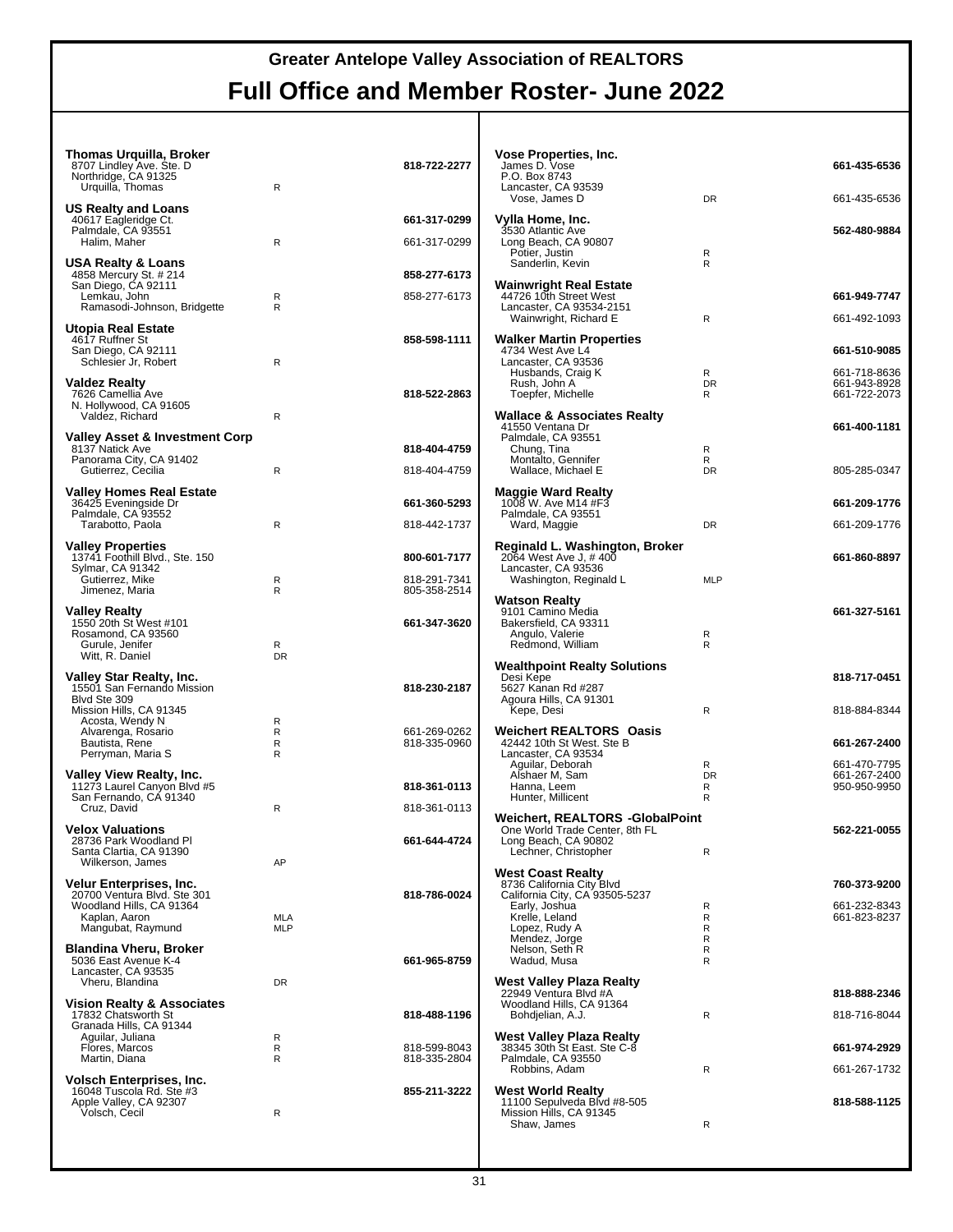| <b>Thomas Urquilla, Broker</b><br>8707 Lindley Ave. Ste. D<br>Northridge, CA 91325<br>Urquilla, Thomas | R                        | 818-722-2277                 | Vose Properties, Inc.<br>James D. Vose<br>P.O. Box 8743<br>Lancaster, CA 93539 |                | 661-435-6536                 |
|--------------------------------------------------------------------------------------------------------|--------------------------|------------------------------|--------------------------------------------------------------------------------|----------------|------------------------------|
| <b>US Realty and Loans</b>                                                                             |                          |                              | Vose, James D                                                                  | <b>DR</b>      | 661-435-6536                 |
| 40617 Eagleridge Ct.<br>Palmdale. CA 93551                                                             |                          | 661-317-0299                 | Vylla Home, Inc.<br>3530 Atlantic Ave                                          |                | 562-480-9884                 |
| Halim, Maher                                                                                           | R                        | 661-317-0299                 | Long Beach, CA 90807<br>Potier, Justin                                         | R              |                              |
| <b>USA Realty &amp; Loans</b><br>4858 Mercury St. # 214                                                |                          | 858-277-6173                 | Sanderlin, Kevin                                                               | R.             |                              |
| San Diego, CA 92111<br>Lemkau, John<br>Ramasodi-Johnson, Bridgette                                     | R<br>R                   | 858-277-6173                 | <b>Wainwright Real Estate</b><br>44726 10th Street West                        |                | 661-949-7747                 |
| Utopia Real Estate                                                                                     |                          |                              | Lancaster, CA 93534-2151<br>Wainwright, Richard E                              | R              | 661-492-1093                 |
| 4617 Ruffner St<br>San Diego, CA 92111                                                                 |                          | 858-598-1111                 | <b>Walker Martin Properties</b><br>4734 West Ave L4                            |                | 661-510-9085                 |
| Schlesier Jr, Robert                                                                                   | R                        |                              | Lancaster, CA 93536<br>Husbands, Craig K                                       | R              | 661-718-8636                 |
| Valdez Realty<br>7626 Camellia Ave                                                                     |                          | 818-522-2863                 | Rush, John A<br>Toepfer, Michelle                                              | <b>DR</b><br>R | 661-943-8928<br>661-722-2073 |
| N. Hollywood, CA 91605<br>Valdez, Richard                                                              | R                        |                              | <b>Wallace &amp; Associates Realty</b>                                         |                |                              |
| Valley Asset & Investment Corp                                                                         |                          |                              | 41550 Ventana Dr<br>Palmdale, CA 93551                                         |                | 661-400-1181                 |
| 8137 Natick Ave<br>Panorama City, CA 91402                                                             |                          | 818-404-4759                 | Chung, Tina<br>Montalto, Gennifer                                              | R<br>R         |                              |
| Gutierrez, Cecilia<br><b>Valley Homes Real Estate</b>                                                  | R                        | 818-404-4759                 | Wallace, Michael E                                                             | <b>DR</b>      | 805-285-0347                 |
| 36425 Eveningside Dr<br>Palmdale, CA 93552                                                             |                          | 661-360-5293                 | <b>Maggie Ward Realty</b><br>1008 W. Ave M14 #F3<br>Palmdale, CA 93551         |                | 661-209-1776                 |
| Tarabotto, Paola                                                                                       | R                        | 818-442-1737                 | Ward, Maggie                                                                   | <b>DR</b>      | 661-209-1776                 |
| <b>Valley Properties</b><br>13741 Foothill Blvd., Ste. 150                                             |                          | 800-601-7177                 | Reginald L. Washington, Broker<br>2064 West Ave J, #400                        |                | 661-860-8897                 |
| Sylmar, CA 91342<br>Gutierrez, Mike                                                                    | R                        | 818-291-7341                 | Lancaster, CA 93536<br>Washington, Reginald L                                  | <b>MLP</b>     |                              |
| Jimenez, Maria                                                                                         | $\mathsf{R}$             | 805-358-2514                 | <b>Watson Realty</b>                                                           |                |                              |
| <b>Valley Realty</b><br>1550 20th St West #101                                                         |                          | 661-347-3620                 | 9101 Camino Media<br>Bakersfield, CA 93311                                     |                | 661-327-5161                 |
| Rosamond, CA 93560<br>Gurule, Jenifer                                                                  | R                        |                              | Angulo, Valerie<br>Redmond, William                                            | R<br>R         |                              |
| Witt, R. Daniel                                                                                        | <b>DR</b>                |                              | <b>Wealthpoint Realty Solutions</b>                                            |                |                              |
| Valley Star Realty, Inc.<br>15501 San Fernando Mission<br>Blvd Ste 309                                 |                          | 818-230-2187                 | Desi Kepe<br>5627 Kanan Rd #287<br>Agoura Hills, CA 91301                      |                | 818-717-0451                 |
| Mission Hills, CA 91345<br>Acosta, Wendy N                                                             | R                        |                              | Kepe, Desi                                                                     | R              | 818-884-8344                 |
| Alvarenga, Rosario                                                                                     | R                        | 661-269-0262                 | Weichert REALTORS® Oasis                                                       |                |                              |
|                                                                                                        |                          |                              | 42442 10th St West, Ste B                                                      |                | 661-267-2400                 |
| Bautista, Rene<br>Perryman, Maria S                                                                    | R<br>R                   | 818-335-0960                 | Lancaster, CA 93534<br>Aguilar, Deborah                                        | R              | 661-470-7795                 |
| Valley View Realty, Inc.<br>11273 Laurel Canyon Blvd #5                                                |                          | 818-361-0113                 | Alshaer M, Sam<br>Hanna, Leem                                                  | <b>DR</b><br>R | 661-267-2400<br>950-950-9950 |
| San Fernando, CA 91340<br>Cruz, David                                                                  | R                        | 818-361-0113                 | Hunter, Millicent                                                              | R              |                              |
| <b>Velox Valuations</b>                                                                                |                          |                              | Weichert, REALTORS <sup>®</sup> -GlobalPoint<br>One World Trade Center, 8th FL |                | 562-221-0055                 |
| 28736 Park Woodland Pl<br>Santa Clartia, CA 91390                                                      |                          | 661-644-4724                 | Long Beach, CA 90802<br>Lechner, Christopher                                   | R              |                              |
| Wilkerson, James                                                                                       | AP                       |                              | <b>West Coast Realty</b>                                                       |                |                              |
| Velur Enterprises, Inc.<br>20700 Ventura Blvd. Ste 301                                                 |                          | 818-786-0024                 | 8736 California City Blvd<br>California City, CA 93505-5237                    |                | 760-373-9200                 |
| Woodland Hills, CA 91364<br>Kaplan, Aaron<br>Mangubat, Raymund                                         | <b>MLA</b><br><b>MLP</b> |                              | Early, Joshua<br>Krelle, Leland<br>Lopez, Rudy A                               | R<br>R<br>R    | 661-232-8343<br>661-823-8237 |
| <b>Blandina Vheru, Broker</b>                                                                          |                          |                              | Mendez, Jorge<br>Nelson, Seth R                                                | R<br>R         |                              |
| 5036 East Avenue K-4<br>Lancaster, CA 93535                                                            |                          | 661-965-8759                 | Wadud, Musa                                                                    | R              |                              |
| Vheru, Blandina                                                                                        | DR                       |                              | <b>West Valley Plaza Realty</b><br>22949 Ventura Blvd #A                       |                | 818-888-2346                 |
| <b>Vision Realty &amp; Associates</b><br>17832 Chatsworth St                                           |                          | 818-488-1196                 | Woodland Hills, CA 91364<br>Bohdjelian, A.J.                                   | R              | 818-716-8044                 |
| Granada Hills, CA 91344<br>Aguilar, Juliana                                                            | R                        |                              | West Valley Plaza Realty                                                       |                |                              |
| Flores, Marcos<br>Martin, Diana                                                                        | R<br>R                   | 818-599-8043<br>818-335-2804 | 38345 30th St East. Ste C-8<br>Palmdale, CA 93550                              |                | 661-974-2929                 |
| <b>Volsch Enterprises, Inc.</b><br>16048 Tuscola Rd. Ste #3                                            |                          | 855-211-3222                 | Robbins, Adam<br><b>West World Realty</b>                                      | R              | 661-267-1732                 |
| Apple Valley, CA 92307<br>Volsch, Cecil                                                                | R                        |                              | 11100 Sepulveda Blvd #8-505<br>Mission Hills, CA 91345<br>Shaw, James          | R              | 818-588-1125                 |